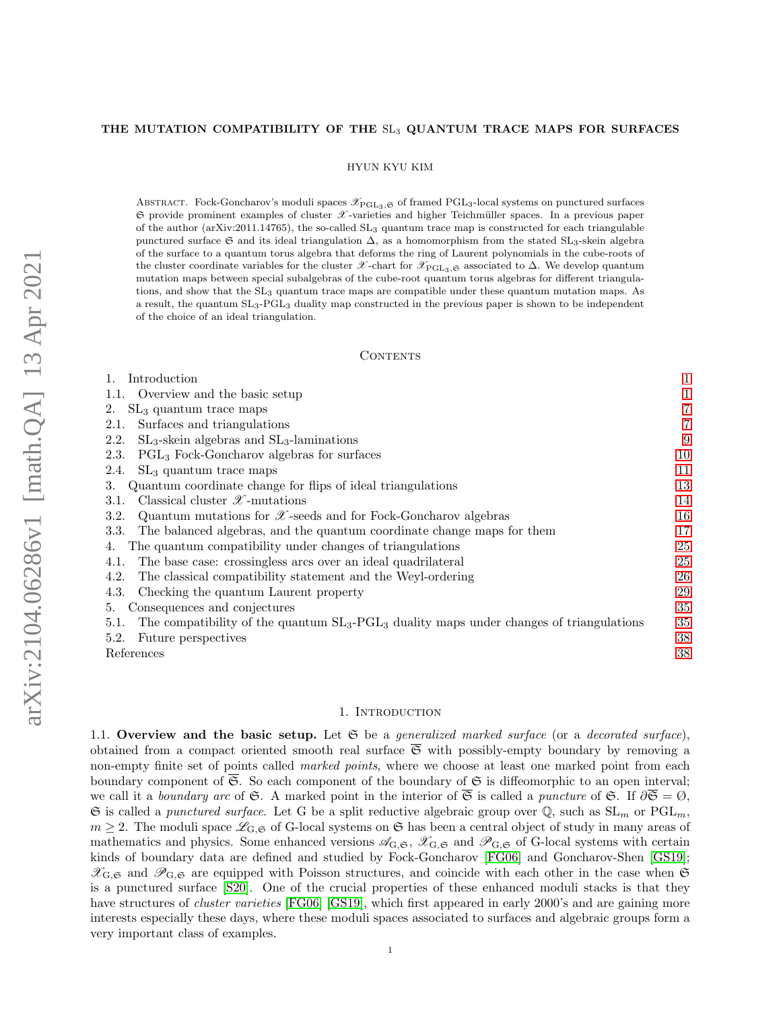## THE MUTATION COMPATIBILITY OF THE SL<sub>3</sub> QUANTUM TRACE MAPS FOR SURFACES

HYUN KYU KIM

ABSTRACT. Fock-Goncharov's moduli spaces  $\mathcal{X}_{\mathrm{PGL}_3,\mathfrak{S}}$  of framed PGL<sub>3</sub>-local systems on punctured surfaces  $\mathfrak S$  provide prominent examples of cluster  $\mathscr X$ -varieties and higher Teichmüller spaces. In a previous paper of the author (arXiv:2011.14765), the so-called SL<sup>3</sup> quantum trace map is constructed for each triangulable punctured surface G and its ideal triangulation  $\Delta$ , as a homomorphism from the stated SL<sub>3</sub>-skein algebra of the surface to a quantum torus algebra that deforms the ring of Laurent polynomials in the cube-roots of the cluster coordinate variables for the cluster  $\mathscr{X}\text{-} \text{chart}$  for  $\mathscr{X}\text{-}\text{c}_{\text{BGL}_3,\mathfrak{S}}$  associated to  $\Delta$ . We develop quantum mutation maps between special subalgebras of the cube-root quantum torus algebras for different triangulations, and show that the SL<sup>3</sup> quantum trace maps are compatible under these quantum mutation maps. As a result, the quantum SL3-PGL<sup>3</sup> duality map constructed in the previous paper is shown to be independent of the choice of an ideal triangulation.

#### CONTENTS

| Introduction                                                                                                   |    |
|----------------------------------------------------------------------------------------------------------------|----|
| 1.1. Overview and the basic setup                                                                              |    |
| $SL3$ quantum trace maps<br>2.                                                                                 |    |
| Surfaces and triangulations<br>2.1.                                                                            | 7  |
| $SL_3$ -skein algebras and $SL_3$ -laminations<br>2.2.                                                         | 9  |
| $PGL3$ Fock-Goncharov algebras for surfaces<br>2.3.                                                            | 10 |
| $SL3$ quantum trace maps<br>2.4.                                                                               | 11 |
| Quantum coordinate change for flips of ideal triangulations<br>3.                                              | 13 |
| Classical cluster $\mathscr{X}$ -mutations<br>3.1.                                                             | 14 |
| Quantum mutations for $\mathscr X$ -seeds and for Fock-Goncharov algebras<br>3.2.                              | 16 |
| The balanced algebras, and the quantum coordinate change maps for them<br>3.3.                                 | 17 |
| The quantum compatibility under changes of triangulations<br>4.                                                | 25 |
| The base case: crossingless arcs over an ideal quadrilateral<br>4.1.                                           | 25 |
| The classical compatibility statement and the Weyl-ordering<br>4.2.                                            | 26 |
| Checking the quantum Laurent property<br>4.3.                                                                  | 29 |
| Consequences and conjectures<br>5.                                                                             | 35 |
| The compatibility of the quantum $SL_3$ -PGL <sub>3</sub> duality maps under changes of triangulations<br>5.1. | 35 |
| 5.2.<br>Future perspectives                                                                                    | 38 |
| References                                                                                                     | 38 |

### 1. Introduction

<span id="page-0-1"></span><span id="page-0-0"></span>1.1. Overview and the basic setup. Let  $G$  be a generalized marked surface (or a decorated surface), obtained from a compact oriented smooth real surface  $\overline{\mathfrak{S}}$  with possibly-empty boundary by removing a non-empty finite set of points called *marked points*, where we choose at least one marked point from each boundary component of  $\overline{\mathfrak{S}}$ . So each component of the boundary of  $\mathfrak{S}$  is diffeomorphic to an open interval; we call it a boundary arc of S. A marked point in the interior of  $\overline{S}$  is called a puncture of S. If  $\partial \overline{S} = \emptyset$ ,  $\mathfrak S$  is called a punctured surface. Let G be a split reductive algebraic group over  $\mathbb Q$ , such as  $SL_m$  or  $PGL_m$ ,  $m \geq 2$ . The moduli space  $\mathcal{L}_{G,\mathfrak{S}}$  of G-local systems on  $\mathfrak{S}$  has been a central object of study in many areas of mathematics and physics. Some enhanced versions  $\mathscr{A}_{G,\mathfrak{S}}, \mathscr{X}_{G,\mathfrak{S}}$  and  $\mathscr{P}_{G,\mathfrak{S}}$  of G-local systems with certain kinds of boundary data are defined and studied by Fock-Goncharov [\[FG06\]](#page-37-2) and Goncharov-Shen [\[GS19\]](#page-38-0);  $\mathscr{X}_{G,\mathfrak{S}}$  and  $\mathscr{P}_{G,\mathfrak{S}}$  are equipped with Poisson structures, and coincide with each other in the case when  $\mathfrak{S}$ is a punctured surface [\[S20\]](#page-38-1). One of the crucial properties of these enhanced moduli stacks is that they have structures of *cluster varieties* [\[FG06\]](#page-37-2) [\[GS19\]](#page-38-0), which first appeared in early 2000's and are gaining more interests especially these days, where these moduli spaces associated to surfaces and algebraic groups form a very important class of examples.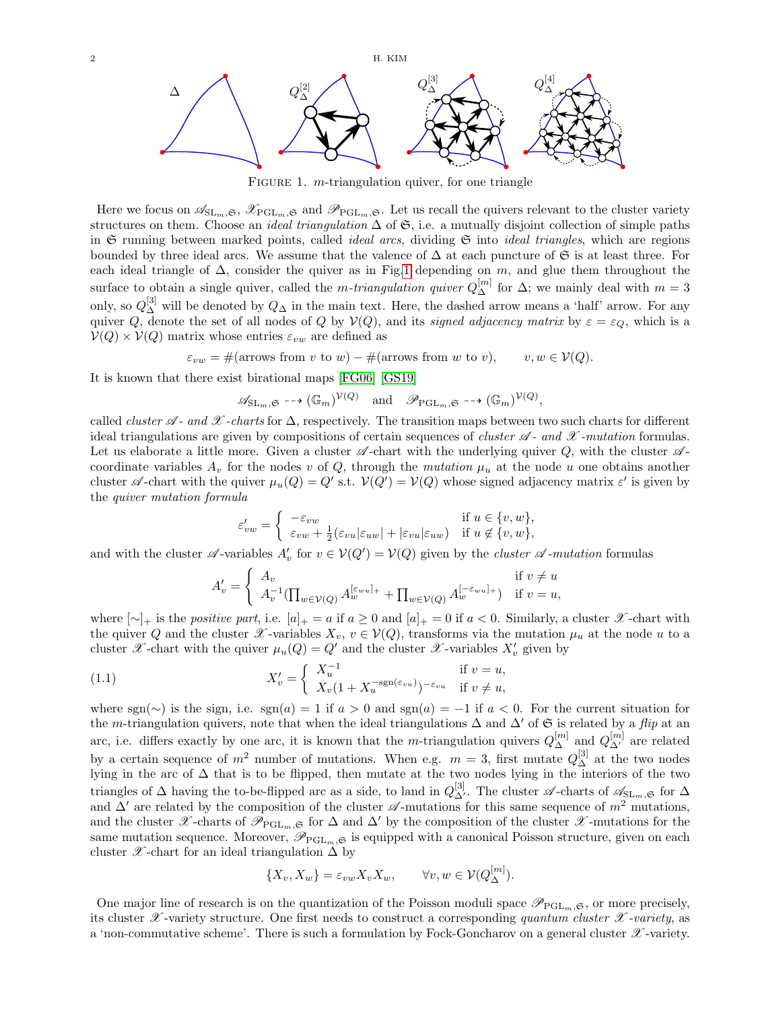

<span id="page-1-0"></span>FIGURE 1.  $m$ -triangulation quiver, for one triangle

Here we focus on  $\mathscr{A}_{SL_m,\mathfrak{S}},\mathscr{X}_{PGL_m,\mathfrak{S}}$  and  $\mathscr{P}_{PGL_m,\mathfrak{S}}$ . Let us recall the quivers relevant to the cluster variety structures on them. Choose an *ideal triangulation*  $\Delta$  of  $\mathfrak{S}$ , i.e. a mutually disjoint collection of simple paths in  $\mathfrak S$  running between marked points, called *ideal arcs*, dividing  $\mathfrak S$  into *ideal triangles*, which are regions bounded by three ideal arcs. We assume that the valence of  $\Delta$  at each puncture of G is at least three. For each ideal triangle of  $\Delta$ , consider the quiver as in Fig[.1](#page-1-0) depending on m, and glue them throughout the surface to obtain a single quiver, called the *m-triangulation quiver*  $Q_{\Delta}^{[m]}$  for  $\Delta$ ; we mainly deal with  $m=3$ only, so  $Q_{\Delta}^{[3]}$  will be denoted by  $Q_{\Delta}$  in the main text. Here, the dashed arrow means a 'half' arrow. For any quiver Q, denote the set of all nodes of Q by  $V(Q)$ , and its signed adjacency matrix by  $\varepsilon = \varepsilon_Q$ , which is a  $V(Q) \times V(Q)$  matrix whose entries  $\varepsilon_{vw}$  are defined as

 $\varepsilon_{vw} = \#(\text{arrows from } v \text{ to } w) - \#(\text{arrows from } w \text{ to } v), \quad v, w \in V(Q).$ 

It is known that there exist birational maps [\[FG06\]](#page-37-2) [\[GS19\]](#page-38-0)

 $\mathscr{A}_{\mathrm{SL}_m,\mathfrak{S}} \dashrightarrow (\mathbb{G}_m)^{\mathcal{V}(Q)}$  and  $\mathscr{P}_{\mathrm{PGL}_m,\mathfrak{S}} \dashrightarrow (\mathbb{G}_m)^{\mathcal{V}(Q)},$ 

called *cluster*  $\mathscr A$  - and  $\mathscr X$  -charts for  $\Delta$ , respectively. The transition maps between two such charts for different ideal triangulations are given by compositions of certain sequences of *cluster*  $\mathscr A$ - and  $\mathscr X$ -mutation formulas. Let us elaborate a little more. Given a cluster  $\mathscr A$ -chart with the underlying quiver Q, with the cluster  $\mathscr A$ coordinate variables  $A_v$  for the nodes v of Q, through the mutation  $\mu_u$  at the node u one obtains another cluster  $\mathscr A$ -chart with the quiver  $\mu_u(Q) = Q'$  s.t.  $\mathcal V(Q') = \mathcal V(Q)$  whose signed adjacency matrix  $\varepsilon'$  is given by the quiver mutation formula

$$
\varepsilon'_{vw} = \begin{cases}\n-\varepsilon_{vw} & \text{if } u \in \{v, w\}, \\
\varepsilon_{vw} + \frac{1}{2}(\varepsilon_{vu}|\varepsilon_{uw}| + |\varepsilon_{vu}|\varepsilon_{uw}) & \text{if } u \notin \{v, w\},\n\end{cases}
$$

and with the cluster  $\mathscr A$ -variables  $A'_v$  for  $v \in V(Q') = V(Q)$  given by the *cluster*  $\mathscr A$ -mutation formulas

$$
A'_{v} = \begin{cases} A_{v} & \text{if } v \neq u \\ A_{v}^{-1}(\prod_{w \in \mathcal{V}(Q)} A_{w}^{[\varepsilon_{wu}]_{+}} + \prod_{w \in \mathcal{V}(Q)} A_{w}^{[-\varepsilon_{wu}]_{+}}) & \text{if } v = u, \end{cases}
$$

where  $[\sim]_+$  is the positive part, i.e.  $[a]_+ = a$  if  $a \geq 0$  and  $[a]_+ = 0$  if  $a < 0$ . Similarly, a cluster  $\mathscr X$ -chart with the quiver Q and the cluster  $\mathscr X$ -variables  $X_v$ ,  $v \in V(Q)$ , transforms via the mutation  $\mu_u$  at the node u to a cluster  $\mathscr X$ -chart with the quiver  $\mu_u(Q) = Q'$  and the cluster  $\mathscr X$ -variables  $X'_v$  given by

<span id="page-1-1"></span>(1.1) 
$$
X'_{v} = \begin{cases} X_{u}^{-1} & \text{if } v = u, \\ X_{v}(1 + X_{u}^{-\text{sgn}(\varepsilon_{vu})})^{-\varepsilon_{vu}} & \text{if } v \neq u, \end{cases}
$$

where sgn(∼) is the sign, i.e. sgn(a) = 1 if  $a > 0$  and sgn(a) = −1 if  $a < 0$ . For the current situation for the m-triangulation quivers, note that when the ideal triangulations  $\Delta$  and  $\Delta'$  of  $\mathfrak{S}$  is related by a *flip* at an arc, i.e. differs exactly by one arc, it is known that the *m*-triangulation quivers  $Q_{\Delta}^{[m]}$  and  $Q_{\Delta'}^{[m]}$  are related by a certain sequence of  $m^2$  number of mutations. When e.g.  $m = 3$ , first mutate  $Q_{\Delta}^{[3]}$  at the two nodes lying in the arc of ∆ that is to be flipped, then mutate at the two nodes lying in the interiors of the two triangles of  $\Delta$  having the to-be-flipped arc as a side, to land in  $Q_{\Delta'}^{[3]}$ . The cluster  $\mathscr{A}$ -charts of  $\mathscr{A}_{SL_m,\mathfrak{S}}$  for  $\Delta$ and  $\Delta'$  are related by the composition of the cluster  $\mathscr A$ -mutations for this same sequence of  $m^2$  mutations, and the cluster  $\mathscr{X}$ -charts of  $\mathscr{P}_{PGL_m,\mathfrak{S}}$  for  $\Delta$  and  $\Delta'$  by the composition of the cluster  $\mathscr{X}$ -mutations for the same mutation sequence. Moreover,  $\mathscr{P}_{PGL_m,\mathfrak{S}}$  is equipped with a canonical Poisson structure, given on each cluster  $\mathscr X$ -chart for an ideal triangulation  $\Delta$  by

$$
\{X_v, X_w\} = \varepsilon_{vw} X_v X_w, \qquad \forall v, w \in \mathcal{V}(Q_{\Delta}^{[m]}).
$$

One major line of research is on the quantization of the Poisson moduli space  $\mathscr{P}_{PGL_m,\mathfrak{S}}$ , or more precisely, its cluster  $\mathscr X$ -variety structure. One first needs to construct a corresponding quantum cluster  $\mathscr X$ -variety, as a 'non-commutative scheme'. There is such a formulation by Fock-Goncharov on a general cluster  $\mathscr X$ -variety.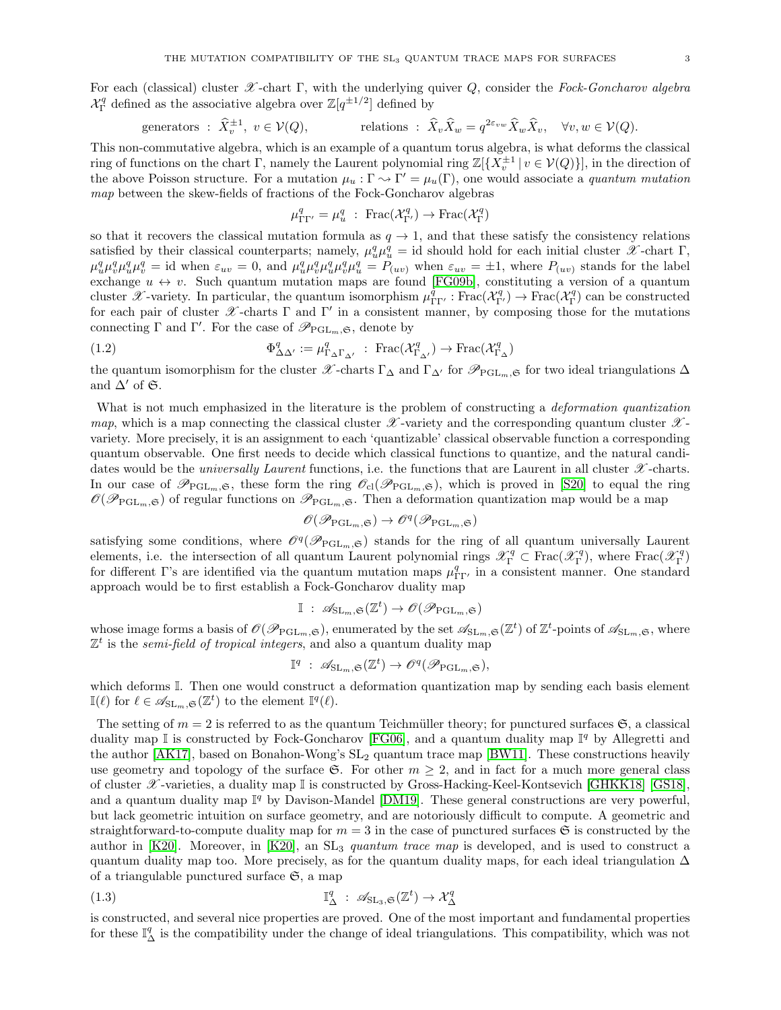For each (classical) cluster  $\mathscr X$ -chart Γ, with the underlying quiver Q, consider the Fock-Goncharov algebra  $\mathcal{X}_{\Gamma}^{q}$  defined as the associative algebra over  $\mathbb{Z}[q^{\pm 1/2}]$  defined by

generators : 
$$
\widehat{X}_v^{\pm 1}
$$
,  $v \in \mathcal{V}(Q)$ , relations :  $\widehat{X}_v \widehat{X}_w = q^{2\varepsilon_{vw}} \widehat{X}_w \widehat{X}_v$ ,  $\forall v, w \in \mathcal{V}(Q)$ .

This non-commutative algebra, which is an example of a quantum torus algebra, is what deforms the classical ring of functions on the chart  $\Gamma$ , namely the Laurent polynomial ring  $\mathbb{Z}[\{X_v^{\pm 1} \mid v \in \mathcal{V}(Q)\}]$ , in the direction of the above Poisson structure. For a mutation  $\mu_u : \Gamma \to \Gamma' = \mu_u(\Gamma)$ , one would associate a quantum mutation map between the skew-fields of fractions of the Fock-Goncharov algebras

$$
\mu_{\Gamma\Gamma'}^q = \mu_u^q : \operatorname{Frac}(\mathcal{X}_{\Gamma'}^q) \to \operatorname{Frac}(\mathcal{X}_{\Gamma}^q)
$$

so that it recovers the classical mutation formula as  $q \to 1$ , and that these satisfy the consistency relations satisfied by their classical counterparts; namely,  $\mu_u^q \mu_u^q = id$  should hold for each initial cluster  $\mathscr X$ -chart  $\Gamma$ ,  $\mu_u^q \mu_v^q \mu_u^q \mu_v^q =$  id when  $\varepsilon_{uv} = 0$ , and  $\mu_u^q \mu_v^q \mu_u^q \mu_v^q \mu_u^q = P_{(uv)}$  when  $\varepsilon_{uv} = \pm 1$ , where  $P_{(uv)}$  stands for the label exchange  $u \leftrightarrow v$ . Such quantum mutation maps are found [\[FG09b\]](#page-38-2), constituting a version of a quantum cluster X-variety. In particular, the quantum isomorphism  $\mu_{\Gamma\Gamma'}^{\dot{q}} : \text{Frac}(\mathcal{X}_{\Gamma'}^q) \to \text{Frac}(\mathcal{X}_{\Gamma}^q)$  can be constructed for each pair of cluster  $\mathscr X$ -charts  $\Gamma$  and  $\Gamma'$  in a consistent manner, by composing those for the mutations connecting  $\Gamma$  and  $\Gamma'$ . For the case of  $\mathscr{P}_{\mathrm{PGL}_m,\mathfrak{S}}$ , denote by

<span id="page-2-1"></span>(1.2) 
$$
\Phi_{\Delta \Delta'}^q := \mu_{\Gamma_{\Delta} \Gamma_{\Delta'}}^q : \operatorname{Frac}(\mathcal{X}_{\Gamma_{\Delta'}}^q) \to \operatorname{Frac}(\mathcal{X}_{\Gamma_{\Delta}}^q)
$$

the quantum isomorphism for the cluster  $\mathscr{X}\text{-}\text{ charts } \Gamma_{\Delta}$  and  $\Gamma_{\Delta}$  for  $\mathscr{P}_{\text{PGL}_m,\mathfrak{S}}$  for two ideal triangulations  $\Delta$ and  $\Delta'$  of  $\mathfrak{S}.$ 

What is not much emphasized in the literature is the problem of constructing a *deformation quantization* map, which is a map connecting the classical cluster  $\mathscr X$ -variety and the corresponding quantum cluster  $\mathscr X$ variety. More precisely, it is an assignment to each 'quantizable' classical observable function a corresponding quantum observable. One first needs to decide which classical functions to quantize, and the natural candidates would be the *universally Laurent* functions, i.e. the functions that are Laurent in all cluster  $\mathscr X$ -charts. In our case of  $\mathscr{P}_{PGL_m,\mathfrak{S}}$ , these form the ring  $\mathscr{O}_{\text{cl}}(\mathscr{P}_{PGL_m,\mathfrak{S}})$ , which is proved in [\[S20\]](#page-38-1) to equal the ring  $\mathscr{O}(\mathscr{P}_{PGL_m,\mathfrak{S}})$  of regular functions on  $\mathscr{P}_{PGL_m,\mathfrak{S}}$ . Then a deformation quantization map would be a map

$$
\mathscr{O}(\mathscr{P}_{\mathrm{PGL}_m,\mathfrak{S}})\to \mathscr{O}^q(\mathscr{P}_{\mathrm{PGL}_m,\mathfrak{S}})
$$

satisfying some conditions, where  $\mathcal{O}^q(\mathscr{P}_{PGL_m,\mathfrak{S}})$  stands for the ring of all quantum universally Laurent elements, i.e. the intersection of all quantum Laurent polynomial rings  $\mathscr{X}_{\Gamma}^q \subset \text{Frac}(\mathscr{X}_{\Gamma}^q)$ , where  $\text{Frac}(\mathscr{X}_{\Gamma}^q)$ for different Γ's are identified via the quantum mutation maps  $\mu_{\Gamma\Gamma'}^q$  in a consistent manner. One standard approach would be to first establish a Fock-Goncharov duality map

$$
\mathbb{I} : \mathscr{A}_{\mathrm{SL}_m,\mathfrak{S}}(\mathbb{Z}^t) \to \mathscr{O}(\mathscr{P}_{\mathrm{PGL}_m,\mathfrak{S}})
$$

whose image forms a basis of  $\mathscr{O}(\mathscr{P}_{\mathrm{PGL}_m,\mathfrak{S}})$ , enumerated by the set  $\mathscr{A}_{\mathrm{SL}_m,\mathfrak{S}}(\mathbb{Z}^t)$  of  $\mathbb{Z}^t$ -points of  $\mathscr{A}_{\mathrm{SL}_m,\mathfrak{S}}$ , where  $\mathbb{Z}^t$  is the semi-field of tropical integers, and also a quantum duality map

$$
\mathbb{I}^q \; : \; \mathscr{A}_{\mathrm{SL}_m,\mathfrak{S}}(\mathbb{Z}^t) \to \mathscr{O}^q(\mathscr{P}_{\mathrm{PGL}_m,\mathfrak{S}}),
$$

which deforms I. Then one would construct a deformation quantization map by sending each basis element  $\mathbb{I}(\ell)$  for  $\ell \in \mathscr{A}_{\mathrm{SL}_m,\mathfrak{S}}(\mathbb{Z}^t)$  to the element  $\mathbb{I}^q(\ell)$ .

The setting of  $m = 2$  is referred to as the quantum Teichmüller theory; for punctured surfaces  $\mathfrak{S}$ , a classical duality map  $\mathbb I$  is constructed by Fock-Goncharov [\[FG06\]](#page-37-2), and a quantum duality map  $\mathbb I^q$  by Allegretti and the author  $[AK17]$ , based on Bonahon-Wong's  $SL_2$  quantum trace map  $[BW11]$ . These constructions heavily use geometry and topology of the surface G. For other  $m \geq 2$ , and in fact for a much more general class of cluster  $\mathscr X$ -varieties, a duality map I is constructed by Gross-Hacking-Keel-Kontsevich [\[GHKK18\]](#page-38-3) [\[GS18\]](#page-38-4), and a quantum duality map  $\mathbb{I}^q$  by Davison-Mandel [\[DM19\]](#page-37-5). These general constructions are very powerful, but lack geometric intuition on surface geometry, and are notoriously difficult to compute. A geometric and straightforward-to-compute duality map for  $m = 3$  in the case of punctured surfaces  $\mathfrak{S}$  is constructed by the author in [\[K20\]](#page-38-5). Moreover, in [K20], an  $SL_3$  quantum trace map is developed, and is used to construct a quantum duality map too. More precisely, as for the quantum duality maps, for each ideal triangulation  $\Delta$ of a triangulable punctured surface  $\mathfrak{S}$ , a map

<span id="page-2-0"></span>(1.3) 
$$
\mathbb{I}_{\Delta}^{q} : \mathscr{A}_{\mathrm{SL}_{3}, \mathfrak{S}}(\mathbb{Z}^{t}) \to \mathcal{X}_{\Delta}^{q}
$$

is constructed, and several nice properties are proved. One of the most important and fundamental properties for these  $\mathbb{I}^q_\Delta$  is the compatibility under the change of ideal triangulations. This compatibility, which was not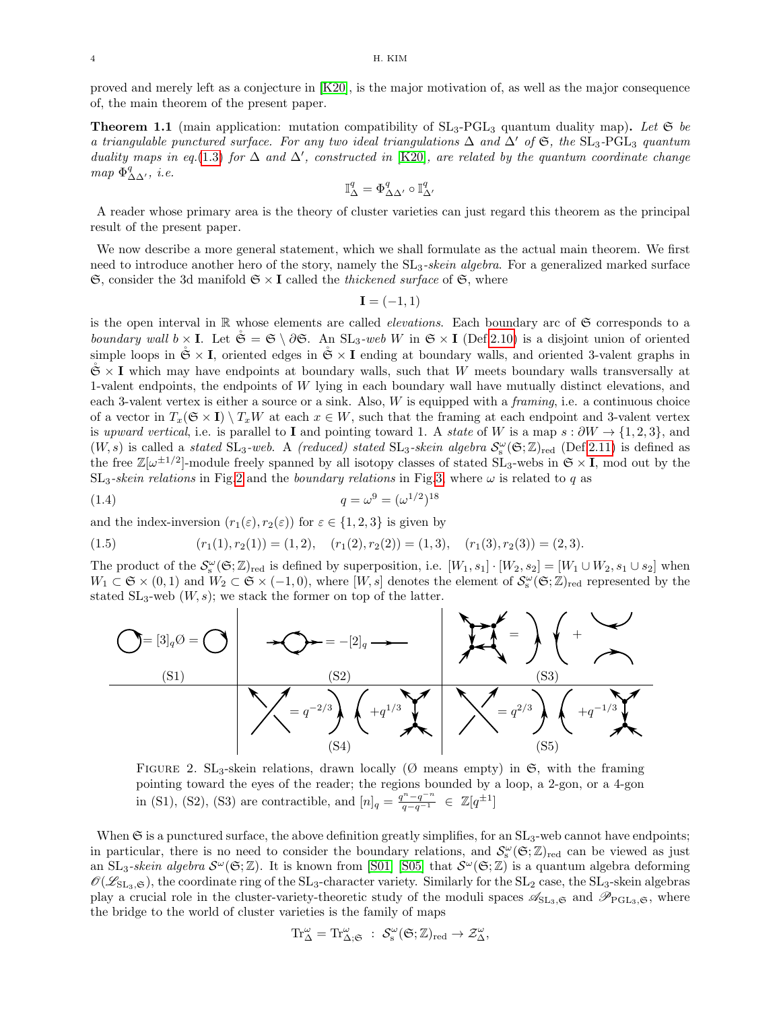proved and merely left as a conjecture in [\[K20\]](#page-38-5), is the major motivation of, as well as the major consequence of, the main theorem of the present paper.

<span id="page-3-1"></span>**Theorem 1.1** (main application: mutation compatibility of  $SL_3$ -PGL<sub>3</sub> quantum duality map). Let  $\mathfrak{S}$  be a triangulable punctured surface. For any two ideal triangulations  $\Delta$  and  $\Delta'$  of  $\mathfrak{S}$ , the SL<sub>3</sub>-PGL<sub>3</sub> quantum duality maps in eq.[\(1.3\)](#page-2-0) for  $\Delta$  and  $\Delta'$ , constructed in [\[K20\]](#page-38-5), are related by the quantum coordinate change map  $\Phi^q_{\Delta\Delta'}$ , *i.e.* 

$$
\mathbb{I}_{\Delta}^q = \Phi^q_{\Delta \Delta'} \circ \mathbb{I}_{\Delta'}^q
$$

A reader whose primary area is the theory of cluster varieties can just regard this theorem as the principal result of the present paper.

We now describe a more general statement, which we shall formulate as the actual main theorem. We first need to introduce another hero of the story, namely the  $SL_3$ -skein algebra. For a generalized marked surface  $\mathfrak{S}$ , consider the 3d manifold  $\mathfrak{S} \times \mathbf{I}$  called the thickened surface of  $\mathfrak{S}$ , where

$$
\mathbf{I} = (-1, 1)
$$

is the open interval in  $\mathbb R$  whose elements are called *elevations*. Each boundary arc of  $\mathfrak S$  corresponds to a boundary wall  $b \times I$ . Let  $\check{\mathfrak{S}} = \mathfrak{S} \setminus \partial \mathfrak{S}$ . An  $SL_3$ -web W in  $\mathfrak{S} \times I$  (Def[.2.10\)](#page-8-1) is a disjoint union of oriented simple loops in  $\mathfrak{S} \times I$ , oriented edges in  $\mathfrak{S} \times I$  ending at boundary walls, and oriented 3-valent graphs in  $\mathfrak{S} \times I$  which may have endpoints at boundary walls, such that W meets boundary walls transversally at 1-valent endpoints, the endpoints of W lying in each boundary wall have mutually distinct elevations, and each 3-valent vertex is either a source or a sink. Also, W is equipped with a framing, i.e. a continuous choice of a vector in  $T_x(\mathfrak{S} \times I) \setminus T_xW$  at each  $x \in W$ , such that the framing at each endpoint and 3-valent vertex is upward vertical, i.e. is parallel to I and pointing toward 1. A state of W is a map  $s : \partial W \to \{1, 2, 3\}$ , and  $(W, s)$  is called a stated  $SL_3$ -web. A (reduced) stated  $SL_3$ -skein algebra  $\mathcal{S}_s^{\omega}(\mathfrak{S}; \mathbb{Z})_{red}$  (Def[.2.11\)](#page-8-2) is defined as the free  $\mathbb{Z}[\omega^{\pm 1/2}]$ -module freely spanned by all isotopy classes of stated  $SL_3$ -webs in  $\mathfrak{S} \times I$ , mod out by the  $SL_3$ -skein relations in Fig[.2](#page-3-0) and the boundary relations in Fig[.3,](#page-4-0) where  $\omega$  is related to q as

<span id="page-3-2"></span>(1.4) 
$$
q = \omega^9 = (\omega^{1/2})^{18}
$$

and the index-inversion  $(r_1(\varepsilon), r_2(\varepsilon))$  for  $\varepsilon \in \{1, 2, 3\}$  is given by

<span id="page-3-3"></span>(1.5) 
$$
(r_1(1), r_2(1)) = (1, 2), (r_1(2), r_2(2)) = (1, 3), (r_1(3), r_2(3)) = (2, 3).
$$

The product of the  $\mathcal{S}_s^{\omega}(\mathfrak{S}; \mathbb{Z})_{\text{red}}$  is defined by superposition, i.e.  $[W_1, s_1] \cdot [W_2, s_2] = [W_1 \cup W_2, s_1 \cup s_2]$  when  $W_1 \subset \mathfrak{S} \times (0,1)$  and  $W_2 \subset \mathfrak{S} \times (-1,0)$ , where  $[W,s]$  denotes the element of  $\mathcal{S}_s^{\omega}(\mathfrak{S};\mathbb{Z})_{\text{red}}$  represented by the stated  $SL_3$ -web  $(W, s)$ ; we stack the former on top of the latter.



<span id="page-3-0"></span>FIGURE 2. SL<sub>3</sub>-skein relations, drawn locally ( $\emptyset$  means empty) in  $\mathfrak{S}$ , with the framing pointing toward the eyes of the reader; the regions bounded by a loop, a 2-gon, or a 4-gon in (S1), (S2), (S3) are contractible, and  $[n]_q = \frac{q^n - q^{-n}}{q - q^{-1}} \in \mathbb{Z}[q^{\pm 1}]$ 

When  $\mathfrak S$  is a punctured surface, the above definition greatly simplifies, for an  $SL_3$ -web cannot have endpoints; in particular, there is no need to consider the boundary relations, and  $\mathcal{S}_s^{\omega}(\mathfrak{S}; \mathbb{Z})_{red}$  can be viewed as just an  $SL_3$ -skein algebra  $\mathcal{S}^{\omega}(\mathfrak{S}; \mathbb{Z})$ . It is known from [\[S01\]](#page-38-6) [\[S05\]](#page-38-7) that  $\mathcal{S}^{\omega}(\mathfrak{S}; \mathbb{Z})$  is a quantum algebra deforming  $\mathcal{O}(\mathcal{L}_{SL_3,\mathfrak{S}})$ , the coordinate ring of the  $SL_3$ -character variety. Similarly for the  $SL_2$  case, the  $SL_3$ -skein algebras play a crucial role in the cluster-variety-theoretic study of the moduli spaces  $\mathscr{A}_{SL_3, \mathfrak{S}}$  and  $\mathscr{P}_{PGL_3, \mathfrak{S}}$ , where the bridge to the world of cluster varieties is the family of maps

$$
\mathrm{Tr}^\omega_\Delta=\mathrm{Tr}^\omega_{\Delta;\mathfrak{S}}\;:\;\mathcal{S}_s^\omega(\mathfrak{S};\mathbb{Z})_{\mathrm{red}}\to\mathcal{Z}^\omega_\Delta,
$$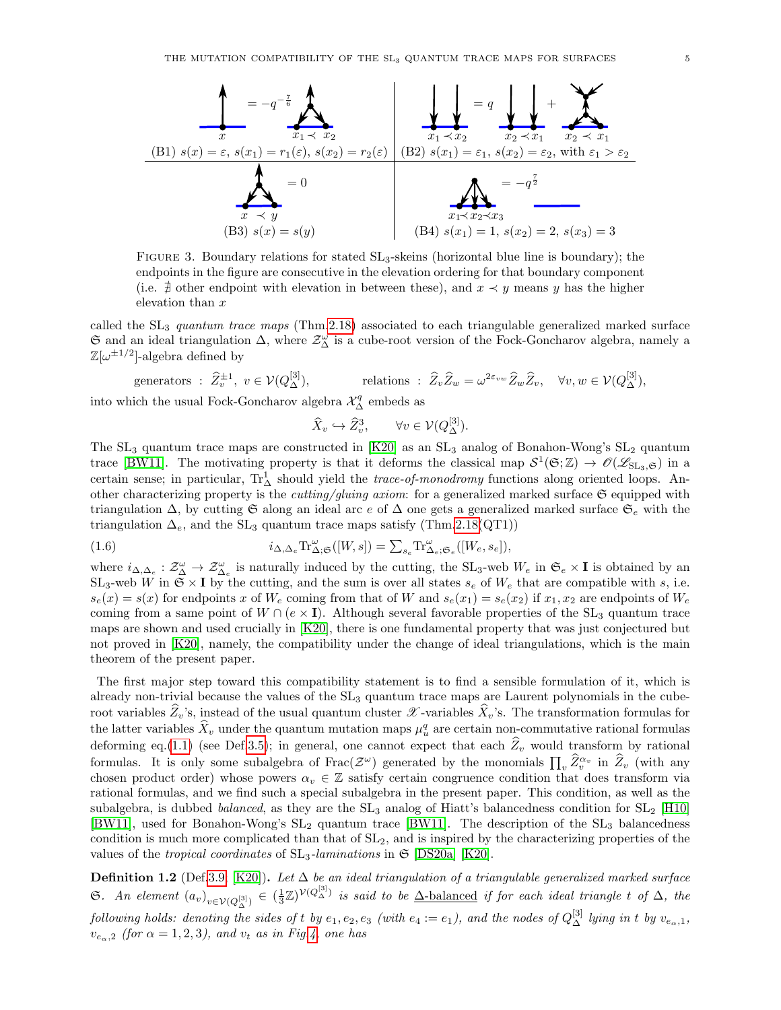

<span id="page-4-0"></span>FIGURE 3. Boundary relations for stated  $SL_3$ -skeins (horizontal blue line is boundary); the endpoints in the figure are consecutive in the elevation ordering for that boundary component (i.e.  $#$  other endpoint with elevation in between these), and  $x \prec y$  means y has the higher elevation than x

called the  $SL_3$  quantum trace maps (Thm[.2.18\)](#page-11-0) associated to each triangulable generalized marked surface  $\mathfrak S$  and an ideal triangulation  $\Delta$ , where  $\mathcal Z_\Delta^\omega$  is a cube-root version of the Fock-Goncharov algebra, namely a  $\mathbb{Z}[\omega^{\pm 1/2}]$ -algebra defined by

generators: 
$$
\hat{Z}_v^{\pm 1}
$$
,  $v \in V(Q_{\Delta}^{[3]})$ , relations:  $\hat{Z}_v \hat{Z}_w = \omega^{2\varepsilon_v w} \hat{Z}_w \hat{Z}_v$ ,  $\forall v, w \in V(Q_{\Delta}^{[3]})$ ,

into which the usual Fock-Goncharov algebra  $\mathcal{X}^q_{\Delta}$  embeds as

$$
\widehat{X}_v \hookrightarrow \widehat{Z}_v^3, \qquad \forall v \in \mathcal{V}(Q_{\Delta}^{[3]}).
$$

The  $SL_3$  quantum trace maps are constructed in [\[K20\]](#page-38-5) as an  $SL_3$  analog of Bonahon-Wong's  $SL_2$  quantum trace [\[BW11\]](#page-37-4). The motivating property is that it deforms the classical map  $S^1(\mathfrak{S}; \mathbb{Z}) \to \mathcal{O}(\mathscr{L}_{\mathrm{SL}_3, \mathfrak{S}})$  in a certain sense; in particular,  $\text{Tr}^1_\Delta$  should yield the *trace-of-monodromy* functions along oriented loops. Another characterizing property is the *cutting/gluing axiom*: for a generalized marked surface  $\mathfrak{S}$  equipped with triangulation  $\Delta$ , by cutting G along an ideal arc e of  $\Delta$  one gets a generalized marked surface  $\mathfrak{S}_e$  with the triangulation  $\Delta_e$ , and the SL<sub>3</sub> quantum trace maps satisfy (Thm[.2.18\(](#page-11-0)QT1))

<span id="page-4-1"></span>(1.6) 
$$
i_{\Delta,\Delta_e} \text{Tr}^{\omega}_{\Delta;\mathfrak{S}}([W,s]) = \sum_{s_e} \text{Tr}^{\omega}_{\Delta_e;\mathfrak{S}_e}([W_e, s_e]),
$$

where  $i_{\Delta,\Delta_e} : \mathcal{Z}^{\omega}_{\Delta} \to \mathcal{Z}^{\omega}_{\Delta_e}$  is naturally induced by the cutting, the SL<sub>3</sub>-web  $W_e$  in  $\mathfrak{S}_e \times \mathbf{I}$  is obtained by an  $SL_3$ -web W in  $\mathfrak{S} \times I$  by the cutting, and the sum is over all states  $s_e$  of  $W_e$  that are compatible with s, i.e.  $s_e(x) = s(x)$  for endpoints x of  $W_e$  coming from that of W and  $s_e(x_1) = s_e(x_2)$  if  $x_1, x_2$  are endpoints of  $W_e$ coming from a same point of  $W \cap (e \times I)$ . Although several favorable properties of the SL<sub>3</sub> quantum trace maps are shown and used crucially in [\[K20\]](#page-38-5), there is one fundamental property that was just conjectured but not proved in [\[K20\]](#page-38-5), namely, the compatibility under the change of ideal triangulations, which is the main theorem of the present paper.

The first major step toward this compatibility statement is to find a sensible formulation of it, which is already non-trivial because the values of the SL<sup>3</sup> quantum trace maps are Laurent polynomials in the cuberoot variables  $Z_v$ 's, instead of the usual quantum cluster  $\mathscr X$ -variables  $X_v$ 's. The transformation formulas for the latter variables  $\hat{X}_v$  under the quantum mutation maps  $\mu_u^q$  are certain non-commutative rational formulas deforming eq.[\(1.1\)](#page-1-1) (see Def[.3.5\)](#page-15-1); in general, one cannot expect that each  $\hat{Z}_v$  would transform by rational formulas. It is only some subalgebra of  $Frac(\mathcal{Z}^{\omega})$  generated by the monomials  $\prod_{v} \widehat{Z}_{v}^{\alpha_{v}}$  in  $\widehat{Z}_{v}$  (with any chosen product order) whose powers  $\alpha_v \in \mathbb{Z}$  satisfy certain congruence condition that does transform via rational formulas, and we find such a special subalgebra in the present paper. This condition, as well as the subalgebra, is dubbed *balanced*, as they are the  $SL_3$  analog of Hiatt's balancedness condition for  $SL_2$  [\[H10\]](#page-38-8) [\[BW11\]](#page-37-4), used for Bonahon-Wong's  $SL_2$  quantum trace [\[BW11\]](#page-37-4). The description of the  $SL_3$  balancedness condition is much more complicated than that of  $SL<sub>2</sub>$ , and is inspired by the characterizing properties of the values of the *tropical coordinates* of  $SL_3$ -laminations in  $\mathfrak{S}$  [\[DS20a\]](#page-37-6) [\[K20\]](#page-38-5).

**Definition 1.2** (Def[.3.9;](#page-17-0) [\[K20\]](#page-38-5)). Let  $\Delta$  be an ideal triangulation of a triangulable generalized marked surface G. An element  $(a_v)_{v \in V(Q_\Delta^{[3]})} \in (\frac{1}{3}\mathbb{Z})^{\mathcal{V}(Q_\Delta^{[3]})}$  is said to be  $\Delta$ -balanced if for each ideal triangle t of  $\Delta$ , the following holds: denoting the sides of t by  $e_1,e_2,e_3$  (with  $e_4:=e_1$ ), and the nodes of  $Q_{\Delta}^{[3]}$  lying in t by  $v_{e_{\alpha},1}$ ,  $v_{e_0,2}$  (for  $\alpha = 1,2,3$ ), and  $v_t$  as in Fig[.4,](#page-5-0) one has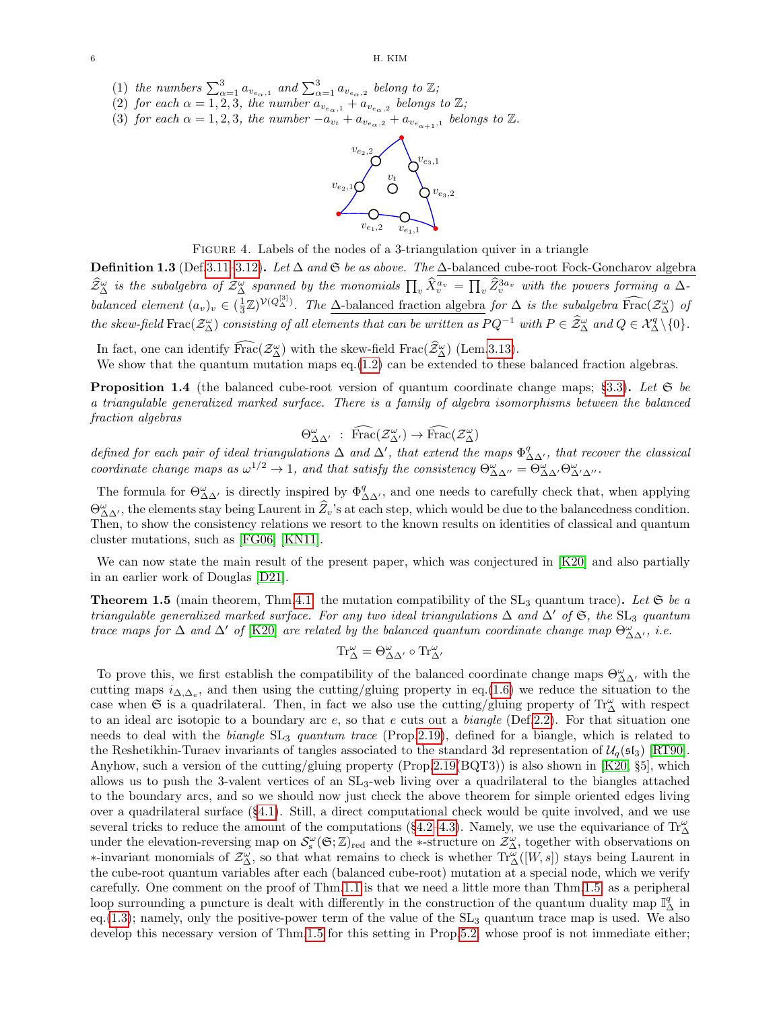- (1) the numbers  $\sum_{\alpha=1}^{3} a_{v_{e_{\alpha}},1}$  and  $\sum_{\alpha=1}^{3} a_{v_{e_{\alpha}},2}$  belong to  $\mathbb{Z}$ ;
- (2) for each  $\alpha = \overline{1,2,3}$ , the number  $a_{v_{e_{\alpha},1}} + a_{v_{e_{\alpha},2}}$  belongs to  $\mathbb{Z}$ ;
- (3) for each  $\alpha = 1, 2, 3$ , the number  $-a_{v_t} + a_{v_{e_{\alpha},2}} + a_{v_{e_{\alpha+1},1}}$  belongs to  $\mathbb{Z}$ .



<span id="page-5-0"></span>FIGURE 4. Labels of the nodes of a 3-triangulation quiver in a triangle

**Definition 1.3** (Def[.3.11–](#page-17-1)[3.12\)](#page-17-2). Let  $\Delta$  and  $\mathfrak{S}$  be as above. The  $\Delta$ -balanced cube-root Fock-Goncharov algebra  $\widehat{Z}_{\Delta}^{\omega}$  is the subalgebra of  $\mathcal{Z}_{\Delta}^{\omega}$  spanned by the monomials  $\prod_{v} \widehat{X}_{v}^{a_{v}} = \prod_{v} \widehat{Z}_{v}^{3a_{v}}$  with the powers forming a  $\Delta$ balanced element  $(a_v)_v \in (\frac{1}{3}\mathbb{Z})^{\mathcal{V}(Q_{\Delta}^{[3]})}$ . The  $\Delta$ -balanced fraction algebra for  $\Delta$  is the subalgebra  $\widehat{\text{frac}}(\mathcal{Z}_{\Delta}^{\omega})$  of the skew-field  $\text{Frac}(\mathcal{Z}_{\Delta}^{\omega})$  consisting of all elements that can be written as  $PQ^{-1}$  with  $P \in \hat{\mathcal{Z}}_{\Delta}^{\omega}$  and  $Q \in \mathcal{X}_{\Delta}^{q} \setminus \{0\}.$ 

In fact, one can identify  $\widehat{Frac}(Z^{\omega}_{\Delta})$  with the skew-field  $Frac(\widehat{Z}^{\omega}_{\Delta})$  (Lem[.3.13\)](#page-18-0).

We show that the quantum mutation maps eq.[\(1.2\)](#page-2-1) can be extended to these balanced fraction algebras.

**Proposition 1.4** (the balanced cube-root version of quantum coordinate change maps; §[3.3\)](#page-16-0). Let  $\mathfrak{S}$  be a triangulable generalized marked surface. There is a family of algebra isomorphisms between the balanced fraction algebras

$$
\Theta^{\omega}_{\Delta\Delta'} \; : \; \widehat{\text{Frac}}(\mathcal{Z}^{\omega}_{\Delta'}) \to \widehat{\text{Frac}}(\mathcal{Z}^{\omega}_{\Delta})
$$

defined for each pair of ideal triangulations  $\Delta$  and  $\Delta'$ , that extend the maps  $\Phi^q_{\Delta\Delta'}$ , that recover the classical coordinate change maps as  $\omega^{1/2} \to 1$ , and that satisfy the consistency  $\Theta_{\Delta \Delta''}^{\omega} = \Theta_{\Delta \Delta'}^{\omega} \Theta_{\Delta' \Delta''}^{\omega}$ .

The formula for  $\Theta_{\Delta\Delta'}^{\omega}$  is directly inspired by  $\Phi_{\Delta\Delta'}^q$ , and one needs to carefully check that, when applying  $\Theta_{\Delta\Delta'}^{\omega}$ , the elements stay being Laurent in  $\hat{Z}_v$ 's at each step, which would be due to the balancedness condition. Then, to show the consistency relations we resort to the known results on identities of classical and quantum cluster mutations, such as [\[FG06\]](#page-37-2) [\[KN11\]](#page-38-9).

We can now state the main result of the present paper, which was conjectured in [\[K20\]](#page-38-5) and also partially in an earlier work of Douglas [\[D21\]](#page-37-7).

<span id="page-5-1"></span>**Theorem 1.5** (main theorem, Thm[.4.1:](#page-24-2) the mutation compatibility of the  $SL_3$  quantum trace). Let  $\mathfrak{S}$  be a triangulable generalized marked surface. For any two ideal triangulations  $\Delta$  and  $\Delta'$  of  $\mathfrak{S}$ , the SL<sub>3</sub> quantum trace maps for  $\Delta$  and  $\Delta'$  of [\[K20\]](#page-38-5) are related by the balanced quantum coordinate change map  $\Theta_{\Delta\Delta'}^{\omega}$ , i.e.

$$
\operatorname{Tr}_{\Delta}^{\omega}=\Theta_{\Delta\Delta'}^{\omega}\circ\operatorname{Tr}_{\Delta'}^{\omega}
$$

To prove this, we first establish the compatibility of the balanced coordinate change maps  $\Theta_{\Delta\Delta'}^{\omega}$  with the cutting maps  $i_{\Delta,\Delta_e}$ , and then using the cutting/gluing property in eq.[\(1.6\)](#page-4-1) we reduce the situation to the case when G is a quadrilateral. Then, in fact we also use the cutting/gluing property of  $\text{Tr}^{\omega}_{\Delta}$  with respect to an ideal arc isotopic to a boundary arc  $e$ , so that  $e$  cuts out a *biangle* (Def[.2.2\)](#page-6-2). For that situation one needs to deal with the biangle  $SL_3$  quantum trace (Prop[.2.19\)](#page-12-1), defined for a biangle, which is related to the Reshetikhin-Turaev invariants of tangles associated to the standard 3d representation of  $\mathcal{U}_q(\mathfrak{sl}_3)$  [\[RT90\]](#page-38-10). Anyhow, such a version of the cutting/gluing property (Prop[.2.19\(](#page-12-1)BQT3)) is also shown in [\[K20,](#page-38-5) §5], which allows us to push the 3-valent vertices of an  $SL_3$ -web living over a quadrilateral to the biangles attached to the boundary arcs, and so we should now just check the above theorem for simple oriented edges living over a quadrilateral surface (§[4.1\)](#page-24-1). Still, a direct computational check would be quite involved, and we use several tricks to reduce the amount of the computations (§[4.2](#page-25-0)[–4.3\)](#page-28-0). Namely, we use the equivariance of  $\text{Tr}^{\omega}_{\Delta}$ under the elevation-reversing map on  $\mathcal{S}_s^{\omega}(\mathfrak{S}; \mathbb{Z})_{\text{red}}$  and the \*-structure on  $\mathcal{Z}_{\Delta}^{\omega}$ , together with observations on  $\ast$ -invariant monomials of  $\mathcal{Z}_{\Delta}^{\omega}$ , so that what remains to check is whether  $\text{Tr}_{\Delta}^{\overline{\omega}}([W,s])$  stays being Laurent in the cube-root quantum variables after each (balanced cube-root) mutation at a special node, which we verify carefully. One comment on the proof of Thm[.1.1](#page-3-1) is that we need a little more than Thm[.1.5,](#page-5-1) as a peripheral loop surrounding a puncture is dealt with differently in the construction of the quantum duality map  $\mathbb{I}^q_\Delta$  in eq.  $(1.3)$ ; namely, only the positive-power term of the value of the  $SL_3$  quantum trace map is used. We also develop this necessary version of Thm[.1.5](#page-5-1) for this setting in Prop[.5.2,](#page-35-0) whose proof is not immediate either;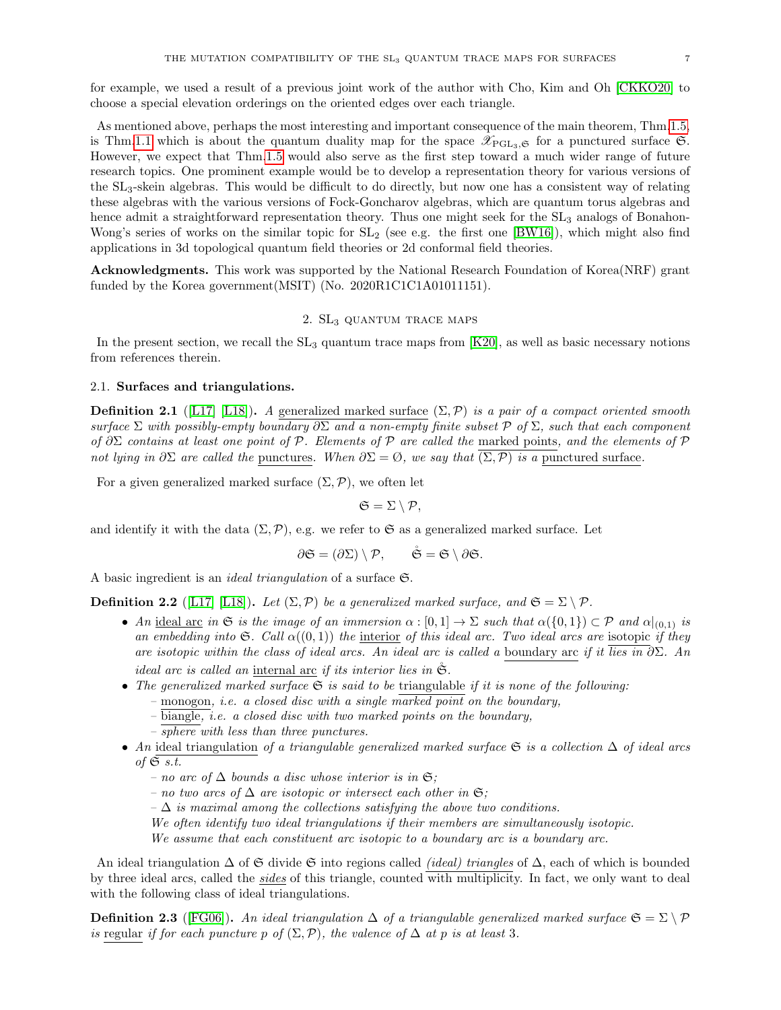for example, we used a result of a previous joint work of the author with Cho, Kim and Oh [\[CKKO20\]](#page-37-8) to choose a special elevation orderings on the oriented edges over each triangle.

As mentioned above, perhaps the most interesting and important consequence of the main theorem, Thm[.1.5,](#page-5-1) is Thm[.1.1](#page-3-1) which is about the quantum duality map for the space  $\mathscr{X}_{PGL_3,\mathfrak{S}}$  for a punctured surface  $\mathfrak{S}$ . However, we expect that Thm[.1.5](#page-5-1) would also serve as the first step toward a much wider range of future research topics. One prominent example would be to develop a representation theory for various versions of the SL3-skein algebras. This would be difficult to do directly, but now one has a consistent way of relating these algebras with the various versions of Fock-Goncharov algebras, which are quantum torus algebras and hence admit a straightforward representation theory. Thus one might seek for the  $SL_3$  analogs of Bonahon-Wong's series of works on the similar topic for  $SL_2$  (see e.g. the first one [\[BW16\]](#page-37-9)), which might also find applications in 3d topological quantum field theories or 2d conformal field theories.

Acknowledgments. This work was supported by the National Research Foundation of Korea(NRF) grant funded by the Korea government (MSIT) (No. 2020R1C1C1A01011151).

### 2. SL<sub>3</sub> QUANTUM TRACE MAPS

<span id="page-6-0"></span>In the present section, we recall the  $SL_3$  quantum trace maps from  $[K20]$ , as well as basic necessary notions from references therein.

### <span id="page-6-1"></span>2.1. Surfaces and triangulations.

**Definition 2.1** ([\[L17\]](#page-38-11) [\[L18\]](#page-38-12)). A generalized marked surface  $(\Sigma, \mathcal{P})$  is a pair of a compact oriented smooth surface  $\Sigma$  with possibly-empty boundary  $\partial \Sigma$  and a non-empty finite subset P of  $\Sigma$ , such that each component of  $\partial \Sigma$  contains at least one point of P. Elements of P are called the marked points, and the elements of P not lying in  $\partial \Sigma$  are called the punctures. When  $\partial \Sigma = \emptyset$ , we say that  $(\Sigma, \overline{P})$  is a punctured surface.

For a given generalized marked surface  $(\Sigma, \mathcal{P})$ , we often let

 $\mathfrak{S} = \Sigma \setminus \mathcal{P},$ 

and identify it with the data  $(\Sigma, \mathcal{P})$ , e.g. we refer to G as a generalized marked surface. Let

$$
\partial \mathfrak{S} = (\partial \Sigma) \setminus \mathcal{P}, \qquad \mathring{\mathfrak{S}} = \mathfrak{S} \setminus \partial \mathfrak{S}.
$$

A basic ingredient is an *ideal triangulation* of a surface  $\mathfrak{S}$ .

<span id="page-6-2"></span>**Definition 2.2** ([\[L17\]](#page-38-11) [\[L18\]](#page-38-12)). Let  $(\Sigma, \mathcal{P})$  be a generalized marked surface, and  $\mathfrak{S} = \Sigma \setminus \mathcal{P}$ .

- An ideal arc in G is the image of an immersion  $\alpha : [0,1] \to \Sigma$  such that  $\alpha({0,1}) \subset \mathcal{P}$  and  $\alpha|_{(0,1)}$  is an embedding into  $\mathfrak{S}$ . Call  $\alpha((0,1))$  the interior of this ideal arc. Two ideal arcs are isotopic if they are isotopic within the class of ideal arcs. An ideal arc is called a boundary arc if it lies in  $\partial \Sigma$ . An ideal arc is called an internal arc if its interior lies in  $\tilde{\mathfrak{S}}$ .
- The generalized marked surface  $\mathfrak S$  is said to be triangulable if it is none of the following:
	- $-$  monogon, *i.e.* a closed disc with a single marked point on the boundary,
	- biangle, i.e. a closed disc with two marked points on the boundary,
	- sphere with less than three punctures.
- An ideal triangulation of a triangulable generalized marked surface G is a collection  $\Delta$  of ideal arcs of  $\mathfrak{S}$  s.t.
	- no arc of  $\Delta$  bounds a disc whose interior is in **S**;
	- no two arcs of  $\Delta$  are isotopic or intersect each other in **S**;
	- $-\Delta$  is maximal among the collections satisfying the above two conditions.

We often identify two ideal triangulations if their members are simultaneously isotopic.

We assume that each constituent arc isotopic to a boundary arc is a boundary arc.

An ideal triangulation  $\Delta$  of  $\mathfrak S$  divide  $\mathfrak S$  into regions called *(ideal) triangles* of  $\Delta$ , each of which is bounded by three ideal arcs, called the sides of this triangle, counted with multiplicity. In fact, we only want to deal with the following class of ideal triangulations.

<span id="page-6-3"></span>**Definition 2.3** ([\[FG06\]](#page-37-2)). An ideal triangulation  $\Delta$  of a triangulable generalized marked surface  $\mathfrak{S} = \Sigma \setminus \mathcal{P}$ is regular if for each puncture p of  $(\Sigma, \mathcal{P})$ , the valence of  $\Delta$  at p is at least 3.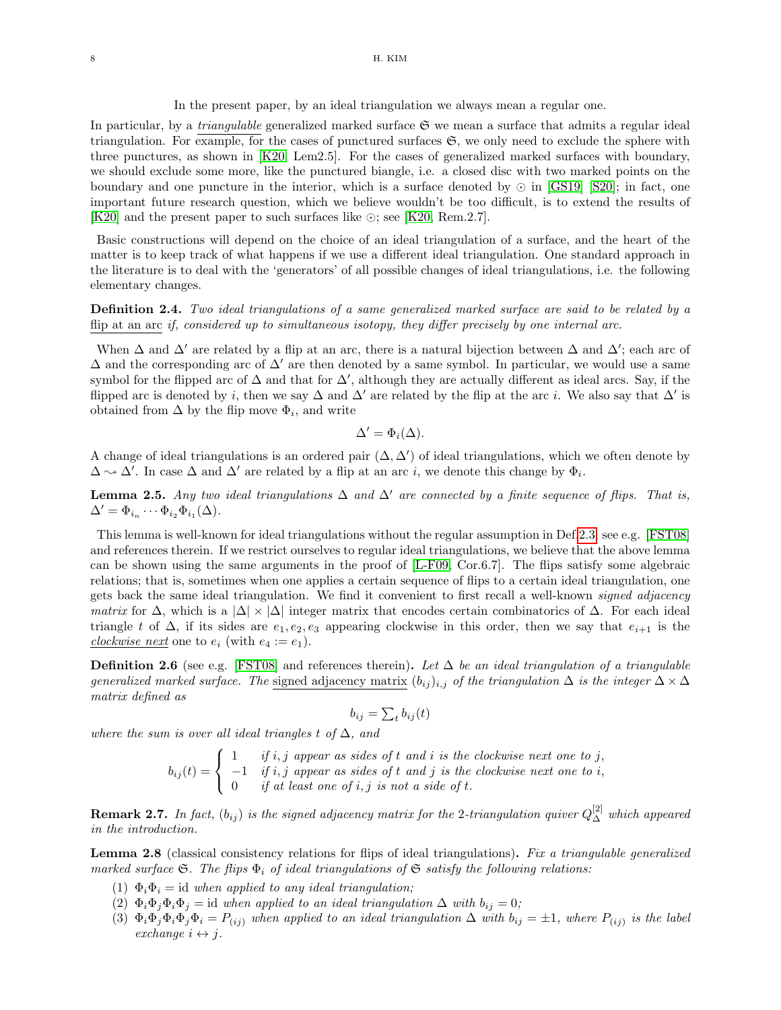In the present paper, by an ideal triangulation we always mean a regular one.

In particular, by a *triangulable* generalized marked surface  $\mathfrak{S}$  we mean a surface that admits a regular ideal triangulation. For example, for the cases of punctured surfaces  $\mathfrak{S}$ , we only need to exclude the sphere with three punctures, as shown in [\[K20,](#page-38-5) Lem2.5]. For the cases of generalized marked surfaces with boundary, we should exclude some more, like the punctured biangle, i.e. a closed disc with two marked points on the boundary and one puncture in the interior, which is a surface denoted by  $\odot$  in [\[GS19\]](#page-38-0) [\[S20\]](#page-38-1); in fact, one important future research question, which we believe wouldn't be too difficult, is to extend the results of [\[K20\]](#page-38-5) and the present paper to such surfaces like  $\odot$ ; see [\[K20,](#page-38-5) Rem.2.7].

Basic constructions will depend on the choice of an ideal triangulation of a surface, and the heart of the matter is to keep track of what happens if we use a different ideal triangulation. One standard approach in the literature is to deal with the 'generators' of all possible changes of ideal triangulations, i.e. the following elementary changes.

# Definition 2.4. Two ideal triangulations of a same generalized marked surface are said to be related by a flip at an arc if, considered up to simultaneous isotopy, they differ precisely by one internal arc.

When  $\Delta$  and  $\Delta'$  are related by a flip at an arc, there is a natural bijection between  $\Delta$  and  $\Delta'$ ; each arc of  $\Delta$  and the corresponding arc of  $\Delta'$  are then denoted by a same symbol. In particular, we would use a same symbol for the flipped arc of  $\Delta$  and that for  $\Delta'$ , although they are actually different as ideal arcs. Say, if the flipped arc is denoted by i, then we say  $\Delta$  and  $\Delta'$  are related by the flip at the arc i. We also say that  $\Delta'$  is obtained from  $\Delta$  by the flip move  $\Phi_i$ , and write

$$
\Delta' = \Phi_i(\Delta).
$$

A change of ideal triangulations is an ordered pair  $(\Delta, \Delta')$  of ideal triangulations, which we often denote by  $\Delta \sim \Delta'$ . In case  $\Delta$  and  $\Delta'$  are related by a flip at an arc *i*, we denote this change by  $\Phi_i$ .

<span id="page-7-1"></span>**Lemma 2.5.** Any two ideal triangulations  $\Delta$  and  $\Delta'$  are connected by a finite sequence of flips. That is,  $\Delta' = \Phi_{i_n} \cdots \Phi_{i_2} \Phi_{i_1}(\Delta).$ 

This lemma is well-known for ideal triangulations without the regular assumption in Def[.2.3;](#page-6-3) see e.g. [\[FST08\]](#page-38-13) and references therein. If we restrict ourselves to regular ideal triangulations, we believe that the above lemma can be shown using the same arguments in the proof of [\[L-F09,](#page-38-14) Cor.6.7]. The flips satisfy some algebraic relations; that is, sometimes when one applies a certain sequence of flips to a certain ideal triangulation, one gets back the same ideal triangulation. We find it convenient to first recall a well-known signed adjacency matrix for  $\Delta$ , which is a  $|\Delta| \times |\Delta|$  integer matrix that encodes certain combinatorics of  $\Delta$ . For each ideal triangle t of  $\Delta$ , if its sides are  $e_1, e_2, e_3$  appearing clockwise in this order, then we say that  $e_{i+1}$  is the clockwise next one to  $e_i$  (with  $e_4 := e_1$ ).

**Definition 2.6** (see e.g. [\[FST08\]](#page-38-13) and references therein). Let  $\Delta$  be an ideal triangulation of a triangulable generalized marked surface. The signed adjacency matrix  $(b_{ij})_{i,j}$  of the triangulation  $\Delta$  is the integer  $\Delta \times \Delta$ matrix defined as

$$
b_{ij} = \sum_t b_{ij}(t)
$$

where the sum is over all ideal triangles t of  $\Delta$ , and

 $b_{ij}(t) =$  $\sqrt{ }$ J  $\mathcal{L}$  $1$  if i, j appear as sides of t and i is the clockwise next one to j,  $-1$  if i, j appear as sides of t and j is the clockwise next one to i, 0 if at least one of i, j is not a side of t.

**Remark 2.7.** In fact,  $(b_{ij})$  is the signed adjacency matrix for the 2-triangulation quiver  $Q_{\Delta}^{[2]}$  which appeared in the introduction.

<span id="page-7-0"></span>Lemma 2.8 (classical consistency relations for flips of ideal triangulations). Fix a triangulable generalized marked surface S. The flips  $\Phi_i$  of ideal triangulations of S satisfy the following relations:

- (1)  $\Phi_i \Phi_i = id$  when applied to any ideal triangulation;
- (2)  $\Phi_i \Phi_j \Phi_i \Phi_j = id$  when applied to an ideal triangulation  $\Delta$  with  $b_{ij} = 0$ ;
- (3)  $\Phi_i \Phi_j \Phi_i \Phi_j \Phi_i = P_{(ij)}$  when applied to an ideal triangulation  $\Delta$  with  $b_{ij} = \pm 1$ , where  $P_{(ij)}$  is the label exchange  $i \leftrightarrow j$ .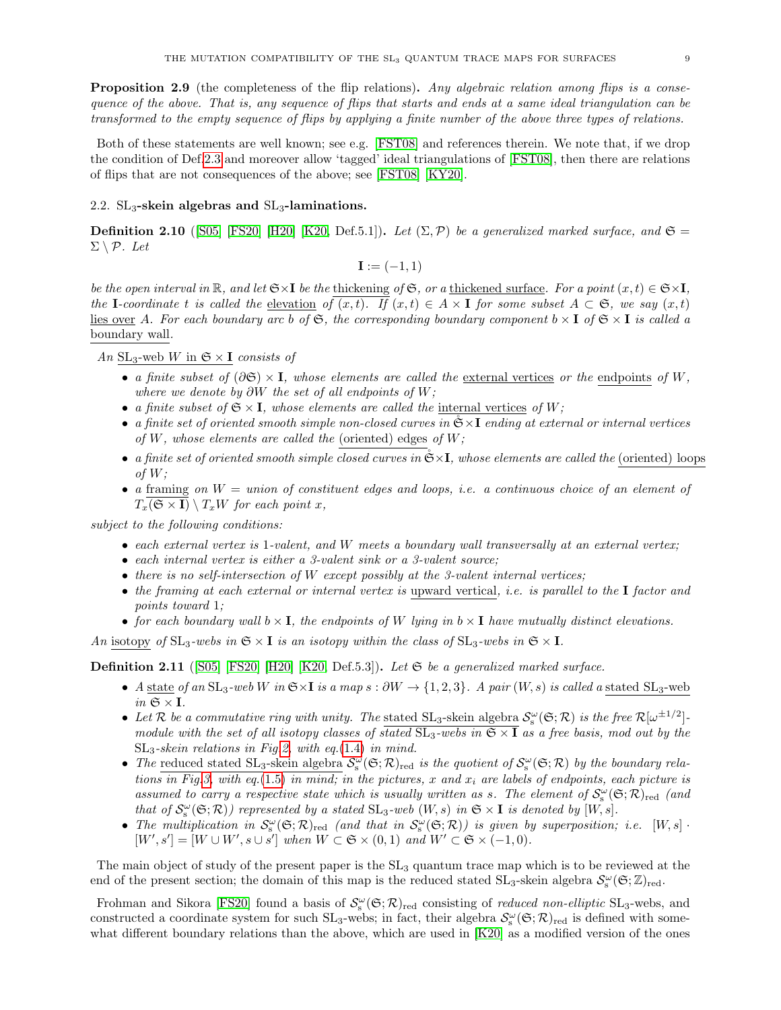<span id="page-8-3"></span>**Proposition 2.9** (the completeness of the flip relations). Any algebraic relation among flips is a consequence of the above. That is, any sequence of flips that starts and ends at a same ideal triangulation can be transformed to the empty sequence of flips by applying a finite number of the above three types of relations.

Both of these statements are well known; see e.g. [\[FST08\]](#page-38-13) and references therein. We note that, if we drop the condition of Def[.2.3](#page-6-3) and moreover allow 'tagged' ideal triangulations of [\[FST08\]](#page-38-13), then there are relations of flips that are not consequences of the above; see [\[FST08\]](#page-38-13) [\[KY20\]](#page-38-15).

### <span id="page-8-0"></span>2.2.  $SL_3$ -skein algebras and  $SL_3$ -laminations.

<span id="page-8-1"></span>**Definition 2.10** ([\[S05\]](#page-38-7) [\[FS20\]](#page-38-16) [\[H20\]](#page-38-17) [\[K20,](#page-38-5) Def.5.1]). Let  $(\Sigma, \mathcal{P})$  be a generalized marked surface, and  $\mathfrak{S} =$  $\Sigma \setminus \mathcal{P}$ . Let

 $I := (-1, 1)$ 

be the open interval in  $\mathbb R$ , and let  $\mathfrak S\times\mathbf I$  be the thickening of  $\mathfrak S$ , or a thickened surface. For a point  $(x,t)\in\mathfrak S\times\mathbf I$ , the I-coordinate t is called the elevation of  $(x,t)$ . If  $(x,t) \in A \times I$  for some subset  $A \subset \mathfrak{S}$ , we say  $(x,t)$ lies over A. For each boundary arc b of G, the corresponding boundary component  $b \times I$  of  $\mathfrak{S} \times I$  is called a boundary wall.

An  $SL_3$ -web W in  $\mathfrak{S} \times \mathbf{I}$  consists of

- a finite subset of  $(\partial \mathfrak{S}) \times I$ , whose elements are called the external vertices or the endpoints of W, where we denote by  $\partial W$  the set of all endpoints of W;
- a finite subset of  $\mathfrak{S} \times I$ , whose elements are called the internal vertices of W;
- a finite set of oriented smooth simple non-closed curves in  $\mathfrak{S} \times I$  ending at external or internal vertices of W, whose elements are called the (oriented) edges of  $W$ ;
- a finite set of oriented smooth simple closed curves in  $\tilde{\mathfrak{S}} \times I$ , whose elements are called the (oriented) loops of  $W$ :
- a framing on  $W =$  union of constituent edges and loops, i.e. a continuous choice of an element of  $T_x(\mathfrak{S} \times I) \setminus T_xW$  for each point x,

subject to the following conditions:

- each external vertex is 1-valent, and W meets a boundary wall transversally at an external vertex;
- each internal vertex is either a 3-valent sink or a 3-valent source;
- there is no self-intersection of  $W$  except possibly at the 3-valent internal vertices;
- the framing at each external or internal vertex is upward vertical, *i.e.* is parallel to the  $\bf{I}$  factor and points toward 1;
- for each boundary wall  $b \times I$ , the endpoints of W lying in  $b \times I$  have mutually distinct elevations.

An isotopy of  $SL_3$ -webs in  $\mathfrak{S} \times I$  is an isotopy within the class of  $SL_3$ -webs in  $\mathfrak{S} \times I$ .

<span id="page-8-2"></span>**Definition 2.11** ([\[S05\]](#page-38-7) [\[FS20\]](#page-38-16) [\[H20\]](#page-38-17) [\[K20,](#page-38-5) Def.5.3]). Let  $\mathfrak{S}$  be a generalized marked surface.

- A state of an SL<sub>3</sub>-web W in  $\mathfrak{S} \times \mathbf{I}$  is a map  $s : \partial W \to \{1, 2, 3\}$ . A pair  $(W, s)$  is called a stated SL<sub>3</sub>-web in  $\mathfrak{S} \times \mathbf{I}$ .
- Let R be a commutative ring with unity. The stated  $SL_3$ -skein algebra  $\mathcal{S}_s^{\omega}(\mathfrak{S}; \mathcal{R})$  is the free  $\mathcal{R}[\omega^{\pm 1/2}]$ module with the set of all isotopy classes of stated  $SL_3$ -webs in  $\mathfrak{S} \times I$  as a free basis, mod out by the  $SL_3$ -skein relations in Fig[.2,](#page-3-0) with eq.[\(1.4\)](#page-3-2) in mind.
- The reduced stated  $SL_3$ -skein algebra  $\mathcal{S}_s^{\omega}(\mathfrak{S}; \mathcal{R})_{red}$  is the quotient of  $\mathcal{S}_s^{\omega}(\mathfrak{S}; \mathcal{R})$  by the boundary rela-tions in Fig[.3,](#page-4-0) with eq.[\(1.5\)](#page-3-3) in mind; in the pictures, x and  $x_i$  are labels of endpoints, each picture is assumed to carry a respective state which is usually written as s. The element of  $S_s^{\omega}(\mathfrak{S};R)_{red}$  (and that of  $\mathcal{S}_s^{\omega}(\mathfrak{S};\mathcal{R})$  represented by a stated  $SL_3$ -web  $(W, s)$  in  $\mathfrak{S} \times \mathbf{I}$  is denoted by  $[W, s]$ .
- The multiplication in  $S_{s}^{\omega}(\mathfrak{S};\mathcal{R})_{\text{red}}$  (and that in  $S_{s}^{\omega}(\mathfrak{S};\mathcal{R})$ ) is given by superposition; i.e.  $[W,s]$ .  $[W', s'] = [W \cup W', s \cup s']$  when  $W \subset \mathfrak{S} \times (0, 1)$  and  $W' \subset \mathfrak{S} \times (-1, 0)$ .

The main object of study of the present paper is the  $SL_3$  quantum trace map which is to be reviewed at the end of the present section; the domain of this map is the reduced stated  $SL_3$ -skein algebra  $\mathcal{S}_s^{\omega}(\mathfrak{S}; \mathbb{Z})_{red}$ .

Frohman and Sikora [\[FS20\]](#page-38-16) found a basis of  $\mathcal{S}_s^{\omega}(\mathfrak{S};\mathcal{R})_{red}$  consisting of *reduced non-elliptic* SL<sub>3</sub>-webs, and constructed a coordinate system for such  $SL_3$ -webs; in fact, their algebra  $\mathcal{S}_s^{\omega}(\mathfrak{S};\mathcal{R})_{red}$  is defined with somewhat different boundary relations than the above, which are used in [\[K20\]](#page-38-5) as a modified version of the ones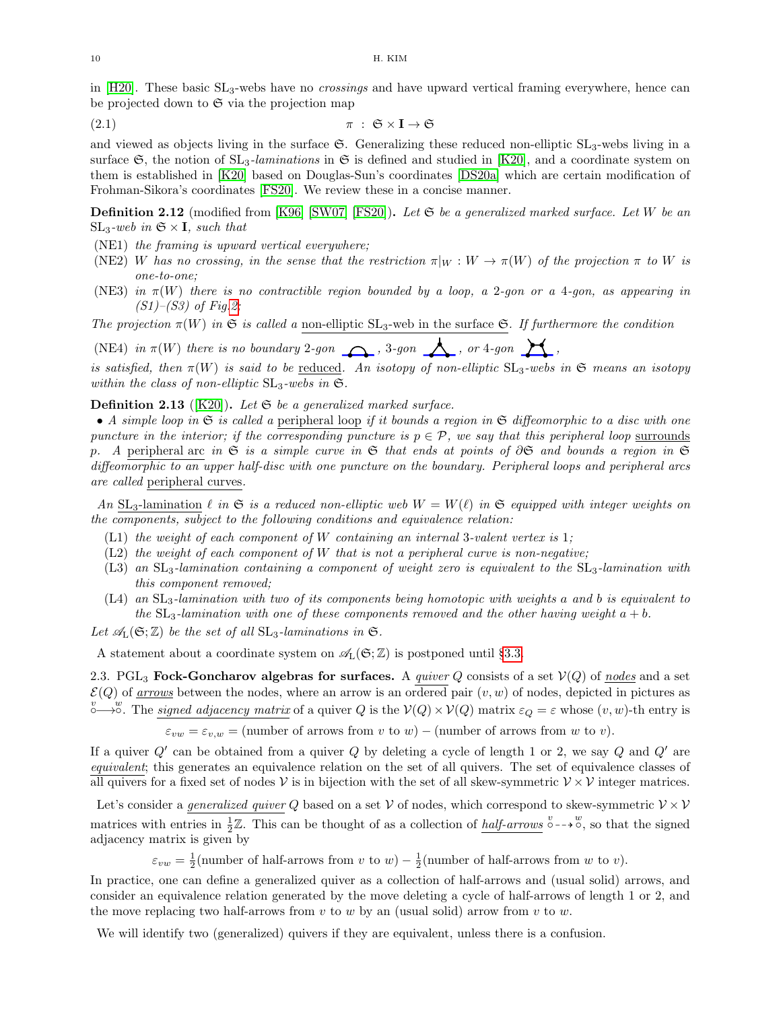in  $[H20]$ . These basic  $SL_3$ -webs have no *crossings* and have upward vertical framing everywhere, hence can be projected down to  $\mathfrak S$  via the projection map

<span id="page-9-1"></span>
$$
\pi : \mathfrak{S} \times I \to \mathfrak{S}
$$

and viewed as objects living in the surface  $\mathfrak{S}$ . Generalizing these reduced non-elliptic  $SL_3$ -webs living in a surface  $\mathfrak{S}$ , the notion of  $SL_3$ -laminations in  $\mathfrak{S}$  is defined and studied in [\[K20\]](#page-38-5), and a coordinate system on them is established in [\[K20\]](#page-38-5) based on Douglas-Sun's coordinates [\[DS20a\]](#page-37-6) which are certain modification of Frohman-Sikora's coordinates [\[FS20\]](#page-38-16). We review these in a concise manner.

**Definition 2.12** (modified from [\[K96\]](#page-38-18) [\[SW07\]](#page-38-19) [\[FS20\]](#page-38-16)). Let  $\mathfrak{S}$  be a generalized marked surface. Let W be an  $SL_3$ -web in  $\mathfrak{S} \times I$ , such that

- (NE1) the framing is upward vertical everywhere;
- (NE2) W has no crossing, in the sense that the restriction  $\pi|_W : W \to \pi(W)$  of the projection  $\pi$  to W is one-to-one;
- (NE3) in  $\pi(W)$  there is no contractible region bounded by a loop, a 2-gon or a 4-gon, as appearing in  $(S1)–(S3)$  of Fig[.2;](#page-3-0)

The projection  $\pi(W)$  in G is called a non-elliptic SL<sub>3</sub>-web in the surface G. If furthermore the condition

(NE4) in  $\pi(W)$  there is no boundary 2-gon  $\bigcap$ , 3-gon  $\bigcap$ , or 4-gon  $\bigcap$ ,

is satisfied, then  $\pi(W)$  is said to be reduced. An isotopy of non-elliptic  $SL_3$ -webs in  $\mathfrak{S}$  means an isotopy within the class of non-elliptic  $SL_3$ -webs in  $\mathfrak{S}$ .

## <span id="page-9-2"></span>**Definition 2.13** ([\[K20\]](#page-38-5)). Let  $\mathfrak{S}$  be a generalized marked surface.

• A simple loop in  $\mathfrak S$  is called a peripheral loop if it bounds a region in  $\mathfrak S$  diffeomorphic to a disc with one puncture in the interior; if the corresponding puncture is  $p \in \mathcal{P}$ , we say that this peripheral loop surrounds p. A peripheral arc in G is a simple curve in G that ends at points of  $\partial\mathfrak{S}$  and bounds a region in  $\mathfrak{S}$ diffeomorphic to an upper half-disc with one puncture on the boundary. Peripheral loops and peripheral arcs are called peripheral curves.

An SL<sub>3</sub>-lamination  $\ell$  in  $\mathfrak{S}$  is a reduced non-elliptic web  $W = W(\ell)$  in  $\mathfrak{S}$  equipped with integer weights on the components, subject to the following conditions and equivalence relation:

- $(L1)$  the weight of each component of W containing an internal 3-valent vertex is 1;
- $(L2)$  the weight of each component of W that is not a peripheral curve is non-negative;
- $(L3)$  an  $SL_3$ -lamination containing a component of weight zero is equivalent to the  $SL_3$ -lamination with this component removed;
- $(L4)$  an  $SL_3$ -lamination with two of its components being homotopic with weights a and b is equivalent to the  $SL_3$ -lamination with one of these components removed and the other having weight  $a + b$ .

Let  $\mathscr{A}_{L}(\mathfrak{S};\mathbb{Z})$  be the set of all  $SL_3$ -laminations in  $\mathfrak{S}$ .

A statement about a coordinate system on  $\mathscr{A}_{L}(\mathfrak{S};\mathbb{Z})$  is postponed until §[3.3.](#page-16-0)

<span id="page-9-0"></span>2.3. PGL<sub>3</sub> Fock-Goncharov algebras for surfaces. A *quiver Q* consists of a set  $V(Q)$  of nodes and a set  $\mathcal{E}(Q)$  of <u>arrows</u> between the nodes, where an arrow is an ordered pair  $(v, w)$  of nodes, depicted in pictures as  $\stackrel{v}{\circ}\longrightarrow\stackrel{w}{\circ}$ . The signed adjacency matrix of a quiver Q is the  $V(Q)\times V(Q)$  matrix  $\varepsilon_Q=\varepsilon$  whose  $(v,w)$ -th entry is

 $\varepsilon_{vw} = \varepsilon_{v,w}$  = (number of arrows from v to w) – (number of arrows from w to v).

If a quiver  $Q'$  can be obtained from a quiver  $Q$  by deleting a cycle of length 1 or 2, we say  $Q$  and  $Q'$  are equivalent; this generates an equivalence relation on the set of all quivers. The set of equivalence classes of all quivers for a fixed set of nodes V is in bijection with the set of all skew-symmetric  $V \times V$  integer matrices.

Let's consider a *generalized quiver Q* based on a set  $V$  of nodes, which correspond to skew-symmetric  $V \times V$ matrices with entries in  $\frac{1}{2}\mathbb{Z}$ . This can be thought of as a collection of  $\underline{half-arrows}$   $\overset{v}{\circ}$  --+ $\overset{v}{\circ}$ , so that the signed adjacency matrix is given by

 $\varepsilon_{vw} = \frac{1}{2}$ (number of half-arrows from v to w) –  $\frac{1}{2}$ (number of half-arrows from w to v).

In practice, one can define a generalized quiver as a collection of half-arrows and (usual solid) arrows, and consider an equivalence relation generated by the move deleting a cycle of half-arrows of length 1 or 2, and the move replacing two half-arrows from  $v$  to  $w$  by an (usual solid) arrow from  $v$  to  $w$ .

We will identify two (generalized) quivers if they are equivalent, unless there is a confusion.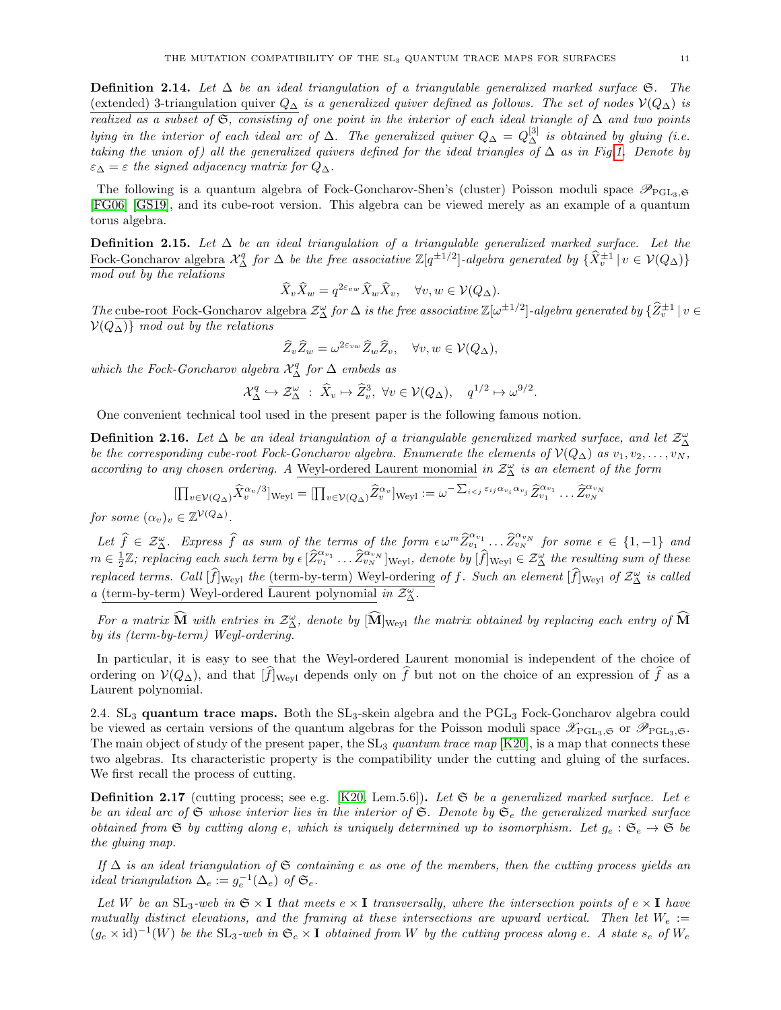<span id="page-10-2"></span>**Definition 2.14.** Let  $\Delta$  be an ideal triangulation of a triangulable generalized marked surface  $\mathfrak{S}$ . The (extended) 3-triangulation quiver  $Q_{\Delta}$  is a generalized quiver defined as follows. The set of nodes  $\mathcal{V}(Q_{\Delta})$  is realized as a subset of G, consisting of one point in the interior of each ideal triangle of  $\Delta$  and two points lying in the interior of each ideal arc of  $\Delta$ . The generalized quiver  $Q_{\Delta} = Q_{\Delta}^{[3]}$  is obtained by gluing (i.e. taking the union of) all the generalized quivers defined for the ideal triangles of  $\Delta$  as in Fig[.1.](#page-1-0) Denote by  $\varepsilon_{\Delta} = \varepsilon$  the signed adjacency matrix for  $Q_{\Delta}$ .

The following is a quantum algebra of Fock-Goncharov-Shen's (cluster) Poisson moduli space  $\mathscr{P}_{PGL_3, \mathfrak{S}}$ [\[FG06\]](#page-37-2) [\[GS19\]](#page-38-0), and its cube-root version. This algebra can be viewed merely as an example of a quantum torus algebra.

<span id="page-10-3"></span>**Definition 2.15.** Let  $\Delta$  be an ideal triangulation of a triangulable generalized marked surface. Let the Fock-Goncharov algebra  $\mathcal{X}_{\Delta}^q$  for  $\Delta$  be the free associative  $\mathbb{Z}[q^{\pm 1/2}]$ -algebra generated by  $\{\widehat{X}_{v}^{\pm 1} | v \in \mathcal{V}(Q_{\Delta})\}$ mod out by the relations

$$
\widehat{X}_v \widehat{X}_w = q^{2\varepsilon_{vw}} \widehat{X}_w \widehat{X}_v, \quad \forall v, w \in \mathcal{V}(Q_\Delta).
$$

The cube-root Fock-Goncharov algebra  $\mathcal{Z}^{\omega}_{\Delta}$  for  $\Delta$  is the free associative  $\mathbb{Z}[\omega^{\pm 1/2}]$ -algebra generated by  $\{\widehat{Z}^{\pm 1}_v | v \in \widehat{\Delta}_v \}$  $V(Q<sub>∆</sub>)$ } mod out by the relations

$$
\widehat{Z}_v \widehat{Z}_w = \omega^{2\varepsilon_{vw}} \widehat{Z}_w \widehat{Z}_v, \quad \forall v, w \in \mathcal{V}(Q_{\Delta}),
$$

which the Fock-Goncharov algebra  $\mathcal{X}_{\Delta}^{q}$  for  $\Delta$  embeds as

$$
\mathcal{X}_{\Delta}^{q} \hookrightarrow \mathcal{Z}_{\Delta}^{\omega} : \ \hat{X}_{v} \mapsto \hat{Z}_{v}^{3}, \ \forall v \in \mathcal{V}(Q_{\Delta}), \quad q^{1/2} \mapsto \omega^{9/2}
$$

.

One convenient technical tool used in the present paper is the following famous notion.

<span id="page-10-4"></span>**Definition 2.16.** Let  $\Delta$  be an ideal triangulation of a triangulable generalized marked surface, and let  $\mathcal{Z}_{\Delta}^{\omega}$ be the corresponding cube-root Fock-Goncharov algebra. Enumerate the elements of  $\mathcal{V}(Q_{\Delta})$  as  $v_1, v_2, \ldots, v_N$ , according to any chosen ordering. A Weyl-ordered Laurent monomial in  $\mathcal{Z}^{\omega}_{\Delta}$  is an element of the form

$$
\begin{aligned}\n\left[\prod_{v\in\mathcal{V}(Q_{\Delta})}\widehat{X}_v^{\alpha_v/3}\right]_{\text{Weyl}} &= \left[\prod_{v\in\mathcal{V}(Q_{\Delta})}\widehat{Z}_v^{\alpha_v}\right]_{\text{Weyl}} := \omega^{-\sum_{i
$$

for some  $(\alpha_v)_v \in \mathbb{Z}^{\mathcal{V}(Q_{\Delta})}$ .

Let  $\hat{f} \in \mathcal{Z}_{\Delta}^{\omega}$ . Express  $\hat{f}$  as sum of the terms of the form  $\epsilon \omega^m \hat{Z}_{v_1}^{\alpha_{v_1}} \dots \hat{Z}_{v_N}^{\alpha_{v_N}}$  for some  $\epsilon \in \{1, -1\}$  and  $m \in \frac{1}{2}\mathbb{Z}$ ; replacing each such term by  $\epsilon \, [\widehat{Z}_{v_1}^{\alpha_{v_1}} \dots \widehat{Z}_{v_N}^{\alpha_{v_N}}]_{\text{Weyl}}$ , denote by  $[\widehat{f}]_{\text{Weyl}} \in \mathcal{Z}_{\Delta}^{\omega}$  the resulting sum of these replaced terms. Call  $[\hat{f}]_{\text{Weyl}}$  the <u>(term-by-term) Weyl-ordering</u> of f. Such an element  $[\hat{f}]_{\text{Weyl}}$  of  $\mathcal{Z}_{\Delta}^{\omega}$  is called a (term-by-term) Weyl-ordered Laurent polynomial in  $\mathcal{Z}^{\omega}_{\Delta}$ .

For a matrix  $\widehat{M}$  with entries in  $\mathcal{Z}_{\Delta}^{\omega}$ , denote by  $[\widehat{M}]_{Weyl}$  the matrix obtained by replacing each entry of  $\widehat{M}$ by its (term-by-term) Weyl-ordering.

In particular, it is easy to see that the Weyl-ordered Laurent monomial is independent of the choice of ordering on  $\mathcal{V}(Q_{\Delta})$ , and that  $[f]_{Weyl}$  depends only on  $\hat{f}$  but not on the choice of an expression of  $\hat{f}$  as a Laurent polynomial.

<span id="page-10-0"></span>2.4.  $SL_3$  quantum trace maps. Both the  $SL_3$ -skein algebra and the PGL<sub>3</sub> Fock-Goncharov algebra could be viewed as certain versions of the quantum algebras for the Poisson moduli space  $\mathscr{X}_{PGL_3,\mathfrak{S}}$  or  $\mathscr{P}_{PGL_3,\mathfrak{S}}$ . The main object of study of the present paper, the  $SL_3$  quantum trace map  $[K20]$ , is a map that connects these two algebras. Its characteristic property is the compatibility under the cutting and gluing of the surfaces. We first recall the process of cutting.

<span id="page-10-1"></span>**Definition 2.17** (cutting process; see e.g. [\[K20,](#page-38-5) Lem.5.6]). Let  $\mathfrak{S}$  be a generalized marked surface. Let e. be an ideal arc of  $\mathfrak S$  whose interior lies in the interior of  $\mathfrak S$ . Denote by  $\mathfrak S_e$  the generalized marked surface obtained from  $\mathfrak{S}$  by cutting along e, which is uniquely determined up to isomorphism. Let  $g_e : \mathfrak{S}_e \to \mathfrak{S}$  be the gluing map.

If  $\Delta$  is an ideal triangulation of G containing e as one of the members, then the cutting process yields an ideal triangulation  $\Delta_e := g_e^{-1}(\Delta_e)$  of  $\mathfrak{S}_e$ .

Let W be an  $SL_3$ -web in  $\mathfrak{S} \times I$  that meets  $e \times I$  transversally, where the intersection points of  $e \times I$  have mutually distinct elevations, and the framing at these intersections are upward vertical. Then let  $W_e :=$  $(g_e \times id)^{-1}(W)$  be the SL<sub>3</sub>-web in  $\mathfrak{S}_e \times \mathbf{I}$  obtained from W by the cutting process along e. A state  $s_e$  of  $W_e$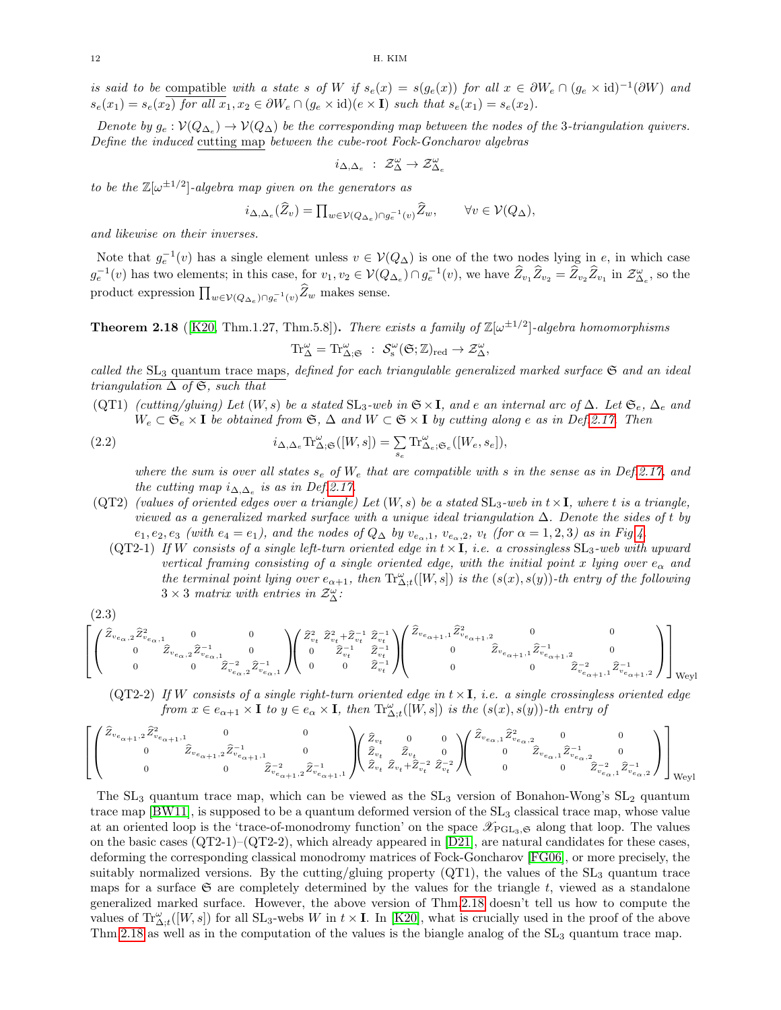is said to be compatible with a state s of W if  $s_e(x) = s(g_e(x))$  for all  $x \in \partial W_e \cap (g_e \times id)^{-1}(\partial W)$  and  $s_e(x_1) = s_e(x_2)$  for all  $x_1, x_2 \in \partial W_e \cap (g_e \times id)(e \times I)$  such that  $s_e(x_1) = s_e(x_2)$ .

Denote by  $g_e: V(Q_{\Delta_e}) \to V(Q_{\Delta})$  be the corresponding map between the nodes of the 3-triangulation quivers. Define the induced cutting map between the cube-root Fock-Goncharov algebras

$$
i_{\Delta,\Delta_e} \; : \; \mathcal{Z}^{\omega}_{\Delta} \to \mathcal{Z}^{\omega}_{\Delta_e}
$$

to be the  $\mathbb{Z}[\omega^{\pm 1/2}]$ -algebra map given on the generators as

$$
i_{\Delta,\Delta_e}(\widehat{Z}_v) = \prod_{w \in \mathcal{V}(Q_{\Delta_e}) \cap g_e^{-1}(v)} \widehat{Z}_w, \qquad \forall v \in \mathcal{V}(Q_{\Delta}),
$$

and likewise on their inverses.

Note that  $g_e^{-1}(v)$  has a single element unless  $v \in V(Q_\Delta)$  is one of the two nodes lying in e, in which case  $g_e^{-1}(v)$  has two elements; in this case, for  $v_1, v_2 \in V(Q_{\Delta_e}) \cap g_e^{-1}(v)$ , we have  $\hat{Z}_{v_1} \hat{Z}_{v_2} = \hat{Z}_{v_2} \hat{Z}_{v_1}$  in  $\mathcal{Z}_{\Delta_e}^{\omega}$ , so the product expression  $\prod_{w \in \mathcal{V}(Q_{\Delta_e}) \cap g_e^{-1}(v)} \overline{Z}_w$  makes sense.

<span id="page-11-0"></span>**Theorem 2.18** ([\[K20,](#page-38-5) Thm.1.27, Thm.5.8]). There exists a family of  $\mathbb{Z}[\omega^{\pm 1/2}]$ -algebra homomorphisms

 $\mathrm{Tr}^{\omega}_{\Delta} = \mathrm{Tr}^{\omega}_{\Delta;\mathfrak{S}} \; : \; \mathcal{S}_s^{\omega}(\mathfrak{S};\mathbb{Z})_{red} \to \mathcal{Z}_{\Delta}^{\omega},$ 

called the  $SL_3$  quantum trace maps, defined for each triangulable generalized marked surface  $\mathfrak{S}$  and an ideal triangulation  $\Delta$  of  $\mathfrak{S}$ , such that

(QT1) (cutting/gluing) Let  $(W, s)$  be a stated  $SL_3$ -web in  $\mathfrak{S} \times \mathbf{I}$ , and e an internal arc of  $\Delta$ . Let  $\mathfrak{S}_e$ ,  $\Delta_e$  and  $W_e \subset \mathfrak{S}_e \times \mathbf{I}$  be obtained from  $\mathfrak{S}, \Delta$  and  $W \subset \mathfrak{S} \times \mathbf{I}$  by cutting along e as in Def[.2.17.](#page-10-1) Then

(2.2) 
$$
i_{\Delta,\Delta_e} \text{Tr}_{\Delta;\mathfrak{S}}^{\omega}([W,s]) = \sum_{s_e} \text{Tr}_{\Delta_e;\mathfrak{S}_e}^{\omega}([W_e,s_e]),
$$

where the sum is over all states  $s_e$  of  $W_e$  that are compatible with s in the sense as in Def[.2.17,](#page-10-1) and the cutting map  $i_{\Delta,\Delta_e}$  is as in Def[.2.17.](#page-10-1)

- (QT2) (values of oriented edges over a triangle) Let  $(W, s)$  be a stated  $SL_3$ -web in  $t \times I$ , where t is a triangle, viewed as a generalized marked surface with a unique ideal triangulation  $\Delta$ . Denote the sides of t by  $e_1, e_2, e_3$  (with  $e_4 = e_1$ ), and the nodes of  $Q_{\Delta}$  by  $v_{e_{\alpha},1}$ ,  $v_{e_{\alpha},2}$ ,  $v_t$  (for  $\alpha = 1, 2, 3$ ) as in Fig[.4.](#page-5-0)
	- (QT2-1) If W consists of a single left-turn oriented edge in  $t \times I$ , i.e. a crossingless  $SL_3$ -web with upward vertical framing consisting of a single oriented edge, with the initial point x lying over  $e_{\alpha}$  and the terminal point lying over  $e_{\alpha+1}$ , then  $\text{Tr}^{\omega}_{\Delta;t}([W,s])$  is the  $(s(x),s(y))$ -th entry of the following  $3 \times 3$  matrix with entries in  $\mathcal{Z}^{\omega}_{\Delta}$ :

<span id="page-11-1"></span>
$$
\begin{bmatrix} \begin{pmatrix} 2.3 \\ \hat{Z}_{v_{e_{\alpha},2}} \hat{Z}_{v_{e_{\alpha},1}}^2 & 0 & 0 \\ 0 & \hat{Z}_{v_{e_{\alpha},2}} \hat{Z}_{v_{e_{\alpha},1}}^{-1} & 0 \\ 0 & 0 & \hat{Z}_{v_{e_{\alpha},2}}^{-2} \hat{Z}_{v_{e_{\alpha},1}}^{-1} \end{pmatrix} \begin{pmatrix} \hat{Z}_{v_t}^2 & \hat{Z}_{v_t}^2 + \hat{Z}_{v_t}^{-1} & \hat{Z}_{v_t}^{-1} \\ 0 & \hat{Z}_{v_t}^{-1} & \hat{Z}_{v_t}^{-1} \\ 0 & 0 & \hat{Z}_{v_t}^{-1} \end{pmatrix} \begin{pmatrix} \hat{Z}_{v_{e_{\alpha+1},1}} \hat{Z}_{v_{e_{\alpha+1},2}}^{-1} & 0 & 0 \\ 0 & \hat{Z}_{v_t}^{-1} & 0 & \hat{Z}_{v_{e_{\alpha+1},1}} \hat{Z}_{v_{e_{\alpha+1},2}}^{-1} & 0 \\ 0 & 0 & \hat{Z}_{v_{e_{\alpha+1},1}} \hat{Z}_{v_{e_{\alpha+1},2}}^{-1} \end{pmatrix} \end{bmatrix}_{\text{Weyl}}
$$

(QT2-2) If W consists of a single right-turn oriented edge in  $t \times I$ , i.e. a single crossingless oriented edge from  $x \in e_{\alpha+1} \times I$  to  $y \in e_{\alpha} \times I$ , then  $\text{Tr}^{\omega}_{\Delta,t}([W,s])$  is the  $(s(x), s(y))$ -th entry of

$$
\left[\begin{pmatrix} \hat{Z}_{v_{e_{\alpha+1},2}} \hat{Z}_{v_{e_{\alpha+1},1}}^2 & 0 & 0 \\ 0 & \hat{Z}_{v_{e_{\alpha+1},2}} \hat{Z}_{v_{e_{\alpha+1},2}}^{-1} & 0 \\ 0 & 0 & \hat{Z}_{v_{e_{\alpha+1},2}}^{-2} \hat{Z}_{v_{e_{\alpha+1},1}}^{-1} \end{pmatrix} \begin{pmatrix} \hat{Z}_{v_t} & 0 & 0 \\ \hat{Z}_{v_t} & \hat{Z}_{v_t} & 0 \\ \hat{Z}_{v_t} & \hat{Z}_{v_t} + \hat{Z}_{v_t}^{-2} & \hat{Z}_{v_t}^{-2} \end{pmatrix} \begin{pmatrix} \hat{Z}_{v_{e_{\alpha},1}} \hat{Z}_{v_{e_{\alpha},2}}^{2} & 0 & 0 \\ 0 & \hat{Z}_{v_{e_{\alpha},1}} \hat{Z}_{v_{e_{\alpha},2}}^{-1} & 0 \\ 0 & 0 & \hat{Z}_{v_{e_{\alpha},1}}^{-2} \hat{Z}_{v_{e_{\alpha},2}}^{-1} \end{pmatrix} \right]_{\text{Weyl}}
$$

The  $SL_3$  quantum trace map, which can be viewed as the  $SL_3$  version of Bonahon-Wong's  $SL_2$  quantum trace map  $[BW11]$ , is supposed to be a quantum deformed version of the  $SL_3$  classical trace map, whose value at an oriented loop is the 'trace-of-monodromy function' on the space  $\mathscr{X}_{PGL_3,\mathfrak{S}}$  along that loop. The values on the basic cases  $(QT2-1)-(QT2-2)$ , which already appeared in  $[D21]$ , are natural candidates for these cases, deforming the corresponding classical monodromy matrices of Fock-Goncharov [\[FG06\]](#page-37-2), or more precisely, the suitably normalized versions. By the cutting/gluing property  $(QT1)$ , the values of the  $SL_3$  quantum trace maps for a surface  $\mathfrak S$  are completely determined by the values for the triangle t, viewed as a standalone generalized marked surface. However, the above version of Thm[.2.18](#page-11-0) doesn't tell us how to compute the values of  $\text{Tr}_{\Delta;t}^{\omega}([W,s])$  for all  $\text{SL}_3$ -webs W in  $t \times I$ . In [\[K20\]](#page-38-5), what is crucially used in the proof of the above Thm[.2.18](#page-11-0) as well as in the computation of the values is the biangle analog of the  $SL_3$  quantum trace map.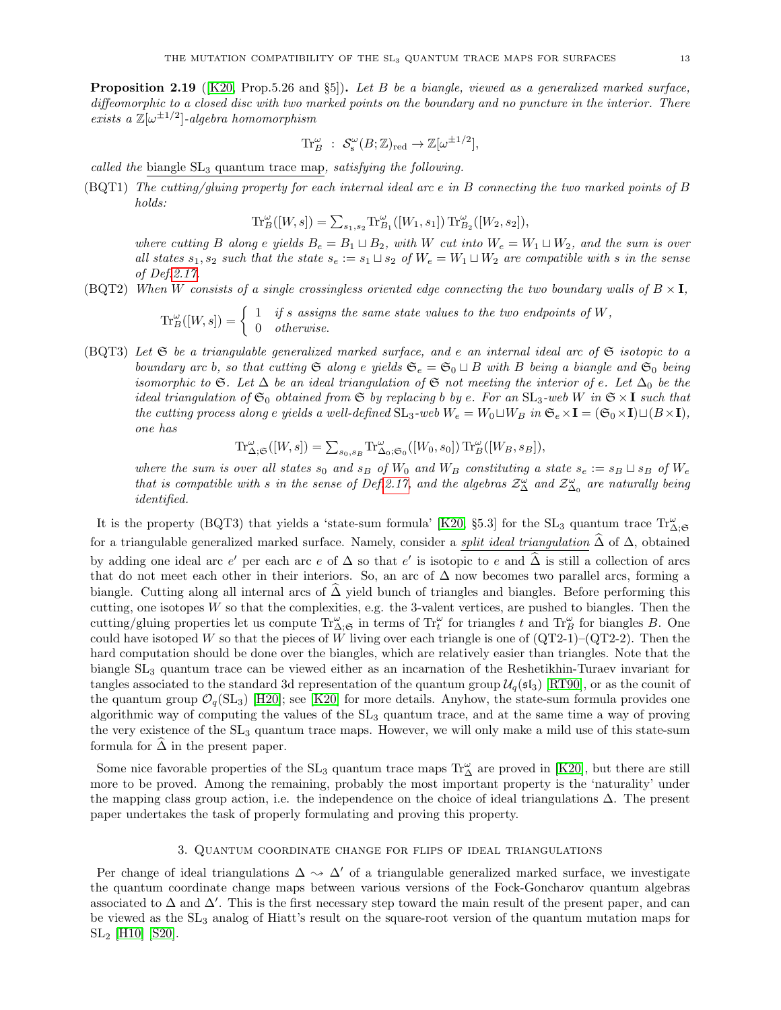<span id="page-12-1"></span>**Proposition 2.19** ([\[K20,](#page-38-5) Prop.5.26 and  $\S5$ ]). Let B be a biangle, viewed as a generalized marked surface, diffeomorphic to a closed disc with two marked points on the boundary and no puncture in the interior. There exists a  $\mathbb{Z}[\omega^{\pm 1/2}]$ -algebra homomorphism

$$
\text{Tr}_{B}^{\omega} \; : \; \mathcal{S}_{s}^{\omega}(B;\mathbb{Z})_{\text{red}} \to \mathbb{Z}[\omega^{\pm 1/2}],
$$

called the biangle  $SL_3$  quantum trace map, satisfying the following.

(BQT1) The cutting/gluing property for each internal ideal arc e in B connecting the two marked points of B holds:

$$
\text{Tr}_B^{\omega}([W,s])=\textstyle\sum_{s_1,s_2}\text{Tr}_{B_1}^{\omega}([W_1,s_1])\, \text{Tr}_{B_2}^{\omega}([W_2,s_2]),
$$

where cutting B along e yields  $B_e = B_1 \sqcup B_2$ , with W cut into  $W_e = W_1 \sqcup W_2$ , and the sum is over all states  $s_1, s_2$  such that the state  $s_e := s_1 \sqcup s_2$  of  $W_e = W_1 \sqcup W_2$  are compatible with s in the sense of Def[.2.17.](#page-10-1)

(BQT2) When W consists of a single crossingless oriented edge connecting the two boundary walls of  $B \times I$ ,

$$
\operatorname{Tr}_{B}^{\omega}([W,s]) = \begin{cases} 1 & \text{if } s \text{ assigns the same state values to the two endpoints of } W, \\ 0 & \text{otherwise.} \end{cases}
$$

(BQT3) Let  $\mathfrak S$  be a triangulable generalized marked surface, and e an internal ideal arc of  $\mathfrak S$  isotopic to a boundary arc b, so that cutting  $\mathfrak{S}$  along e yields  $\mathfrak{S}_e = \mathfrak{S}_0 \sqcup B$  with B being a biangle and  $\mathfrak{S}_0$  being isomorphic to G. Let  $\Delta$  be an ideal triangulation of G not meeting the interior of e. Let  $\Delta_0$  be the ideal triangulation of  $\mathfrak{S}_0$  obtained from  $\mathfrak{S}$  by replacing b by e. For an  $SL_3$ -web W in  $\mathfrak{S} \times I$  such that the cutting process along e yields a well-defined  $SL_3$ -web  $W_e = W_0 \sqcup W_B$  in  $\mathfrak{S}_e \times I = (\mathfrak{S}_0 \times I) \sqcup (B \times I)$ , one has

$$
\textnormal{Tr}_{\Delta;S}^{\omega}([W,s])=\textstyle\sum_{s_0,s_B}\textnormal{Tr}_{\Delta_0;S_0}^{\omega}([W_0,s_0])\,\textnormal{Tr}_B^{\omega}([W_B,s_B]),
$$

where the sum is over all states  $s_0$  and  $s_B$  of  $W_0$  and  $W_B$  constituting a state  $s_e := s_B \sqcup s_B$  of  $W_e$ that is compatible with s in the sense of Def[.2.17,](#page-10-1) and the algebras  $\mathcal{Z}^{\omega}_{\Delta}$  and  $\mathcal{Z}^{\omega}_{\Delta_0}$  are naturally being identified.

It is the property (BQT3) that yields a 'state-sum formula' [\[K20,](#page-38-5) §5.3] for the SL<sub>3</sub> quantum trace  $Tr^{\omega}_{\Delta,\mathfrak{S}}$ for a triangulable generalized marked surface. Namely, consider a *split ideal triangulation*  $\hat{\Delta}$  of  $\Delta$ , obtained by adding one ideal arc e' per each arc e of  $\Delta$  so that e' is isotopic to e and  $\widehat{\Delta}$  is still a collection of arcs that do not meet each other in their interiors. So, an arc of  $\Delta$  now becomes two parallel arcs, forming a biangle. Cutting along all internal arcs of  $\Delta$  yield bunch of triangles and biangles. Before performing this cutting, one isotopes  $W$  so that the complexities, e.g. the 3-valent vertices, are pushed to biangles. Then the cutting/gluing properties let us compute  $\text{Tr}_{\Delta;\mathfrak{S}}^{\omega}$  in terms of  $\text{Tr}_{t}^{\omega}$  for triangles t and  $\text{Tr}_{B}^{\omega}$  for biangles B. One could have isotoped W so that the pieces of W living over each triangle is one of  $(QT2-1)-(QT2-2)$ . Then the hard computation should be done over the biangles, which are relatively easier than triangles. Note that the biangle SL<sup>3</sup> quantum trace can be viewed either as an incarnation of the Reshetikhin-Turaev invariant for tangles associated to the standard 3d representation of the quantum group  $\mathcal{U}_q(\mathfrak{sl}_3)$  [\[RT90\]](#page-38-10), or as the counit of the quantum group  $\mathcal{O}_q(SL_3)$  [\[H20\]](#page-38-17); see [\[K20\]](#page-38-5) for more details. Anyhow, the state-sum formula provides one algorithmic way of computing the values of the SL<sup>3</sup> quantum trace, and at the same time a way of proving the very existence of the SL<sup>3</sup> quantum trace maps. However, we will only make a mild use of this state-sum formula for  $\overline{\Delta}$  in the present paper.

Some nice favorable properties of the  $SL_3$  quantum trace maps  $Tr^{\omega}_{\Delta}$  are proved in [\[K20\]](#page-38-5), but there are still more to be proved. Among the remaining, probably the most important property is the 'naturality' under the mapping class group action, i.e. the independence on the choice of ideal triangulations  $\Delta$ . The present paper undertakes the task of properly formulating and proving this property.

### 3. Quantum coordinate change for flips of ideal triangulations

<span id="page-12-0"></span>Per change of ideal triangulations  $\Delta \sim \Delta'$  of a triangulable generalized marked surface, we investigate the quantum coordinate change maps between various versions of the Fock-Goncharov quantum algebras associated to  $\Delta$  and  $\Delta'$ . This is the first necessary step toward the main result of the present paper, and can be viewed as the SL<sup>3</sup> analog of Hiatt's result on the square-root version of the quantum mutation maps for SL<sup>2</sup> [\[H10\]](#page-38-8) [\[S20\]](#page-38-20).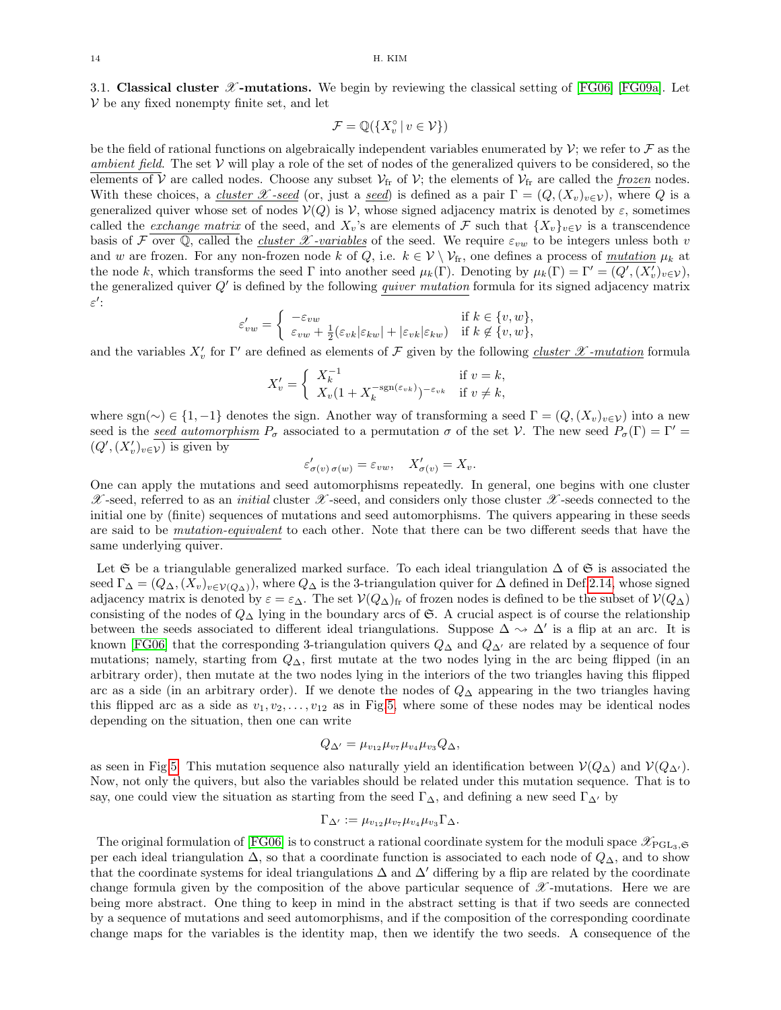<span id="page-13-0"></span>3.1. Classical cluster  $\mathscr X$ -mutations. We begin by reviewing the classical setting of [\[FG06\]](#page-37-2) [\[FG09a\]](#page-38-21). Let  $V$  be any fixed nonempty finite set, and let

$$
\mathcal{F}=\mathbb{Q}(\{X_v^\circ\,|\,v\in\mathcal{V}\})
$$

be the field of rational functions on algebraically independent variables enumerated by  $\mathcal{V}$ ; we refer to  $\mathcal F$  as the ambient field. The set  $V$  will play a role of the set of nodes of the generalized quivers to be considered, so the elements of V are called nodes. Choose any subset  $\mathcal{V}_{\text{fr}}$  of V; the elements of  $\mathcal{V}_{\text{fr}}$  are called the *frozen* nodes. With these choices, a *cluster X -seed* (or, just a *seed*) is defined as a pair  $\Gamma = (Q,(X_v)_{v \in \mathcal{V}})$ , where Q is a generalized quiver whose set of nodes  $V(Q)$  is V, whose signed adjacency matrix is denoted by  $\varepsilon$ , sometimes called the *exchange matrix* of the seed, and  $X_v$ 's are elements of F such that  $\{X_v\}_{v\in\mathcal{V}}$  is a transcendence basis of F over Q, called the *cluster* X-variables of the seed. We require  $\varepsilon_{vw}$  to be integers unless both v and w are frozen. For any non-frozen node k of Q, i.e.  $k \in V \setminus V_f$ , one defines a process of mutation  $\mu_k$  at the node k, which transforms the seed  $\Gamma$  into another seed  $\mu_k(\Gamma)$ . Denoting by  $\mu_k(\Gamma) = \Gamma' = (Q', (X'_v)_{v \in \mathcal{V}})$ , the generalized quiver  $Q'$  is defined by the following *quiver mutation* formula for its signed adjacency matrix  $\varepsilon^{\prime}$ :

$$
\varepsilon'_{vw} = \begin{cases}\n-\varepsilon_{vw} & \text{if } k \in \{v, w\}, \\
\varepsilon_{vw} + \frac{1}{2}(\varepsilon_{vk}|\varepsilon_{kw}| + |\varepsilon_{vk}|\varepsilon_{kw}) & \text{if } k \notin \{v, w\},\n\end{cases}
$$

and the variables  $X'_v$  for  $\Gamma'$  are defined as elements of F given by the following cluster  $\mathscr X$ -mutation formula

$$
X'_{v} = \begin{cases} X_{k}^{-1} & \text{if } v = k, \\ X_{v}(1 + X_{k}^{-\text{sgn}(\varepsilon_{vk})})^{-\varepsilon_{vk}} & \text{if } v \neq k, \end{cases}
$$

where sgn(∼) ∈ {1, −1} denotes the sign. Another way of transforming a seed  $\Gamma = (Q, (X_v)_{v \in \mathcal{V}})$  into a new seed is the seed automorphism  $P_{\sigma}$  associated to a permutation  $\sigma$  of the set V. The new seed  $P_{\sigma}(\Gamma) = \Gamma' =$  $(Q', (X'_v)_{v \in V})$  is given by

$$
\varepsilon'_{\sigma(v)\sigma(w)} = \varepsilon_{vw}, \quad X'_{\sigma(v)} = X_v.
$$

One can apply the mutations and seed automorphisms repeatedly. In general, one begins with one cluster  $\mathscr X$ -seed, referred to as an *initial* cluster  $\mathscr X$ -seed, and considers only those cluster  $\mathscr X$ -seeds connected to the initial one by (finite) sequences of mutations and seed automorphisms. The quivers appearing in these seeds are said to be mutation-equivalent to each other. Note that there can be two different seeds that have the same underlying quiver.

Let G be a triangulable generalized marked surface. To each ideal triangulation  $\Delta$  of G is associated the seed  $\Gamma_{\Delta} = (Q_{\Delta}, (X_v)_{v \in V(Q_{\Delta})})$ , where  $Q_{\Delta}$  is the 3-triangulation quiver for  $\Delta$  defined in Def[.2.14,](#page-10-2) whose signed adjacency matrix is denoted by  $\varepsilon = \varepsilon_{\Delta}$ . The set  $\mathcal{V}(Q_{\Delta})_f$  of frozen nodes is defined to be the subset of  $\mathcal{V}(Q_{\Delta})$ consisting of the nodes of  $Q<sub>\Delta</sub>$  lying in the boundary arcs of G. A crucial aspect is of course the relationship between the seeds associated to different ideal triangulations. Suppose  $\Delta \sim \Delta'$  is a flip at an arc. It is known [\[FG06\]](#page-37-2) that the corresponding 3-triangulation quivers  $Q_{\Delta}$  and  $Q_{\Delta}$  are related by a sequence of four mutations; namely, starting from  $Q_{\Delta}$ , first mutate at the two nodes lying in the arc being flipped (in an arbitrary order), then mutate at the two nodes lying in the interiors of the two triangles having this flipped arc as a side (in an arbitrary order). If we denote the nodes of  $Q<sub>∆</sub>$  appearing in the two triangles having this flipped arc as a side as  $v_1, v_2, \ldots, v_{12}$  as in Fig[.5,](#page-14-0) where some of these nodes may be identical nodes depending on the situation, then one can write

$$
Q_{\Delta'} = \mu_{v_{12}} \mu_{v_7} \mu_{v_4} \mu_{v_3} Q_{\Delta},
$$

as seen in Fig[.5.](#page-14-0) This mutation sequence also naturally yield an identification between  $\mathcal{V}(Q_{\Delta})$  and  $\mathcal{V}(Q_{\Delta})$ . Now, not only the quivers, but also the variables should be related under this mutation sequence. That is to say, one could view the situation as starting from the seed  $\Gamma_{\Delta}$ , and defining a new seed  $\Gamma_{\Delta'}$  by

$$
\Gamma_{\Delta'} := \mu_{v_{12}} \mu_{v_7} \mu_{v_4} \mu_{v_3} \Gamma_{\Delta}.
$$

The original formulation of [\[FG06\]](#page-37-2) is to construct a rational coordinate system for the moduli space  $\mathscr{X}_{\text{PGL}_3,\mathfrak{S}}$ per each ideal triangulation  $\Delta$ , so that a coordinate function is associated to each node of  $Q_{\Delta}$ , and to show that the coordinate systems for ideal triangulations  $\Delta$  and  $\Delta'$  differing by a flip are related by the coordinate change formula given by the composition of the above particular sequence of  $\mathscr X$ -mutations. Here we are being more abstract. One thing to keep in mind in the abstract setting is that if two seeds are connected by a sequence of mutations and seed automorphisms, and if the composition of the corresponding coordinate change maps for the variables is the identity map, then we identify the two seeds. A consequence of the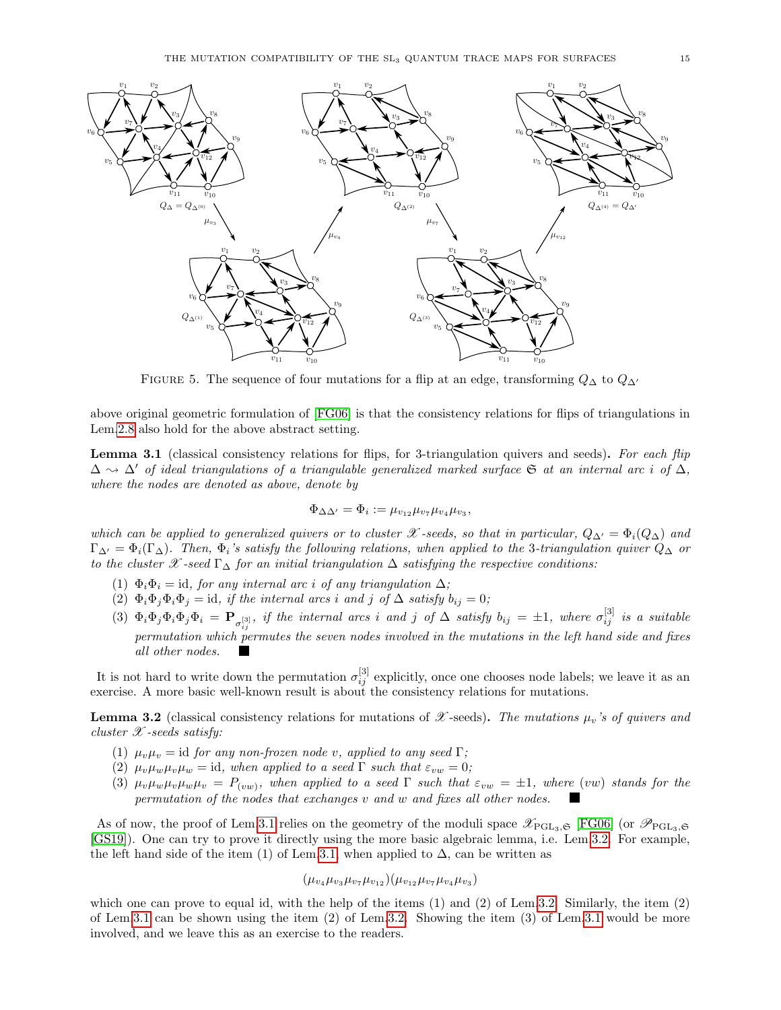

<span id="page-14-0"></span>FIGURE 5. The sequence of four mutations for a flip at an edge, transforming  $Q_{\Delta}$  to  $Q_{\Delta}$ 

above original geometric formulation of [\[FG06\]](#page-37-2) is that the consistency relations for flips of triangulations in Lem[.2.8](#page-7-0) also hold for the above abstract setting.

<span id="page-14-1"></span>Lemma 3.1 (classical consistency relations for flips, for 3-triangulation quivers and seeds). For each flip  $\Delta \rightarrow \Delta'$  of ideal triangulations of a triangulable generalized marked surface G at an internal arc i of  $\Delta$ , where the nodes are denoted as above, denote by

$$
\Phi_{\Delta\Delta'} = \Phi_i := \mu_{v_{12}} \mu_{v_7} \mu_{v_4} \mu_{v_3},
$$

which can be applied to generalized quivers or to cluster X -seeds, so that in particular,  $Q_{\Delta} = \Phi_i(Q_{\Delta})$  and  $\Gamma_{\Delta} = \Phi_i(\Gamma_{\Delta})$ . Then,  $\Phi_i$ 's satisfy the following relations, when applied to the 3-triangulation quiver  $Q_{\Delta}$  or to the cluster X -seed  $\Gamma_{\Delta}$  for an initial triangulation  $\Delta$  satisfying the respective conditions:

- (1)  $\Phi_i \Phi_i = id$ , for any internal arc i of any triangulation  $\Delta$ ;
- (2)  $\Phi_i \Phi_j \Phi_i \Phi_j = id$ , if the internal arcs i and j of  $\Delta$  satisfy  $b_{ij} = 0$ ;
- (3)  $\Phi_i \Phi_j \Phi_i \Phi_j \Phi_i = \mathbf{P}_{\sigma_{ij}^{[3]}},$  if the internal arcs i and j of  $\Delta$  satisfy  $b_{ij} = \pm 1$ , where  $\sigma_{ij}^{[3]}$  is a suitable permutation which permutes the seven nodes involved in the mutations in the left hand side and fixes all other nodes.

It is not hard to write down the permutation  $\sigma_{ij}^{[3]}$  explicitly, once one chooses node labels; we leave it as an exercise. A more basic well-known result is about the consistency relations for mutations.

<span id="page-14-2"></span>**Lemma 3.2** (classical consistency relations for mutations of  $\mathscr X$ -seeds). The mutations  $\mu_v$ 's of quivers and cluster  $\mathscr X$ -seeds satisfy:

- (1)  $\mu_v \mu_v = \text{id}$  for any non-frozen node v, applied to any seed  $\Gamma$ ;
- (2)  $\mu_v\mu_w\mu_v\mu_w = id$ , when applied to a seed  $\Gamma$  such that  $\varepsilon_{vw} = 0$ ;
- (3)  $\mu_v\mu_w\mu_v\mu_w\mu_v = P_{(vw)}$ , when applied to a seed  $\Gamma$  such that  $\varepsilon_{vw} = \pm 1$ , where (vw) stands for the permutation of the nodes that exchanges v and w and fixes all other nodes.

As of now, the proof of Lem[.3.1](#page-14-1) relies on the geometry of the moduli space  $\mathscr{X}_{\mathrm{PGL}_3,\mathfrak{S}}$  [\[FG06\]](#page-37-2) (or  $\mathscr{P}_{\mathrm{PGL}_3,\mathfrak{S}}$ [\[GS19\]](#page-38-0)). One can try to prove it directly using the more basic algebraic lemma, i.e. Lem[.3.2.](#page-14-2) For example, the left hand side of the item (1) of Lem[.3.1,](#page-14-1) when applied to  $\Delta$ , can be written as

$$
(\mu_{v_4}\mu_{v_3}\mu_{v_7}\mu_{v_{12}})(\mu_{v_{12}}\mu_{v_7}\mu_{v_4}\mu_{v_3})
$$

which one can prove to equal id, with the help of the items (1) and (2) of Lem[.3.2.](#page-14-2) Similarly, the item (2) of Lem[.3.1](#page-14-1) can be shown using the item (2) of Lem[.3.2.](#page-14-2) Showing the item (3) of Lem[.3.1](#page-14-1) would be more involved, and we leave this as an exercise to the readers.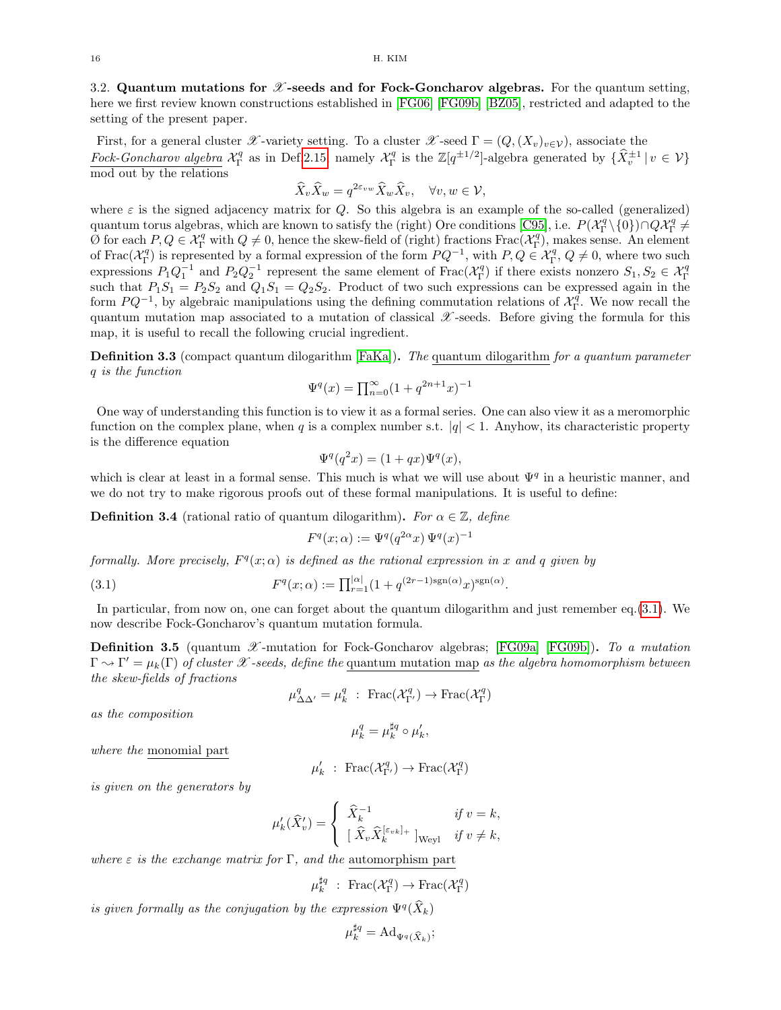<span id="page-15-0"></span>3.2. Quantum mutations for  $\mathscr X$ -seeds and for Fock-Goncharov algebras. For the quantum setting, here we first review known constructions established in [\[FG06\]](#page-37-2) [\[FG09b\]](#page-38-2) [\[BZ05\]](#page-37-10), restricted and adapted to the setting of the present paper.

First, for a general cluster X-variety setting. To a cluster X-seed  $\Gamma = (Q,(X_v)_{v \in \mathcal{V}})$ , associate the Fock-Goncharov algebra  $\mathcal{X}_{\Gamma}^q$  as in Def[.2.15,](#page-10-3) namely  $\mathcal{X}_{\Gamma}^q$  is the  $\mathbb{Z}[q^{\pm 1/2}]$ -algebra generated by  $\{\hat{X}_{v}^{\pm 1} | v \in \mathcal{V}\}\$ mod out by the relations

$$
\widehat{X}_v \widehat{X}_w = q^{2\varepsilon_{vw}} \widehat{X}_w \widehat{X}_v, \quad \forall v, w \in \mathcal{V},
$$

where  $\varepsilon$  is the signed adjacency matrix for Q. So this algebra is an example of the so-called (generalized) quantum torus algebras, which are known to satisfy the (right) Ore conditions [\[C95\]](#page-37-11), i.e.  $P(\mathcal{X}_{\Gamma}^q \setminus \{0\}) \cap Q\mathcal{X}_{\Gamma}^q \neq$  $\overline{Q}$  for each  $P, Q \in \mathcal{X}_{\Gamma}^q$  with  $Q \neq 0$ , hence the skew-field of (right) fractions  $\text{Frac}(\mathcal{X}_{\Gamma}^q)$ , makes sense. An element of Frac $(\mathcal{X}_{\Gamma}^q)$  is represented by a formal expression of the form  $PQ^{-1}$ , with  $P, Q \in \mathcal{X}_{\Gamma}^q, Q \neq 0$ , where two such expressions  $P_1Q_1^{-1}$  and  $P_2Q_2^{-1}$  represent the same element of  $Frac{X_1^q}{\Gamma}$  if there exists nonzero  $S_1, S_2 \in \mathcal{X}_1^q$ <br>such that  $P_1S_1 = P_2S_2$  and  $Q_1S_1 = Q_2S_2$ . Product of two such expressions can be expre form  $PQ^{-1}$ , by algebraic manipulations using the defining commutation relations of  $\mathcal{X}_{\Gamma}^{\bar{q}}$ . We now recall the quantum mutation map associated to a mutation of classical  $\mathscr X$ -seeds. Before giving the formula for this map, it is useful to recall the following crucial ingredient.

**Definition 3.3** (compact quantum dilogarithm [\[FaKa\]](#page-37-12)). The quantum dilogarithm for a quantum parameter q is the function

$$
\Psi^{q}(x) = \prod_{n=0}^{\infty} (1 + q^{2n+1}x)^{-1}
$$

One way of understanding this function is to view it as a formal series. One can also view it as a meromorphic function on the complex plane, when q is a complex number s.t.  $|q| < 1$ . Anyhow, its characteristic property is the difference equation

$$
\Psi^q(q^2x) = (1+qx)\Psi^q(x),
$$

which is clear at least in a formal sense. This much is what we will use about  $\Psi^q$  in a heuristic manner, and we do not try to make rigorous proofs out of these formal manipulations. It is useful to define:

**Definition 3.4** (rational ratio of quantum dilogarithm). For  $\alpha \in \mathbb{Z}$ , define

$$
F^q(x; \alpha) := \Psi^q(q^{2\alpha} x) \, \Psi^q(x)^{-1}
$$

formally. More precisely,  $F<sup>q</sup>(x; \alpha)$  is defined as the rational expression in x and q given by

<span id="page-15-2"></span>(3.1) 
$$
F^{q}(x; \alpha) := \prod_{r=1}^{|\alpha|} (1 + q^{(2r-1)\text{sgn}(\alpha)} x)^{\text{sgn}(\alpha)}.
$$

In particular, from now on, one can forget about the quantum dilogarithm and just remember eq.[\(3.1\)](#page-15-2). We now describe Fock-Goncharov's quantum mutation formula.

<span id="page-15-1"></span>**Definition 3.5** (quantum  $\mathscr X$ -mutation for Fock-Goncharov algebras; [\[FG09a\]](#page-38-21) [\[FG09b\]](#page-38-2)). To a mutation  $\Gamma \rightsquigarrow \Gamma' = \mu_k(\Gamma)$  of cluster X-seeds, define the quantum mutation map as the algebra homomorphism between the skew-fields of fractions

$$
\mu^q_{\Delta\Delta'}=\mu^q_k\ :\ {\rm Frac}(\mathcal{X}^q_{\Gamma'})\rightarrow {\rm Frac}(\mathcal{X}^q_{\Gamma})
$$

as the composition

$$
\mu_k^q = \mu_k^{\sharp q} \circ \mu_k',
$$

where the monomial part

$$
\mu_k' \ : \ \text{Frac}(\mathcal{X}^q_{\Gamma'}) \to \text{Frac}(\mathcal{X}^q_{\Gamma})
$$

is given on the generators by

$$
\mu'_{k}(\widehat{X}'_{v}) = \begin{cases} \widehat{X}_{k}^{-1} & \text{if } v = k, \\ \left[ \widehat{X}_{v} \widehat{X}_{k}^{[\varepsilon_{vk}]_{+}} \right]_{\text{Weyl}} & \text{if } v \neq k, \end{cases}
$$

where  $\varepsilon$  is the exchange matrix for  $\Gamma$ , and the automorphism part

$$
\mu_k^{\sharp q} \; : \; \text{Frac}(\mathcal{X}_\Gamma^q) \to \text{Frac}(\mathcal{X}_\Gamma^q)
$$

is given formally as the conjugation by the expression  $\Psi^q(\widehat{X}_k)$ 

$$
\mu_k^{\sharp q} = \mathrm{Ad}_{\Psi^q(\widehat{X}_k)};
$$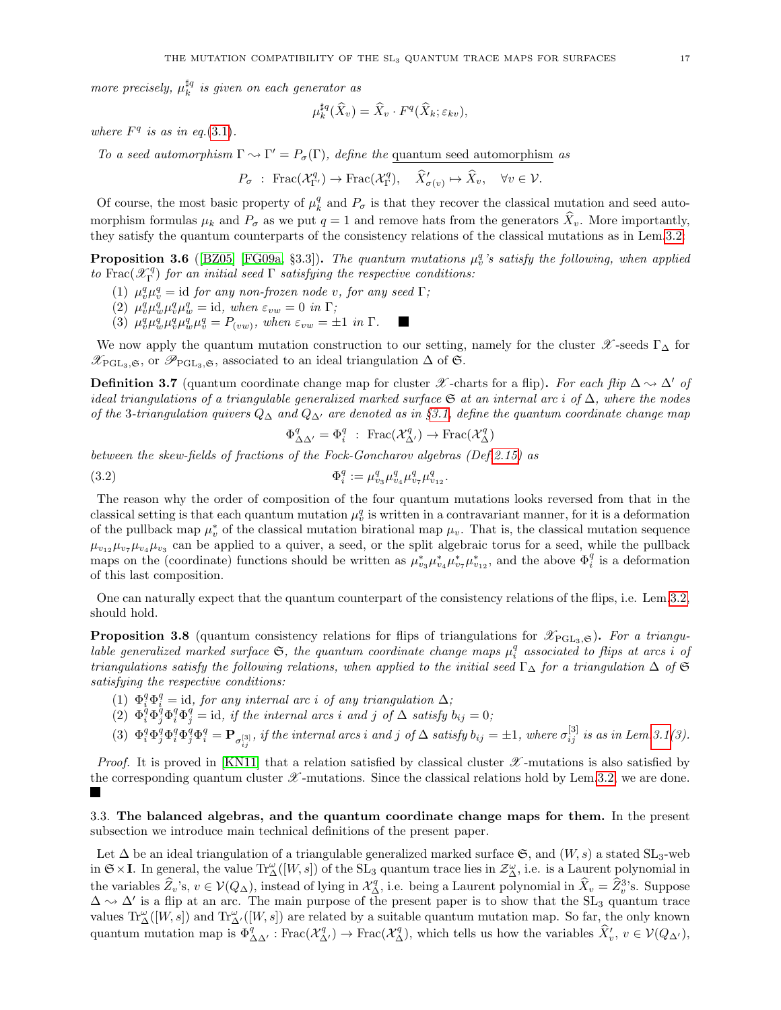more precisely,  $\mu_k^{\sharp q}$  is given on each generator as

$$
\mu_k^{\sharp q}(\widehat{X}_v) = \widehat{X}_v \cdot F^q(\widehat{X}_k; \varepsilon_{kv}),
$$

where  $F<sup>q</sup>$  is as in eq.[\(3.1\)](#page-15-2).

To a seed automorphism  $\Gamma \rightsquigarrow \Gamma' = P_{\sigma}(\Gamma)$ , define the quantum seed automorphism as

$$
P_{\sigma} : \operatorname{Frac}(\mathcal{X}_{\Gamma'}^q) \to \operatorname{Frac}(\mathcal{X}_{\Gamma}^q), \quad \widehat{X}'_{\sigma(v)} \mapsto \widehat{X}_v, \quad \forall v \in \mathcal{V}.
$$

Of course, the most basic property of  $\mu_k^q$  and  $P_{\sigma}$  is that they recover the classical mutation and seed automorphism formulas  $\mu_k$  and  $P_{\sigma}$  as we put  $q = 1$  and remove hats from the generators  $\hat{X}_v$ . More importantly, they satisfy the quantum counterparts of the consistency relations of the classical mutations as in Lem[.3.2:](#page-14-2)

**Proposition 3.6** ([\[BZ05\]](#page-37-10) [\[FG09a,](#page-38-21) §3.3]). The quantum mutations  $\mu_v^q$ 's satisfy the following, when applied to Frac $(\mathscr{X}_{\Gamma}^q)$  for an initial seed  $\Gamma$  satisfying the respective conditions:

- (1)  $\mu_v^q \mu_v^q = \text{id}$  for any non-frozen node v, for any seed  $\Gamma$ ;
	- (2)  $\mu_v^q \mu_w^q \mu_w^q = \text{id}, \text{ when } \varepsilon_{vw} = 0 \text{ in } \Gamma;$
	- (3)  $\mu_v^q \mu_w^q \mu_v^q \mu_w^q = P_{(vw)},$  when  $\varepsilon_{vw} = \pm 1$  in  $\Gamma$ .

We now apply the quantum mutation construction to our setting, namely for the cluster  $\mathcal{X}$ -seeds Γ $\Lambda$  for  $\mathscr{X}_{\mathrm{PGL}_3,\mathfrak{S}}$ , or  $\mathscr{P}_{\mathrm{PGL}_3,\mathfrak{S}}$ , associated to an ideal triangulation  $\Delta$  of  $\mathfrak{S}$ .

<span id="page-16-2"></span>**Definition 3.7** (quantum coordinate change map for cluster X -charts for a flip). For each flip  $\Delta \sim \Delta'$  of ideal triangulations of a triangulable generalized marked surface  $\mathfrak G$  at an internal arc i of  $\Delta$ , where the nodes of the 3-triangulation quivers  $Q_{\Delta}$  and  $Q_{\Delta'}$  are denoted as in §[3.1,](#page-13-0) define the quantum coordinate change map

 $\Phi^q_{\Delta \Delta'} = \Phi^q_i : \text{Frac}(\mathcal{X}^q_{\Delta'}) \to \text{Frac}(\mathcal{X}^q_{\Delta})$ 

between the skew-fields of fractions of the Fock-Goncharov algebras (Def[.2.15\)](#page-10-3) as

<span id="page-16-1"></span>(3.2) 
$$
\Phi_i^q := \mu_{v_3}^q \mu_{v_4}^q \mu_{v_7}^q \mu_{v_{12}}^q.
$$

The reason why the order of composition of the four quantum mutations looks reversed from that in the classical setting is that each quantum mutation  $\mu_v^q$  is written in a contravariant manner, for it is a deformation of the pullback map  $\mu_v^*$  of the classical mutation birational map  $\mu_v$ . That is, the classical mutation sequence  $\mu_{v_1}, \mu_{v_2}, \mu_{v_3}$  can be applied to a quiver, a seed, or the split algebraic torus for a seed, while the pullback maps on the (coordinate) functions should be written as  $\mu_{v_3}^* \mu_{v_4}^* \mu_{v_7}^* \mu_{v_{12}}^*$ , and the above  $\Phi_i^q$  is a deformation of this last composition.

One can naturally expect that the quantum counterpart of the consistency relations of the flips, i.e. Lem[.3.2,](#page-14-2) should hold.

**Proposition 3.8** (quantum consistency relations for flips of triangulations for  $\mathscr{X}_{PGL_3,\mathfrak{S}}$ ). For a triangulable generalized marked surface  $\mathfrak{S}$ , the quantum coordinate change maps  $\mu_i^q$  associated to flips at arcs i of triangulations satisfy the following relations, when applied to the initial seed  $\Gamma_{\Delta}$  for a triangulation  $\Delta$  of  $\mathfrak{S}$ satisfying the respective conditions:

- (1)  $\Phi_i^q \Phi_i^q = id$ , for any internal arc i of any triangulation  $\Delta$ ;
- $\int (2) \Phi_i^q \Phi_j^q \Phi_i^q \Phi_j^q = id, \text{ if the internal arcs } i \text{ and } j \text{ of } \Delta \text{ satisfy } b_{ij} = 0;$
- (3)  $\Phi_i^q \Phi_j^q \Phi_i^q \Phi_j^q \Phi_i^q = \mathbf{P}_{\sigma_{ij}^{[3]}},$  if the internal arcs i and j of  $\Delta$  satisfy  $b_{ij} = \pm 1$ , where  $\sigma_{ij}^{[3]}$  is as in Lem[.3.1\(](#page-14-1)3).

*Proof.* It is proved in [\[KN11\]](#page-38-9) that a relation satisfied by classical cluster  $\mathscr X$ -mutations is also satisfied by the corresponding quantum cluster  $\mathscr X$ -mutations. Since the classical relations hold by Lem[.3.2,](#page-14-2) we are done. 

<span id="page-16-0"></span>3.3. The balanced algebras, and the quantum coordinate change maps for them. In the present subsection we introduce main technical definitions of the present paper.

Let  $\Delta$  be an ideal triangulation of a triangulable generalized marked surface  $\mathfrak{S}$ , and  $(W, s)$  a stated SL<sub>3</sub>-web in  $\mathfrak{S} \times I$ . In general, the value  $\text{Tr}_{\Delta}^{\omega}([W, s])$  of the  $\text{SL}_3$  quantum trace lies in  $\mathcal{Z}_{\Delta}^{\omega}$ , i.e. is a Laurent polynomial in the variables  $\widehat{Z}_v$ 's,  $v \in V(Q_\Delta)$ , instead of lying in  $\mathcal{X}_q^q$ , i.e. being a Laurent polynomial in  $\widehat{X}_v = \widehat{Z}_v^3$ 's. Suppose  $\Delta \sim \Delta'$  is a flip at an arc. The main purpose of the present paper is to show that the SL<sub>3</sub> quantum trace values  $\operatorname{Tr}^{\omega}_{\Delta}([W, s])$  and  $\operatorname{Tr}^{\omega}_{\Delta'}([W, s])$  are related by a suitable quantum mutation map. So far, the only known quantum mutation map is  $\Phi_{\Delta\Delta'}^q$ : Frac $(\mathcal{X}_{\Delta'}^q)$   $\to$  Frac $(\mathcal{X}_{\Delta}^q)$ , which tells us how the variables  $\widehat{X}'_v, v \in \mathcal{V}(Q_{\Delta'})$ ,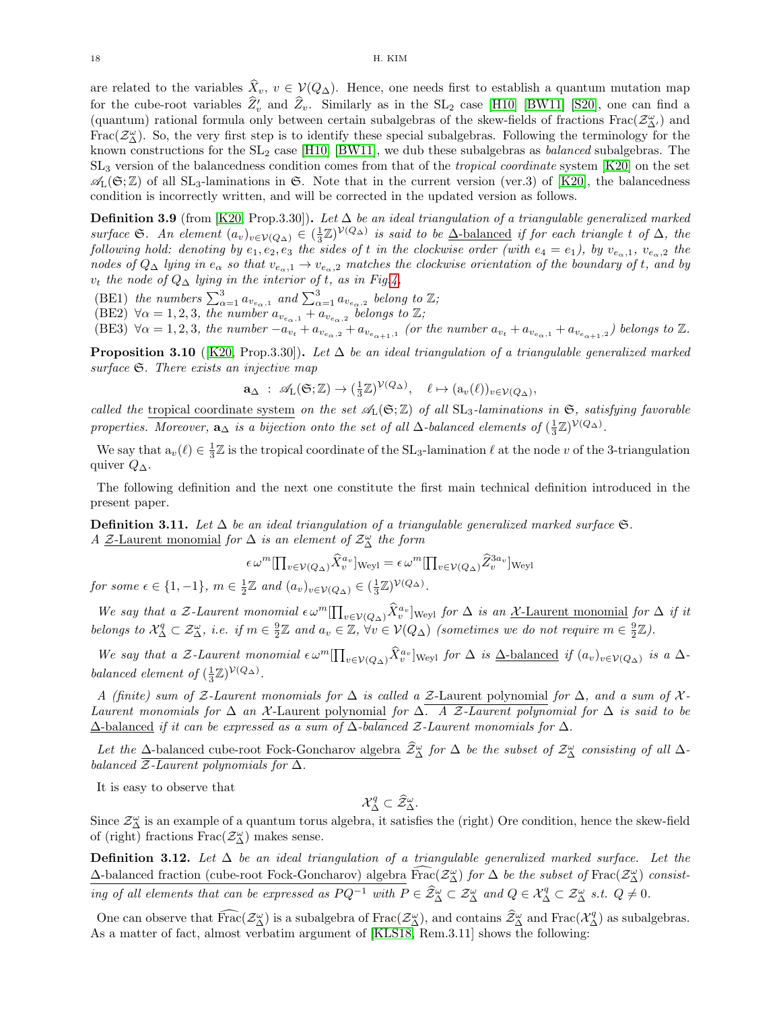are related to the variables  $\hat{X}_v, v \in V(Q_\Delta)$ . Hence, one needs first to establish a quantum mutation map for the cube-root variables  $\hat{Z}'_v$  and  $\hat{Z}_v$ . Similarly as in the SL<sub>2</sub> case [\[H10\]](#page-38-8) [\[BW11\]](#page-37-4) [\[S20\]](#page-38-20), one can find a (quantum) rational formula only between certain subalgebras of the skew-fields of fractions  $\text{Frac}(\mathcal{Z}_{\Delta'}^{\omega})$  and Frac( $\mathcal{Z}^{\omega}_{\Delta}$ ). So, the very first step is to identify these special subalgebras. Following the terminology for the known constructions for the  $SL_2$  case [\[H10\]](#page-38-8) [\[BW11\]](#page-37-4), we dub these subalgebras as *balanced* subalgebras. The  $SL<sub>3</sub>$  version of the balancedness condition comes from that of the *tropical coordinate* system  $[K20]$  on the set  $\mathscr{A}_{L}(\mathfrak{S};\mathbb{Z})$  of all SL<sub>3</sub>-laminations in  $\mathfrak{S}$ . Note that in the current version (ver.3) of [\[K20\]](#page-38-5), the balancedness condition is incorrectly written, and will be corrected in the updated version as follows.

<span id="page-17-0"></span>**Definition 3.9** (from [\[K20,](#page-38-5) Prop.3.30]). Let  $\Delta$  be an ideal triangulation of a triangulable generalized marked surface G. An element  $(a_v)_{v \in V(Q_\Delta)} \in (\frac{1}{3}\mathbb{Z})^{V(Q_\Delta)}$  is said to be  $\Delta$ -balanced if for each triangle t of  $\Delta$ , the following hold: denoting by  $e_1, e_2, e_3$  the sides of t in the clockwise order (with  $e_4 = e_1$ ), by  $v_{e_\alpha,1}$ ,  $v_{e_\alpha,2}$  the nodes of  $Q_\Delta$  lying in  $e_\alpha$  so that  $v_{e_\alpha,1} \to v_{e_\alpha,2}$  matches the clockwise orientation of the boundary of t, and by  $v_t$  the node of  $Q_{\Delta}$  lying in the interior of t, as in Fig[.4,](#page-5-0)

- (BE1) the numbers  $\sum_{\alpha=1}^{3} a_{v_{e_{\alpha}},1}$  and  $\sum_{\alpha=1}^{3} a_{v_{e_{\alpha}},2}$  belong to  $\mathbb{Z}$ ;
- $(BE2) \ \forall \alpha = 1, 2, 3, \text{ the number } a_{v_{e_{\alpha},1}} + a_{v_{e_{\alpha},2}}$  belongs to  $\mathbb{Z};$
- $(BE3) \ \forall \alpha = 1, 2, 3, \ the \ number \ -a_{v_t} + a_{v_{e_{\alpha},2}} + a_{v_{e_{\alpha+1},1}} \ (or \ the \ number \ a_{v_t} + a_{v_{e_{\alpha},1}} + a_{v_{e_{\alpha+1},2}}) \ belongs \ to \ \mathbb{Z}.$

<span id="page-17-3"></span>**Proposition 3.10** ([\[K20,](#page-38-5) Prop.3.30]). Let  $\Delta$  be an ideal triangulation of a triangulable generalized marked surface  $\mathfrak{S}$ . There exists an injective map

$$
\mathbf{a}_{\Delta} \; : \; \mathscr{A}_{L}(\mathfrak{S}; \mathbb{Z}) \to (\frac{1}{3}\mathbb{Z})^{\mathcal{V}(Q_{\Delta})}, \quad \ell \mapsto (a_{v}(\ell))_{v \in \mathcal{V}(Q_{\Delta})},
$$

called the tropical coordinate system on the set  $\mathscr{A}_L(\mathfrak{S};\mathbb{Z})$  of all  $SL_3$ -laminations in  $\mathfrak{S}$ , satisfying favorable properties. Moreover,  $\mathbf{a}_{\Delta}$  is a bijection onto the set of all  $\Delta$ -balanced elements of  $(\frac{1}{3}\mathbb{Z})^{\mathcal{V}(Q_{\Delta})}$ .

We say that  $a_v(\ell) \in \frac{1}{3}\mathbb{Z}$  is the tropical coordinate of the SL<sub>3</sub>-lamination  $\ell$  at the node v of the 3-triangulation quiver  $Q_{\Delta}$ .

The following definition and the next one constitute the first main technical definition introduced in the present paper.

<span id="page-17-1"></span>**Definition 3.11.** Let  $\Delta$  be an ideal triangulation of a triangulable generalized marked surface  $\mathfrak{S}$ . A  $\mathcal{Z}\text{-Laurent monomial}$  for  $\Delta$  is an element of  $\mathcal{Z}_{\Delta}^{\omega}$  the form

$$
\epsilon \,\omega^m[\prod_{v\in \mathcal{V}(Q_{\Delta})}\hat{X}^{a_v}_v]_{\text{Weyl}} = \epsilon \,\omega^m[\prod_{v\in \mathcal{V}(Q_{\Delta})}\hat{Z}^{3a_v}_v]_{\text{Weyl}}
$$

for some  $\epsilon \in \{1, -1\}$ ,  $m \in \frac{1}{2}\mathbb{Z}$  and  $(a_v)_{v \in \mathcal{V}(Q_\Delta)} \in (\frac{1}{3}\mathbb{Z})^{\mathcal{V}(Q_\Delta)}$ .

We say that a Z-Laurent monomial  $\epsilon \omega^m \prod_{v \in \mathcal{V}(Q_\Delta)} \hat{X}_v^{a_v}$  weyl for  $\Delta$  is an X-Laurent monomial for  $\Delta$  if it belongs to  $\mathcal{X}_{\Delta}^q \subset \mathcal{Z}_{\Delta}^{\omega}$ , i.e. if  $m \in \frac{9}{2}\mathbb{Z}$  and  $a_v \in \mathbb{Z}$ ,  $\forall v \in \mathcal{V}(Q_{\Delta})$  (sometimes we do not require  $m \in \frac{9}{2}\mathbb{Z}$ ).

We say that a Z-Laurent monomial  $\epsilon \omega^m \prod_{v \in \mathcal{V}(Q_\Delta)} \hat{X}_{v}^{a_v}$  weyl for  $\Delta$  is  $\Delta$ -balanced if  $(a_v)_{v \in \mathcal{V}(Q_\Delta)}$  is a  $\Delta$ balanced element of  $(\frac{1}{3}\mathbb{Z})^{\mathcal{V}(Q_{\Delta})}$ .

A (finite) sum of Z-Laurent monomials for  $\Delta$  is called a Z-Laurent polynomial for  $\Delta$ , and a sum of X-Laurent monomials for  $\Delta$  an X-Laurent polynomial for  $\Delta$ . A Z-Laurent polynomial for  $\Delta$  is said to be  $\Delta$ -balanced if it can be expressed as a sum of  $\Delta$ -balanced Z-Laurent monomials for  $\Delta$ .

Let the  $\Delta$ -balanced cube-root Fock-Goncharov algebra  $\hat{Z}_{\Delta}^{\omega}$  for  $\Delta$  be the subset of  $\mathcal{Z}_{\Delta}^{\omega}$  consisting of all  $\Delta$ balanced  $\overline{\mathcal{Z}-Laurent$  polynomials for  $\Delta$ .

It is easy to observe that

 $\mathcal{X}_{\Delta}^q \subset \widehat{\mathcal{Z}}_{\Delta}^{\omega}.$ 

Since  $\mathcal{Z}^{\omega}_{\Delta}$  is an example of a quantum torus algebra, it satisfies the (right) Ore condition, hence the skew-field of (right) fractions  $\operatorname{Frac}\nolimits(\mathcal{Z}_{\Delta}^{\omega})$  makes sense.

<span id="page-17-2"></span>**Definition 3.12.** Let  $\Delta$  be an ideal triangulation of a triangulable generalized marked surface. Let the  $\Delta$ -balanced fraction (cube-root Fock-Goncharov) algebra  $\widehat{\text{Frac}}(\mathcal{Z}_{\Delta}^{\omega})$  for  $\Delta$  be the subset of  $\text{Frac}}(\mathcal{Z}_{\Delta}^{\omega})$  consisting of all elements that can be expressed as  $P Q^{-1}$  with  $P \in \hat{\mathcal{Z}}_{\Delta}^{\omega} \subset \mathcal{Z}_{\Delta}^{\omega}$  and  $Q \in \mathcal{X}_{\Delta}^{q} \subset \mathcal{Z}_{\Delta}^{\omega}$  s.t.  $Q \neq 0$ .

One can observe that  $\widehat{\text{Frac}}(Z^{\omega}_{\Delta})$  is a subalgebra of  $\text{Frac}(Z^{\omega}_{\Delta})$ , and contains  $\widehat{Z}^{\omega}_{\Delta}$  and  $\text{Frac}(X^q_{\Delta})$  as subalgebras. As a matter of fact, almost verbatim argument of [\[KLS18,](#page-38-22) Rem.3.11] shows the following: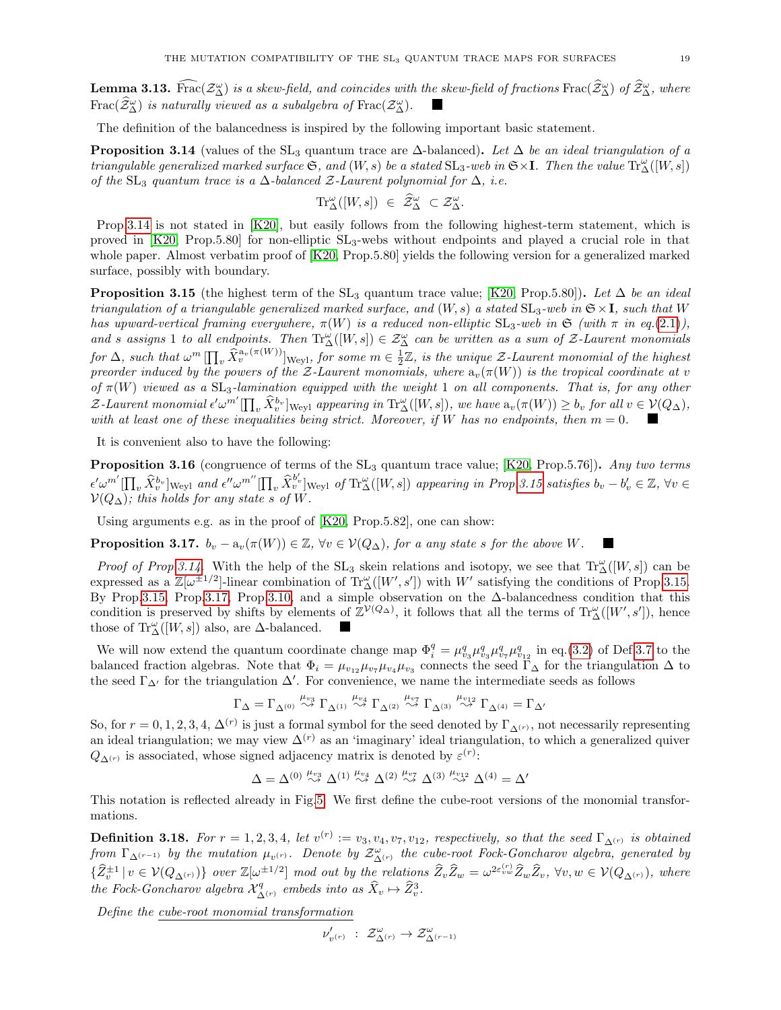<span id="page-18-0"></span>**Lemma 3.13.** Frac $(\mathcal{Z}_{\Delta}^{\omega})$  is a skew-field, and coincides with the skew-field of fractions Frac $(\hat{\mathcal{Z}}_{\Delta}^{\omega})$  of  $\hat{\mathcal{Z}}_{\Delta}^{\omega}$ , where  $\text{Frac}(\widehat{\mathcal{Z}}_{\Delta}^{\omega})$  is naturally viewed as a subalgebra of  $\text{Frac}(\mathcal{Z}_{\Delta}^{\omega})$ .

The definition of the balancedness is inspired by the following important basic statement.

<span id="page-18-1"></span>**Proposition 3.14** (values of the  $SL_3$  quantum trace are  $\Delta$ -balanced). Let  $\Delta$  be an ideal triangulation of a triangulable generalized marked surface  $\mathfrak{S}$ , and  $(W, s)$  be a stated  $\mathrm{SL}_3$ -web in  $\mathfrak{S} \times \mathbf{I}$ . Then the value  $\mathrm{Tr}^\omega_\Delta([W, s])$ of the SL<sub>3</sub> quantum trace is a  $\Delta$ -balanced  $\mathcal{Z}$ -Laurent polynomial for  $\Delta$ , i.e.

$$
\mathrm{Tr}^{\omega}_{\Delta}([W,s]) \ \in \ \widehat{\mathcal{Z}}^{\omega}_{\Delta} \ \subset \mathcal{Z}^{\omega}_{\Delta}.
$$

Prop[.3.14](#page-18-1) is not stated in [\[K20\]](#page-38-5), but easily follows from the following highest-term statement, which is proved in  $[K20, Prop.5.80]$  for non-elliptic  $SL_3$ -webs without endpoints and played a crucial role in that whole paper. Almost verbatim proof of [\[K20,](#page-38-5) Prop.5.80] yields the following version for a generalized marked surface, possibly with boundary.

<span id="page-18-2"></span>**Proposition 3.15** (the highest term of the  $SL_3$  quantum trace value; [\[K20,](#page-38-5) Prop.5.80]). Let ∆ be an ideal triangulation of a triangulable generalized marked surface, and  $(W, s)$  a stated  $SL_3$ -web in  $S \times I$ , such that W has upward-vertical framing everywhere,  $\pi(W)$  is a reduced non-elliptic  $SL_3$ -web in  $\mathfrak{S}$  (with  $\pi$  in eq.[\(2.1\)](#page-9-1)), and s assigns 1 to all endpoints. Then  $\text{Tr}^{\omega}_{\Delta}([W,s]) \in \mathcal{Z}_{\Delta}^{\omega}$  can be written as a sum of  $\mathcal{Z}$ -Laurent monomials for  $\Delta$ , such that  $\omega^m \prod_v \widehat{X}_v^{a_v(\pi(W))}$  weyl, for some  $m \in \frac{1}{2}\mathbb{Z}$ , is the unique  $\mathcal{Z}$ -Laurent monomial of the highest preorder induced by the powers of the Z-Laurent monomials, where  $a_v(\pi(W))$  is the tropical coordinate at v of  $\pi(W)$  viewed as a  $SL_3$ -lamination equipped with the weight 1 on all components. That is, for any other  $\mathcal{Z}\text{-}Laurent monomial \epsilon' \omega^{m'}[\prod_v \widehat{X}_v^{b_v}]_{\text{Weyl}}$  appearing in  $\text{Tr}^{\omega}_{\Delta}([W,s])$ , we have  $a_v(\pi(W)) \geq b_v$  for all  $v \in \mathcal{V}(Q_{\Delta}),$ with at least one of these inequalities being strict. Moreover, if W has no endpoints, then  $m = 0$ .

It is convenient also to have the following:

**Proposition 3.16** (congruence of terms of the  $SL_3$  quantum trace value; [\[K20,](#page-38-5) Prop.5.76]). Any two terms  $\epsilon' \omega^{m'} [\prod_{v} \hat{X}_{v}^{b_{v}}]$ <sub>Weyl</sub> and  $\epsilon'' \omega^{m''} [\prod_{v} \hat{X}_{v}^{b'_{v}}]$ <sub>Weyl</sub> of Tr<sub> $\Delta$ </sub>([W, s]) appearing in Prop. 3.15 satisfies  $b_{v} - b'_{v} \in \mathbb{Z}$ ,  $\forall v \in \mathbb{Z}$  $\mathcal{V}(Q_{\Delta});$  this holds for any state s of W.

Using arguments e.g. as in the proof of [\[K20,](#page-38-5) Prop.5.82], one can show:

<span id="page-18-3"></span>**Proposition 3.17.**  $b_v - a_v(\pi(W)) \in \mathbb{Z}$ ,  $\forall v \in V(Q_\Delta)$ , for a any state s for the above W.

*Proof of Prop.3.14*. With the help of the  $SL_3$  skein relations and isotopy, we see that  $Tr_{\Delta}^{\omega}([W,s])$  can be expressed as a  $\mathbb{Z}[\omega^{\pm 1/2}]$ -linear combination of  $\text{Tr}_{\Delta}^{\omega}([W', s'])$  with W' satisfying the conditions of Prop[.3.15.](#page-18-2) By Prop[.3.15,](#page-18-2) Prop[.3.17,](#page-18-3) Prop[.3.10,](#page-17-3) and a simple observation on the ∆-balancedness condition that this condition is preserved by shifts by elements of  $\mathbb{Z}^{\mathcal{V}(Q_{\Delta})}$ , it follows that all the terms of  $\text{Tr}^{\omega}_{\Delta}([W', s'])$ , hence those of  $\text{Tr}^{\omega}_{\Delta}([W,s])$  also, are  $\Delta$ -balanced. **I** 

We will now extend the quantum coordinate change map  $\Phi_i^q = \mu_{v_3}^q \mu_{v_3}^q \mu_{v_7}^q \mu_{v_{12}}^q$  in eq.[\(3.2\)](#page-16-1) of Def[.3.7](#page-16-2) to the balanced fraction algebras. Note that  $\Phi_i = \mu_{v_{12}}\mu_{v_7}\mu_{v_4}\mu_{v_3}$  connects the seed  $\Gamma_\Delta$  for the triangulation  $\Delta$  to the seed  $\Gamma_{\Delta}$  for the triangulation  $\Delta'$ . For convenience, we name the intermediate seeds as follows

$$
\Gamma_\Delta=\Gamma_{\Delta^{(0)}}\stackrel{\mu_{v_3}}{\rightsquigarrow}\Gamma_{\Delta^{(1)}}\stackrel{\mu_{v_4}}{\rightsquigarrow}\Gamma_{\Delta^{(2)}}\stackrel{\mu_{v_7}}{\rightsquigarrow}\Gamma_{\Delta^{(3)}}\stackrel{\mu_{v_{12}}}{\rightsquigarrow}\Gamma_{\Delta^{(4)}}=\Gamma_{\Delta'}
$$

So, for  $r = 0, 1, 2, 3, 4, \Delta^{(r)}$  is just a formal symbol for the seed denoted by  $\Gamma_{\Delta^{(r)}}$ , not necessarily representing an ideal triangulation; we may view  $\Delta^{(r)}$  as an 'imaginary' ideal triangulation, to which a generalized quiver  $Q_{\Delta^{(r)}}$  is associated, whose signed adjacency matrix is denoted by  $\varepsilon^{(r)}$ :

$$
\Delta=\Delta^{(0)}\stackrel{\mu_{v_3}}{\leadsto}\Delta^{(1)}\stackrel{\mu_{v_4}}{\leadsto}\Delta^{(2)}\stackrel{\mu_{v_7}}{\leadsto}\Delta^{(3)}\stackrel{\mu_{v_{12}}}{\leadsto}\Delta^{(4)}=\Delta'
$$

This notation is reflected already in Fig[.5.](#page-14-0) We first define the cube-root versions of the monomial transformations.

<span id="page-18-4"></span>**Definition 3.18.** For  $r = 1, 2, 3, 4$ , let  $v^{(r)} := v_3, v_4, v_7, v_{12}$ , respectively, so that the seed  $\Gamma_{\Delta^{(r)}}$  is obtained from  $\Gamma_{\Delta^{(r-1)}}$  by the mutation  $\mu_{v^{(r)}}$ . Denote by  $\mathcal{Z}^{\omega}_{\Delta^{(r)}}$  the cube-root Fock-Goncharov algebra, generated by  $\{\widehat{Z}_{v}^{\pm 1} | v \in V(Q_{\Delta^{(r)}})\}\$  over  $\mathbb{Z}[\omega^{\pm 1/2}]$  mod out by the relations  $\widehat{Z}_{v}\widehat{Z}_{w} = \omega^{2\varepsilon_{vw}^{(r)}}\widehat{Z}_{w}\widehat{Z}_{v}, \forall v, w \in V(Q_{\Delta^{(r)}}),$  where the Fock-Goncharov algebra  $\mathcal{X}^q_{\Delta^{(r)}}$  embeds into as  $\widehat{X}_v \mapsto \widehat{Z}_v^3$ .

Define the cube-root monomial transformation

$$
\nu'_{v^{(r)}}~:~\mathcal{Z}^\omega_{\Delta^{(r)}}\to \mathcal{Z}^\omega_{\Delta^{(r-1)}}
$$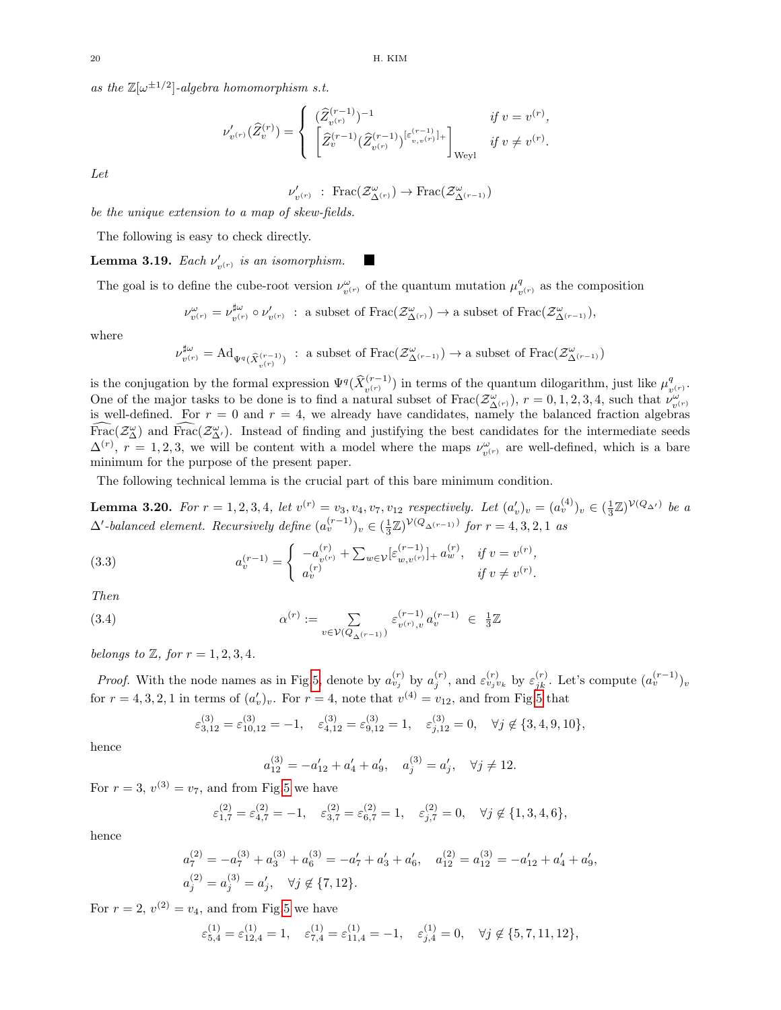as the  $\mathbb{Z}[\omega^{\pm 1/2}]$ -algebra homomorphism s.t.

$$
\nu'_{v^{(r)}}(\widehat{Z}_{v}^{(r)}) = \begin{cases}\n(\widehat{Z}_{v^{(r)}}^{(r-1)})^{-1} & \text{if } v = v^{(r)}, \\
\left[\widehat{Z}_{v}^{(r-1)}(\widehat{Z}_{v^{(r)}}^{(r-1)})^{[\varepsilon_{v,v}^{(r-1)}]+\right]_{\text{Weyl}} & \text{if } v \neq v^{(r)}.\n\end{cases}
$$

Let

$$
\nu'_{v^{(r)}} \; : \; \text{Frac}(\mathcal{Z}^{\omega}_{\Delta^{(r)}}) \to \text{Frac}(\mathcal{Z}^{\omega}_{\Delta^{(r-1)}})
$$

be the unique extension to a map of skew-fields.

The following is easy to check directly.

**Lemma 3.19.** Each  $\nu'_{v^{(r)}}$  is an isomorphism.

The goal is to define the cube-root version  $\nu_{v^{(r)}}^{\omega}$  of the quantum mutation  $\mu_v^q$  $\frac{q}{v^{(r)}}$  as the composition

$$
\nu_{v^{(r)}}^{\omega} = \nu_{v^{(r)}}^{\sharp \omega} \circ \nu'_{v^{(r)}} \; : \; \text{a subset of } \text{Frac}(\mathcal{Z}_{\Delta^{(r)}}^{\omega}) \to \text{a subset of } \text{Frac}(\mathcal{Z}_{\Delta^{(r-1)}}^{\omega}),
$$

where

$$
\nu^{\sharp\omega}_{v^{(r)}}=\mathrm{Ad}_{\Psi^q(\widehat X_{v^{(r-1)}}^{(r-1)})}\ :\ \text{a subset of } \mathrm{Frac}\big(\mathcal{Z}^\omega_{\Delta^{(r-1)}}\big)\to \text{a subset of }\mathrm{Frac}\big(\mathcal{Z}^\omega_{\Delta^{(r-1)}}\big)
$$

is the conjugation by the formal expression  $\Psi^q(\hat{X}_{v^{(r)}}^{(r-1)})$  in terms of the quantum dilogarithm, just like  $\mu_v^q$  $_{v^{\left( r\right) }}^{q}.$ One of the major tasks to be done is to find a natural subset of  $\text{Frac}(\mathcal{Z}_{\Delta^{(r)}}^\omega), r = 0, 1, 2, 3, 4$ , such that  $\nu_{v^{(r)}}^\omega$ is well-defined. For  $r = 0$  and  $r = 4$ , we already have candidates, namely the balanced fraction algebras  $\widehat{\text{Frac}}(Z^{\omega}_{\Delta})$  and  $\widehat{\text{Frac}}(Z^{\omega}_{\Delta'})$ . Instead of finding and justifying the best candidates for the intermediate seeds  $\Delta^{(r)}$ ,  $r = 1, 2, 3$ , we will be content with a model where the maps  $\nu_{v^{(r)}}^{\omega}$  are well-defined, which is a bare minimum for the purpose of the present paper.

The following technical lemma is the crucial part of this bare minimum condition.

<span id="page-19-0"></span>**Lemma 3.20.** For  $r = 1, 2, 3, 4$ , let  $v^{(r)} = v_3, v_4, v_7, v_{12}$  respectively. Let  $(a'_v)_v = (a_v^{(4)})_v \in (\frac{1}{3}\mathbb{Z})^{\mathcal{V}(Q_{\Delta'})}$  be a  $\Delta'$ -balanced element. Recursively define  $(a_v^{(r-1)})_v \in (\frac{1}{3}\mathbb{Z})^{\mathcal{V}(Q_{\Delta(r-1)})}$  for  $r = 4, 3, 2, 1$  as

<span id="page-19-2"></span>(3.3) 
$$
a_v^{(r-1)} = \begin{cases} -a_v^{(r)} + \sum_{w \in \mathcal{V}} [\varepsilon_{w,v^{(r)}}^{(r-1)}]_+ a_w^{(r)}, & \text{if } v = v^{(r)}, \\ a_v^{(r)} & \text{if } v \neq v^{(r)}. \end{cases}
$$

Then

<span id="page-19-1"></span>(3.4) 
$$
\alpha^{(r)} := \sum_{v \in \mathcal{V}(Q_{\Delta^{(r-1)}})} \varepsilon_{v^{(r)},v}^{(r-1)} a_v^{(r-1)} \in \frac{1}{3}\mathbb{Z}
$$

belongs to  $\mathbb{Z}$ , for  $r = 1, 2, 3, 4$ .

*Proof.* With the node names as in Fig[.5,](#page-14-0) denote by  $a_{v_j}^{(r)}$  by  $a_j^{(r)}$ , and  $\varepsilon_{v_j v_k}^{(r)}$  by  $\varepsilon_{jk}^{(r)}$ . Let's compute  $(a_v^{(r-1)})_v$ for  $r = 4, 3, 2, 1$  in terms of  $(a'_v)_v$ . For  $r = 4$ , note that  $v^{(4)} = v_{12}$ , and from Fig[.5](#page-14-0) that

$$
\varepsilon_{3,12}^{(3)} = \varepsilon_{10,12}^{(3)} = -1, \quad \varepsilon_{4,12}^{(3)} = \varepsilon_{9,12}^{(3)} = 1, \quad \varepsilon_{j,12}^{(3)} = 0, \quad \forall j \notin \{3,4,9,10\},
$$

hence

$$
a_{12}^{(3)} = -a'_{12} + a'_4 + a'_9
$$
,  $a_j^{(3)} = a'_j$ ,  $\forall j \neq 12$ .

For  $r = 3$ ,  $v^{(3)} = v_7$ , and from Fig[.5](#page-14-0) we have

$$
\varepsilon_{1,7}^{(2)} = \varepsilon_{4,7}^{(2)} = -1, \quad \varepsilon_{3,7}^{(2)} = \varepsilon_{6,7}^{(2)} = 1, \quad \varepsilon_{j,7}^{(2)} = 0, \quad \forall j \notin \{1, 3, 4, 6\},
$$

hence

$$
a_7^{(2)} = -a_7^{(3)} + a_3^{(3)} + a_6^{(3)} = -a_7' + a_3' + a_6', \quad a_{12}^{(2)} = a_{12}^{(3)} = -a_{12}' + a_4' + a_9',
$$
  

$$
a_j^{(2)} = a_j^{(3)} = a_j', \quad \forall j \notin \{7, 12\}.
$$

For  $r = 2$ ,  $v^{(2)} = v_4$ , and from Fig[.5](#page-14-0) we have

$$
\varepsilon^{(1)}_{5,4} = \varepsilon^{(1)}_{12,4} = 1, \quad \varepsilon^{(1)}_{7,4} = \varepsilon^{(1)}_{11,4} = -1, \quad \varepsilon^{(1)}_{j,4} = 0, \quad \forall j \not\in \{5,7,11,12\},
$$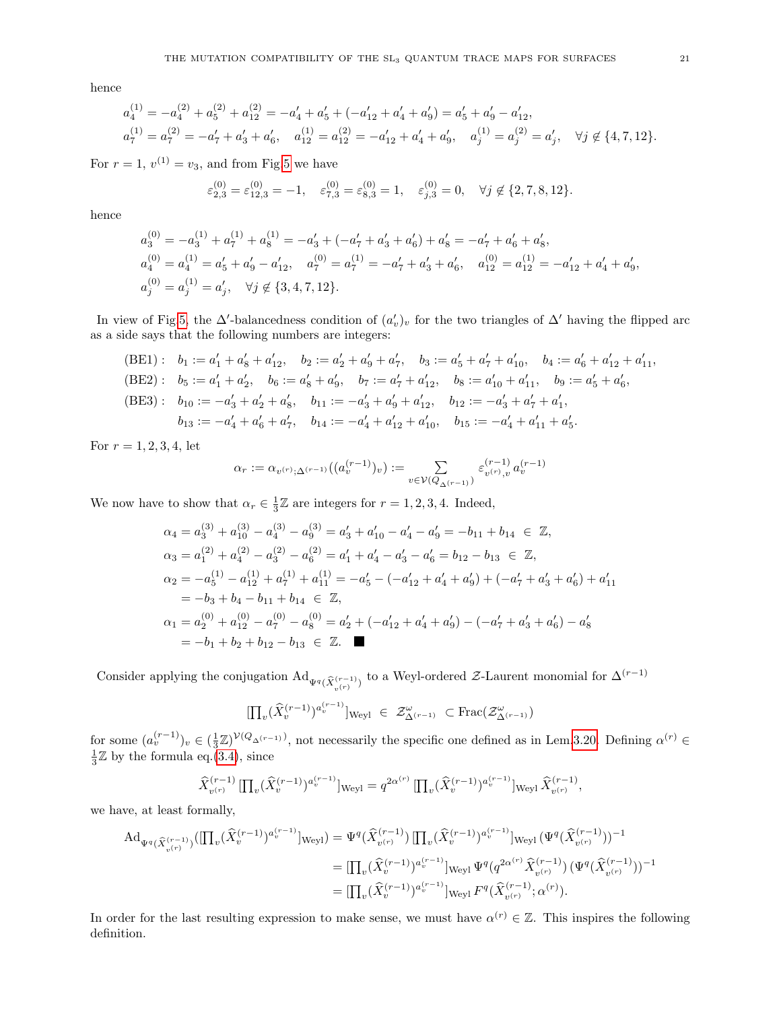hence

$$
a_4^{(1)} = -a_4^{(2)} + a_5^{(2)} + a_{12}^{(2)} = -a_4' + a_5' + (-a_{12}' + a_4' + a_9') = a_5' + a_9' - a_{12}',
$$
  
\n
$$
a_7^{(1)} = a_7^{(2)} = -a_7' + a_3' + a_6', \quad a_{12}^{(1)} = a_{12}^{(2)} = -a_{12}' + a_4' + a_9', \quad a_j^{(1)} = a_j^{(2)} = a_j', \quad \forall j \notin \{4, 7, 12\}.
$$

For  $r = 1$ ,  $v^{(1)} = v_3$ , and from Fig[.5](#page-14-0) we have

$$
\varepsilon_{2,3}^{(0)} = \varepsilon_{12,3}^{(0)} = -1, \quad \varepsilon_{7,3}^{(0)} = \varepsilon_{8,3}^{(0)} = 1, \quad \varepsilon_{j,3}^{(0)} = 0, \quad \forall j \notin \{2, 7, 8, 12\}.
$$

hence

$$
a_3^{(0)} = -a_3^{(1)} + a_7^{(1)} + a_8^{(1)} = -a_3' + (-a_7' + a_3' + a_6') + a_8' = -a_7' + a_6' + a_8',
$$
  
\n
$$
a_4^{(0)} = a_4^{(1)} = a_5' + a_9' - a_{12}', \quad a_7^{(0)} = a_7^{(1)} = -a_7' + a_3' + a_6', \quad a_{12}^{(0)} = a_{12}^{(1)} = -a_{12}' + a_4' + a_9',
$$
  
\n
$$
a_j^{(0)} = a_j^{(1)} = a_j', \quad \forall j \notin \{3, 4, 7, 12\}.
$$

In view of Fig[.5,](#page-14-0) the  $\Delta'$ -balancedness condition of  $(a'_v)_v$  for the two triangles of  $\Delta'$  having the flipped arc as a side says that the following numbers are integers:

$$
\begin{aligned}\n\text{(BE1)}: \quad b_1 &:= a_1' + a_8' + a_{12}', \quad b_2 &:= a_2' + a_9' + a_7', \quad b_3 &:= a_5' + a_7' + a_{10}', \quad b_4 &:= a_6' + a_{12}' + a_{11}', \\
\text{(BE2)}: \quad b_5 &:= a_1' + a_2', \quad b_6 &:= a_8' + a_9', \quad b_7 &:= a_7' + a_{12}', \quad b_8 &:= a_{10}' + a_{11}', \quad b_9 &:= a_5' + a_6', \\
\text{(BE3)}: \quad b_{10} &:= -a_3' + a_2' + a_8', \quad b_{11} &:= -a_3' + a_9' + a_{12}', \quad b_{12} &:= -a_3' + a_7' + a_1', \\
b_{13} &:= -a_4' + a_6' + a_7', \quad b_{14} &:= -a_4' + a_{12}' + a_{10}', \quad b_{15} &:= -a_4' + a_{11}' + a_5'.\n\end{aligned}
$$

For  $r = 1, 2, 3, 4$ , let

$$
\alpha_r := \alpha_{v^{(r)}, \Delta^{(r-1)}}((a_v^{(r-1)})_v) := \sum_{v \in \mathcal{V}(Q_{\Delta^{(r-1)}})} \varepsilon_{v^{(r)}, v}^{(r-1)} a_v^{(r-1)}
$$

We now have to show that  $\alpha_r \in \frac{1}{3}\mathbb{Z}$  are integers for  $r = 1, 2, 3, 4$ . Indeed,

$$
\alpha_4 = a_3^{(3)} + a_{10}^{(3)} - a_4^{(3)} - a_9^{(3)} = a_3' + a_{10}' - a_4' - a_9' = -b_{11} + b_{14} \in \mathbb{Z},
$$
  
\n
$$
\alpha_3 = a_1^{(2)} + a_4^{(2)} - a_3^{(2)} - a_6^{(2)} = a_1' + a_4' - a_3' - a_6' = b_{12} - b_{13} \in \mathbb{Z},
$$
  
\n
$$
\alpha_2 = -a_5^{(1)} - a_{12}^{(1)} + a_7^{(1)} + a_{11}^{(1)} = -a_5' - (-a_{12}' + a_4' + a_9') + (-a_7' + a_3' + a_6') + a_{11}' = -b_3 + b_4 - b_{11} + b_{14} \in \mathbb{Z},
$$
  
\n
$$
\alpha_1 = a_2^{(0)} + a_{12}^{(0)} - a_7^{(0)} - a_8^{(0)} = a_2' + (-a_{12}' + a_4' + a_9') - (-a_7' + a_3' + a_6') - a_8'
$$
  
\n
$$
= -b_1 + b_2 + b_{12} - b_{13} \in \mathbb{Z}.
$$

Consider applying the conjugation  $\mathrm{Ad}_{\Psi^q(\widehat{X}_{v^{(r)}}^{(r-1)})}$  to a Weyl-ordered Z-Laurent monomial for  $\Delta^{(r-1)}$ 

$$
[\prod_{v}(\widehat{X}_{v}^{(r-1)})^{a_{v}^{(r-1)}}]_{\text{Weyl}} \in \mathcal{Z}_{\Delta^{(r-1)}}^{\omega} \subset \text{Frac}(\mathcal{Z}_{\Delta^{(r-1)}}^{\omega})
$$

for some  $(a_v^{(r-1)})_v \in (\frac{1}{3}\mathbb{Z})^{\mathcal{V}(Q_{\Delta^{(r-1)}})}$ , not necessarily the specific one defined as in Lem[.3.20.](#page-19-0) Defining  $\alpha^{(r)}$  $\frac{1}{3}\mathbb{Z}$  by the formula eq.[\(3.4\)](#page-19-1), since

$$
\widehat{X}_{v^{(r)}}^{(r-1)} \left[ \prod_{v} (\widehat{X}_v^{(r-1)})^{a_v^{(r-1)}} \right]_{\text{Weyl}} = q^{2\alpha^{(r)}} \left[ \prod_{v} (\widehat{X}_v^{(r-1)})^{a_v^{(r-1)}} \right]_{\text{Weyl}} \widehat{X}_{v^{(r)}}^{(r-1)},
$$

we have, at least formally,

$$
Ad_{\Psi^{q}(\widehat{X}_{v}^{(r-1)})}([\prod_{v}(\widehat{X}_{v}^{(r-1)})^{a_{v}^{(r-1)}}]_{Weyl}) = \Psi^{q}(\widehat{X}_{v}^{(r-1)})[\prod_{v}(\widehat{X}_{v}^{(r-1)})^{a_{v}^{(r-1)}}]_{Weyl}(\Psi^{q}(\widehat{X}_{v^{(r)}}^{(r-1)}))^{-1}
$$
  
\n
$$
= [\prod_{v}(\widehat{X}_{v}^{(r-1)})^{a_{v}^{(r-1)}}]_{Weyl}\Psi^{q}(q^{2\alpha^{(r)}}\widehat{X}_{v^{(r)}}^{(r-1)})(\Psi^{q}(\widehat{X}_{v^{(r)}}^{(r-1)}))^{-1}
$$
  
\n
$$
= [\prod_{v}(\widehat{X}_{v}^{(r-1)})^{a_{v}^{(r-1)}}]_{Weyl}F^{q}(\widehat{X}_{v^{(r)}}^{(r-1)};\alpha^{(r)}).
$$

In order for the last resulting expression to make sense, we must have  $\alpha^{(r)} \in \mathbb{Z}$ . This inspires the following definition.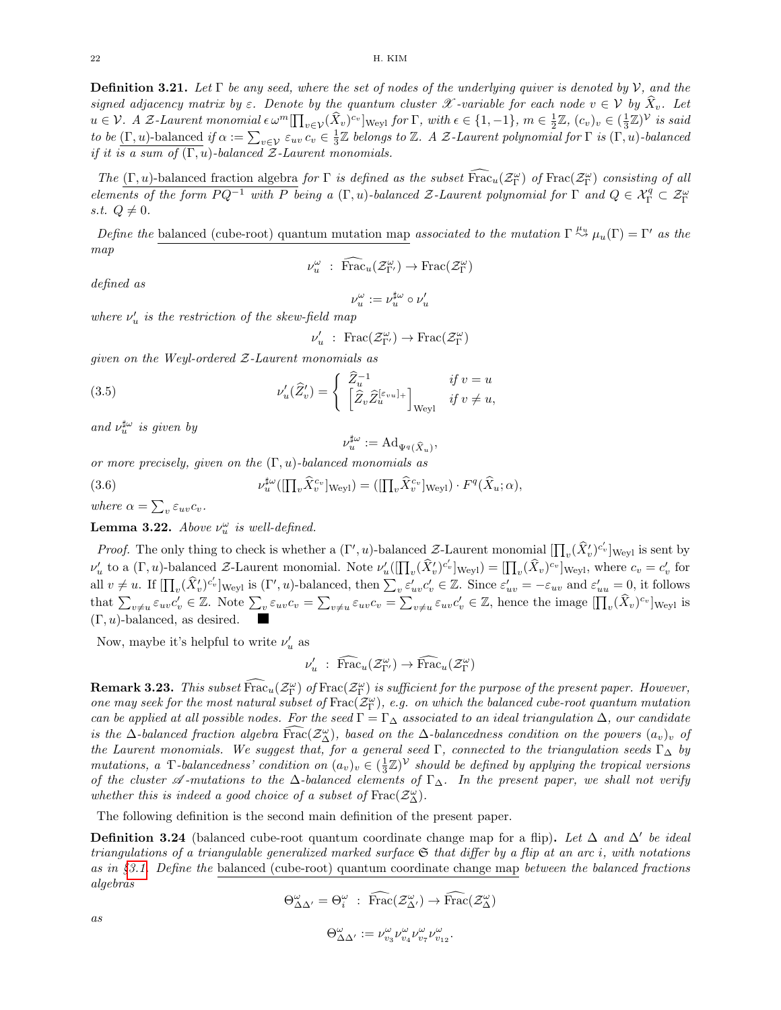<span id="page-21-1"></span>**Definition 3.21.** Let  $\Gamma$  be any seed, where the set of nodes of the underlying quiver is denoted by V, and the signed adjacency matrix by  $\varepsilon$ . Denote by the quantum cluster X -variable for each node  $v \in V$  by  $\hat{X}_v$ . Let  $u \in V$ . A Z-Laurent monomial  $\epsilon \omega^m \left[\prod_{v \in V} (\hat{X}_v)^{c_v}\right]$  weyl for  $\Gamma$ , with  $\epsilon \in \{1, -1\}$ ,  $m \in \frac{1}{2}\mathbb{Z}$ ,  $(c_v)_v \in (\frac{1}{3}\mathbb{Z})^{\mathcal{V}}$  is said to be  $(\Gamma, u)$ -balanced if  $\alpha := \sum_{v \in \mathcal{V}} \varepsilon_{uv} c_v \in \frac{1}{3} \mathbb{Z}$  belongs to  $\mathbb{Z}$ . A Z-Laurent polynomial for  $\Gamma$  is  $(\Gamma, u)$ -balanced if it is a sum of  $(\Gamma, u)$ -balanced  $\mathcal{Z}$ -Laurent monomials.

The  $(\Gamma, u)$ -balanced fraction algebra for  $\Gamma$  is defined as the subset  $\widehat{Frac}_u(\mathcal{Z}_{\Gamma}^{\omega})$  of  $Frac(\mathcal{Z}_{\Gamma}^{\omega})$  consisting of all elements of the form  $PQ^{-1}$  with P being a  $(\Gamma, u)$ -balanced Z-Laurent polynomial for  $\Gamma$  and  $Q \in \mathcal{X}_{\Gamma}^q \subset \mathcal{Z}_{\Gamma}^{\omega}$ s.t.  $Q \neq 0$ .

Define the balanced (cube-root) quantum mutation map associated to the mutation  $\Gamma \stackrel{\mu_u}{\leadsto} \mu_u(\Gamma) = \Gamma'$  as the map

$$
\nu_u^{\omega} : \widehat{\text{Frac}}_u(\mathcal{Z}_{\Gamma'}^{\omega}) \to \text{Frac}(\mathcal{Z}_{\Gamma}^{\omega})
$$

defined as

$$
\nu^\omega_u:=\nu^{\sharp\omega}_u\circ\nu'_u
$$

where  $\nu'_u$  is the restriction of the skew-field map

$$
\nu'_u\,\,:\,\, {\rm Frac}(\mathcal{Z}^{\omega}_{\Gamma'})\rightarrow {\rm Frac}(\mathcal{Z}^{\omega}_{\Gamma})
$$

given on the Weyl-ordered  $Z$ -Laurent monomials as

<span id="page-21-0"></span>(3.5) 
$$
\nu'_{u}(\widehat{Z}'_{v}) = \begin{cases} \widehat{Z}_{u}^{-1} & \text{if } v = u \\ \left[\widehat{Z}_{v}\widehat{Z}_{u}^{[\varepsilon_{vu}]_{+}}\right]_{\text{Weyl}} & \text{if } v \neq u, \end{cases}
$$

and  $\nu_{u}^{\sharp \omega}$  is given by

$$
\nu^{\sharp\omega}_u := \mathrm{Ad}_{\Psi^q(\widehat{X}_u)},
$$

or more precisely, given on the  $(\Gamma, u)$ -balanced monomials as

<span id="page-21-4"></span>(3.6) 
$$
\nu_u^{\sharp\omega}([\prod_v \hat{X}_v^{c_v}]_{\text{Weyl}}) = ([\prod_v \hat{X}_v^{c_v}]_{\text{Weyl}}) \cdot F^q(\hat{X}_u; \alpha),
$$

where  $\alpha = \sum_{v} \varepsilon_{uv} c_v$ .

<span id="page-21-2"></span>**Lemma 3.22.** Above  $\nu_u^{\omega}$  is well-defined.

*Proof.* The only thing to check is whether a  $(\Gamma', u)$ -balanced Z-Laurent monomial  $[\prod_{v}(\hat{X}'_{v})^{c'_{v}}]_{Weyl}$  is sent by  $\nu'_u$  to a  $(\Gamma, u)$ -balanced  $\mathcal{Z}$ -Laurent monomial. Note  $\nu'_u([\prod_v (\hat{X}'_v)^{c'_v}]_{\text{Weyl}}) = [\prod_v (\hat{X}_v)^{c_v}]_{\text{Weyl}},$  where  $c_v = c'_v$  for all  $v \neq u$ . If  $\left[\prod_{v}(\hat{X}'_{v})^{c'_{v}}\right]_{\text{Weyl}}$  is  $(\Gamma', u)$ -balanced, then  $\sum_{v} \varepsilon'_{uv} c'_{v} \in \mathbb{Z}$ . Since  $\varepsilon'_{uv} = -\varepsilon_{uv}$  and  $\varepsilon'_{uu} = 0$ , it follows that  $\sum_{v \neq u} \varepsilon_{uv} c'_v \in \mathbb{Z}$ . Note  $\sum_{v} \varepsilon_{uv} c_v = \sum_{v \neq u} \varepsilon_{uv} c_v = \sum_{v \neq u} \varepsilon_{uv} c'_v \in \mathbb{Z}$ , hence the image  $[\prod_v (\hat{X}_v)^{c_v}]_{\text{Weyl}}$  is  $(\Gamma, u)$ -balanced, as desired.

Now, maybe it's helpful to write  $\nu'_u$  as

 $\nu'_u$ : Frac<sub>u</sub> $(\mathcal{Z}_{\Gamma'}^{\omega}) \to \widehat{\text{Frac}}_u(\mathcal{Z}_{\Gamma}^{\omega})$ 

**Remark 3.23.** This subset  $\widehat{\text{Frac}}_u(Z_{\Gamma}^{\omega})$  of  $\text{Frac}}_u(Z_{\Gamma}^{\omega})$  is sufficient for the purpose of the present paper. However, one may seek for the most natural subset of  $\text{Frac}(\mathcal{Z}_{\Gamma}^{\omega})$ , e.g. on which the balanced cube-root quantum mutation can be applied at all possible nodes. For the seed  $\Gamma = \Gamma_{\Delta}$  associated to an ideal triangulation  $\Delta$ , our candidate is the  $\Delta$ -balanced fraction algebra  $\widehat{Frac}(Z^{\omega}_{\Delta})$ , based on the  $\Delta$ -balancedness condition on the powers  $(a_v)_v$  of the Laurent monomials. We suggest that, for a general seed Γ, connected to the triangulation seeds  $\Gamma_{\Delta}$  by mutations, a T-balancedness' condition on  $(a_v)_v \in (\frac{1}{3}\mathbb{Z})^{\mathcal{V}}$  should be defined by applying the tropical versions of the cluster  $\mathscr A$ -mutations to the  $\Delta$ -balanced elements of Γ $_\Delta$ . In the present paper, we shall not verify whether this is indeed a good choice of a subset of  $\text{Frac}(\mathcal{Z}_{\Delta}^{\omega})$ .

The following definition is the second main definition of the present paper.

<span id="page-21-3"></span>**Definition 3.24** (balanced cube-root quantum coordinate change map for a flip). Let  $\Delta$  and  $\Delta'$  be ideal triangulations of a triangulable generalized marked surface  $\mathfrak G$  that differ by a flip at an arc i, with notations as in  $§3.1.$  $§3.1.$  Define the balanced (cube-root) quantum coordinate change map between the balanced fractions algebras

$$
\Theta^{\omega}_{\Delta\Delta'} = \Theta^{\omega}_{i} : \widehat{\text{Frac}}(\mathcal{Z}^{\omega}_{\Delta'}) \to \widehat{\text{Frac}}(\mathcal{Z}^{\omega}_{\Delta})
$$

$$
\Theta^{\omega}_{\Delta\Delta'}:=\nu^{\omega}_{v_3}\nu^{\omega}_{v_4}\nu^{\omega}_{v_7}\nu^{\omega}_{v_{12}}.
$$

as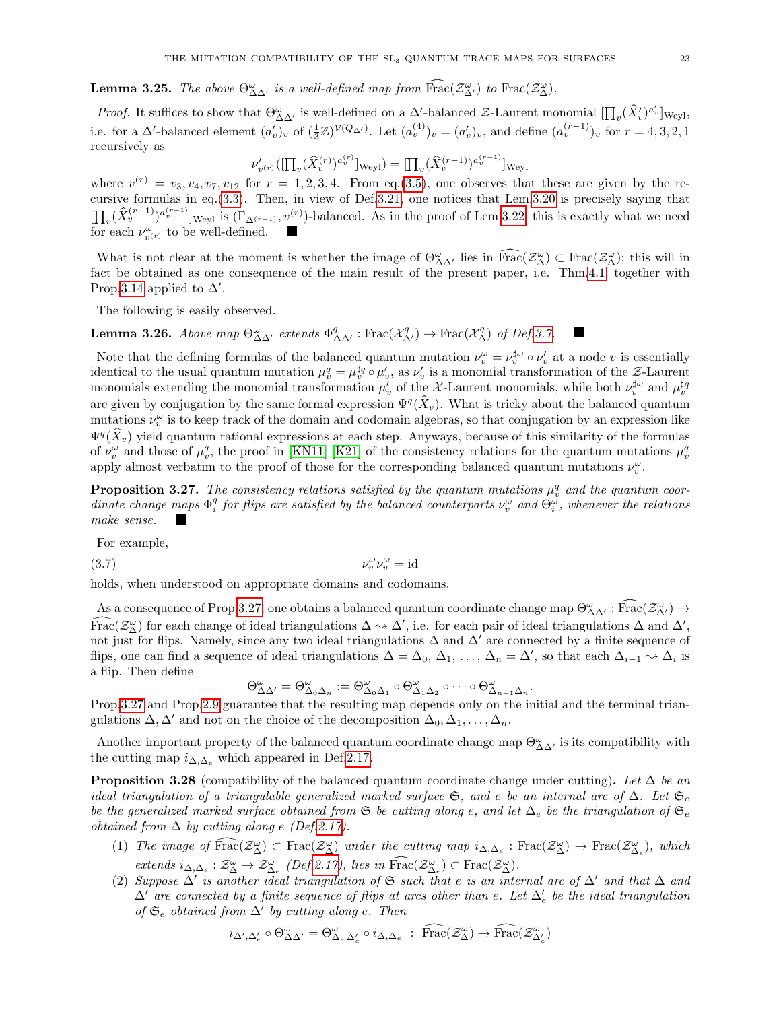**Lemma 3.25.** The above  $\Theta_{\Delta\Delta'}^{\omega}$  is a well-defined map from  $\widehat{Hrac}(\mathcal{Z}_{\Delta'}^{\omega})$  to  $\text{Frac}(\mathcal{Z}_{\Delta}^{\omega})$ .

*Proof.* It suffices to show that  $\Theta_{\Delta\Delta'}^{\omega}$  is well-defined on a  $\Delta'$ -balanced Z-Laurent monomial  $[\prod_{v}(\hat{X}'_v)^{a'_v}]_{\text{Weyl}},$ i.e. for a  $\Delta'$ -balanced element  $(a'_v)_v$  of  $(\frac{1}{3}\mathbb{Z})^{\mathcal{V}(Q_{\Delta'})}$ . Let  $(a_v^{(4)})_v = (a'_v)_v$ , and define  $(a_v^{(r-1)})_v$  for  $r = 4, 3, 2, 1$ recursively as

$$
\nu'_{v^{(r)}}([\prod_{v}(\widehat{X}_{v}^{(r)})^{a_{v}^{(r)}}]_{\text{Weyl}}) = [\prod_{v}(\widehat{X}_{v}^{(r-1)})^{a_{v}^{(r-1)}}]_{\text{Weyl}}
$$

where  $v^{(r)} = v_3, v_4, v_7, v_{12}$  for  $r = 1, 2, 3, 4$ . From eq.[\(3.5\)](#page-21-0), one observes that these are given by the recursive formulas in eq.[\(3.3\)](#page-19-2). Then, in view of Def[.3.21,](#page-21-1) one notices that Lem[.3.20](#page-19-0) is precisely saying that  $[\prod_{v}(\hat{X}_{v}^{(r-1)})^{a_{v}^{(r-1)}}]_{\text{Weyl}}$  is  $(\Gamma_{\Delta^{(r-1)}}, v^{(r)})$ -balanced. As in the proof of Lem[.3.22,](#page-21-2) this is exactly what we need for each  $\nu_{v^{(r)}}^{\omega}$  to be well-defined.

What is not clear at the moment is whether the image of  $\Theta^{\omega}_{\Delta\Delta'}$  lies in  $\text{Frac}(\mathcal{Z}_{\Delta}^{\omega}) \subset \text{Frac}(\mathcal{Z}_{\Delta}^{\omega})$ ; this will in fact be obtained as one consequence of the main result of the present paper, i.e. Thm[.4.1,](#page-24-2) together with Prop[.3.14](#page-18-1) applied to  $\Delta'$ .

The following is easily observed.

**Lemma 3.26.** Above map  $\Theta_{\Delta\Delta'}^{\omega}$  extends  $\Phi_{\Delta\Delta'}^q$ : Frac $(\mathcal{X}_{\Delta'}^q) \to \text{Frac}(\mathcal{X}_{\Delta}^q)$  of Def[.3.7.](#page-16-2)

Note that the defining formulas of the balanced quantum mutation  $\nu_v^{\omega} = \nu_v^{\sharp \omega} \circ \nu_v'$  at a node v is essentially identical to the usual quantum mutation  $\mu_v^q = \mu_v^{\sharp q} \circ \mu_v'$ , as  $\nu_v'$  is a monomial transformation of the  $\mathcal{Z}\text{-Laurent}$ monomials extending the monomial transformation  $\mu'_v$  of the X-Laurent monomials, while both  $\nu_v^{\sharp\omega}$  and  $\mu_v^{\sharp q}$ are given by conjugation by the same formal expression  $\Psi^{q}(\hat{X}_{v})$ . What is tricky about the balanced quantum mutations  $\nu_v^{\omega}$  is to keep track of the domain and codomain algebras, so that conjugation by an expression like  $\Psi^q(\hat{X}_v)$  yield quantum rational expressions at each step. Anyways, because of this similarity of the formulas of  $\nu_v^{\omega}$  and those of  $\mu_v^q$ , the proof in [\[KN11\]](#page-38-9) [\[K21\]](#page-38-23) of the consistency relations for the quantum mutations  $\mu_v^q$ apply almost verbatim to the proof of those for the corresponding balanced quantum mutations  $\nu_v^{\omega}$ .

<span id="page-22-0"></span>**Proposition 3.27.** The consistency relations satisfied by the quantum mutations  $\mu_v^q$  and the quantum coordinate change maps  $\Phi_i^q$  for flips are satisfied by the balanced counterparts  $\nu_v^{\omega}$  and  $\Theta_i^{\omega}$ , whenever the relations make sense.

For example,

<span id="page-22-2"></span>(3.7)  $v_v^{\omega} v_v^{\omega} = id$ 

holds, when understood on appropriate domains and codomains.

As a consequence of Prop[.3.27,](#page-22-0) one obtains a balanced quantum coordinate change map  $\Theta_{\Delta\Delta'}^{\omega}$ : Frac $(\mathcal{Z}_{\Delta'}^{\omega}) \to$  $\widehat{\text{Frac}}(\mathcal{Z}_{\Delta}^{\omega})$  for each change of ideal triangulations  $\Delta \sim \Delta'$ , i.e. for each pair of ideal triangulations  $\Delta$  and  $\Delta'$ , not just for flips. Namely, since any two ideal triangulations  $\Delta$  and  $\Delta'$  are connected by a finite sequence of flips, one can find a sequence of ideal triangulations  $\Delta = \Delta_0, \Delta_1, \ldots, \Delta_n = \Delta'$ , so that each  $\Delta_{i-1} \sim \Delta_i$  is a flip. Then define

$$
\Theta_{\Delta\Delta'}^\omega=\Theta_{\Delta_0\Delta_n}^\omega:=\Theta_{\Delta_0\Delta_1}^\omega\circ\Theta_{\Delta_1\Delta_2}^\omega\circ\cdots\circ\Theta_{\Delta_{n-1}\Delta_n}^\omega.
$$

Prop[.3.27](#page-22-0) and Prop[.2.9](#page-8-3) guarantee that the resulting map depends only on the initial and the terminal triangulations  $\Delta, \Delta'$  and not on the choice of the decomposition  $\Delta_0, \Delta_1, \ldots, \Delta_n$ .

Another important property of the balanced quantum coordinate change map  $\Theta_{\Delta\Delta'}^\omega$  is its compatibility with the cutting map  $i_{\Delta,\Delta_e}$  which appeared in Def[.2.17.](#page-10-1)

<span id="page-22-1"></span>**Proposition 3.28** (compatibility of the balanced quantum coordinate change under cutting). Let  $\Delta$  be an ideal triangulation of a triangulable generalized marked surface  $\mathfrak{S}$ , and e be an internal arc of  $\Delta$ . Let  $\mathfrak{S}_e$ be the generalized marked surface obtained from G be cutting along e, and let  $\Delta_e$  be the triangulation of  $\mathfrak{S}_e$ obtained from  $\Delta$  by cutting along e (Def[.2.17\)](#page-10-1).

- (1) The image of  $\widehat{Frac}(\mathcal{Z}_{\Delta}^{\omega}) \subset Frac(\mathcal{Z}_{\Delta}^{\omega})$  under the cutting map  $i_{\Delta,\Delta_e} : Frac(\mathcal{Z}_{\Delta}^{\omega}) \to Frac(\mathcal{Z}_{\Delta_e}^{\omega})$ , which extends  $i_{\Delta,\Delta_e} : \mathcal{Z}^{\omega}_{\Delta} \to \mathcal{Z}^{\omega}_{\Delta_e}$  (Def[.2.17\)](#page-10-1), lies in Frac( $\mathcal{Z}^{\omega}_{\Delta_e}$ ) ⊂ Frac( $\mathcal{Z}^{\omega}_{\Delta}$ ).
- (2) Suppose  $\Delta'$  is another ideal triangulation of G such that e is an internal arc of  $\Delta'$  and that  $\Delta$  and  $\Delta'$  are connected by a finite sequence of flips at arcs other than e. Let  $\Delta'_e$  be the ideal triangulation of  $\mathfrak{S}_e$  obtained from  $\Delta'$  by cutting along e. Then

$$
i_{\Delta',\Delta'_e} \circ \Theta_{\Delta\Delta'}^{\omega} = \Theta_{\Delta_e \Delta'_e}^{\omega} \circ i_{\Delta,\Delta_e} : \overline{\text{Frac}}(\mathcal{Z}_{\Delta}^{\omega}) \to \overline{\text{Frac}}(\mathcal{Z}_{\Delta'_e}^{\omega})
$$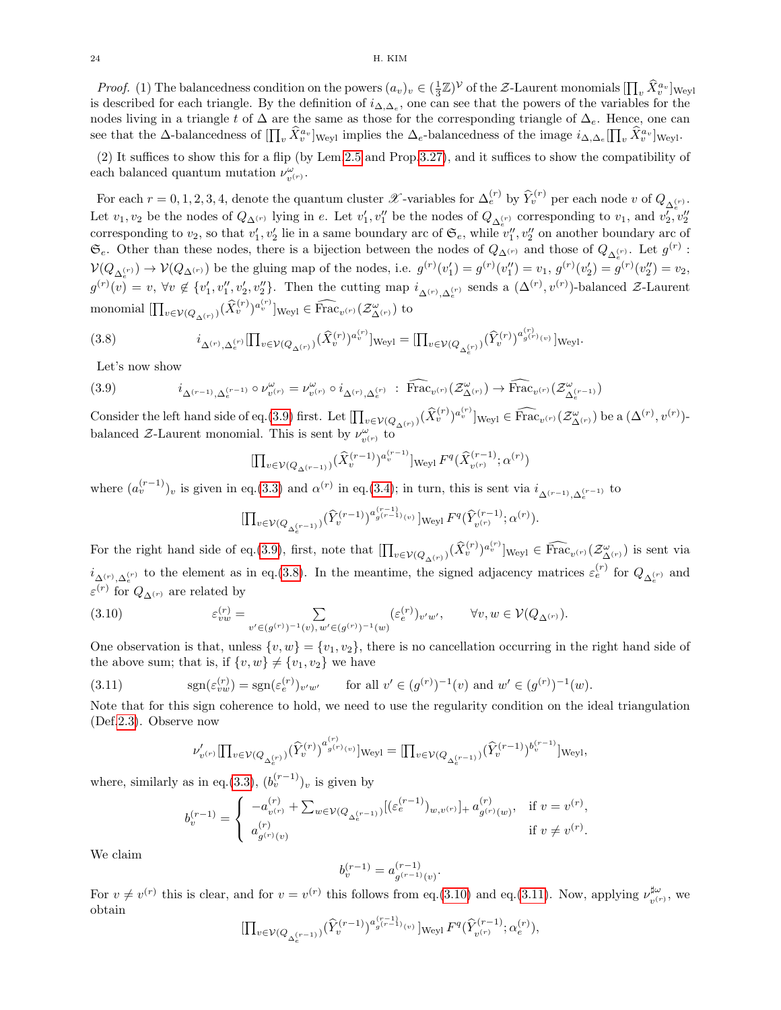*Proof.* (1) The balancedness condition on the powers  $(a_v)_v \in (\frac{1}{3}\mathbb{Z})^{\mathcal{V}}$  of the Z-Laurent monomials  $\prod_v \hat{X}_v^{a_v}$  weyl is described for each triangle. By the definition of  $i_{\Delta,\Delta_e}$ , one can see that the powers of the variables for the nodes living in a triangle t of  $\Delta$  are the same as those for the corresponding triangle of  $\Delta_e$ . Hence, one can see that the ∆-balancedness of  $[\prod_v \hat{X}_v^{a_v}]_{\text{Weyl}}$  implies the  $\Delta_e$ -balancedness of the image  $i_{\Delta,\Delta_e}[\prod_v \hat{X}_v^{a_v}]_{\text{Weyl}}$ .

(2) It suffices to show this for a flip (by Lem[.2.5](#page-7-1) and Prop[.3.27\)](#page-22-0), and it suffices to show the compatibility of each balanced quantum mutation  $\nu_{v^{(r)}}^{\omega}$ .

For each  $r = 0, 1, 2, 3, 4$ , denote the quantum cluster  $\mathscr{X}$ -variables for  $\Delta_e^{(r)}$  by  $\widehat{Y}_v^{(r)}$  per each node v of  $Q_{\Delta_e^{(r)}}$ . Let  $v_1, v_2$  be the nodes of  $Q_{\Delta^{(r)}}$  lying in e. Let  $v'_1, v''_1$  be the nodes of  $Q_{\Delta_c^{(r)}}$  corresponding to  $v_1$ , and  $v'_2, v''_2$ corresponding to  $v_2$ , so that  $v'_1, v'_2$  lie in a same boundary arc of  $\mathfrak{S}_e$ , while  $v''_1, v''_2$  on another boundary arc of  $\mathfrak{S}_e$ . Other than these nodes, there is a bijection between the nodes of  $Q_{\Delta^{(r)}}$  and those of  $Q_{\Delta^{(r)}}$ . Let  $g^{(r)}$ :  $\mathcal{V}(Q_{\Delta_{e}^{(r)}}) \to \mathcal{V}(Q_{\Delta^{(r)}})$  be the gluing map of the nodes, i.e.  $g^{(r)}(v'_1) = g^{(r)}(v''_1) = v_1, g^{(r)}(v'_2) = g^{(r)}(v''_2) = v_2$ ,  $g^{(r)}(v) = v$ ,  $\forall v \notin \{v'_1, v''_1, v'_2, v''_2\}$ . Then the cutting map  $i_{\Delta^{(r)}, \Delta^{(r)}_e}$  sends a  $(\Delta^{(r)}, v^{(r)})$ -balanced  $\mathcal{Z}$ -Laurent monomial  $[\prod_{v \in V(Q_{\Delta}(r))} (\widehat{X}_v^{(r)})^{a_v^{(r)}}]_{\text{Weyl}} \in \widehat{\text{Frac}}_{v^{(r)}}(\mathcal{Z}_{\Delta^{(r)}}^{\omega})$  to

<span id="page-23-1"></span>(3.8) 
$$
i_{\Delta^{(r)},\Delta^{(r)}_e}[\prod_{v\in\mathcal{V}(Q_{\Delta^{(r)}})}(\hat{X}_v^{(r)})^{a_v^{(r)}}]_{\text{Weyl}} = [\prod_{v\in\mathcal{V}(Q_{\Delta^{(r)}_e})}(\hat{Y}_v^{(r)})^{a_{g^{(r)}(v)}^{(r)}}]_{\text{Weyl}}.
$$

Let's now show

<span id="page-23-0"></span>
$$
(3.9) \qquad \qquad i_{\Delta^{(r-1)},\Delta^{(r-1)}_e} \circ \nu^{\omega}_{v^{(r)}} = \nu^{\omega}_{v^{(r)}} \circ i_{\Delta^{(r)},\Delta^{(r)}_e} : \widehat{\text{Frac}}_{v^{(r)}}(\mathcal{Z}^{\omega}_{\Delta^{(r)}}) \to \widehat{\text{Frac}}_{v^{(r)}}(\mathcal{Z}^{\omega}_{\Delta^{(r-1)}})
$$

Consider the left hand side of eq.[\(3.9\)](#page-23-0) first. Let  $[\prod_{v \in \mathcal{V}(Q_{\Delta}(r))} (\widehat{X}_v^{(r)})^{a_v^{(r)}}]_{\text{Weyl}} \in \widehat{\text{Frac}}_{v^{(r)}}(\mathcal{Z}_{\Delta^{(r)}}^{\omega})$  be a  $(\Delta^{(r)}, v^{(r)})$ balanced Z-Laurent monomial. This is sent by  $\nu^{\omega}_{v^{(r)}}$  to

$$
[\prod_{v\in \mathcal{V}(Q_{\Delta^{(r-1)}})}(\widehat{X}_v^{(r-1)})^{a_v^{(r-1)}}]_{\text{Weyl}}\, F^q(\widehat{X}_{v^{(r)}}^{(r-1)};\alpha^{(r)})
$$

where  $(a_v^{(r-1)})_v$  is given in eq.[\(3.3\)](#page-19-2) and  $\alpha^{(r)}$  in eq.[\(3.4\)](#page-19-1); in turn, this is sent via  $i_{\Delta^{(r-1)},\Delta_e^{(r-1)}}$  to

$$
\left[\prod_{v \in \mathcal{V}(Q_{\Delta_e^{(r-1)}})} (\widehat{Y}_v^{(r-1)})^{a_{g^{(r-1)}(v)}(v)}\right]_{\text{Weyl}} F^q(\widehat{Y}_{v^{(r)}}^{(r-1)};\alpha^{(r)}).
$$

For the right hand side of eq.[\(3.9\)](#page-23-0), first, note that  $[\prod_{v \in V(Q_{\Delta}(r))} (\hat{X}_v^{(r)})^{a_v^{(r)}}]_{Weyl} \in \widehat{Frac}_{v^{(r)}}(\mathcal{Z}_{\Delta}(r))}$  is sent via  $i_{\Delta^{(r)},\Delta^{(r)}_e}$  to the element as in eq.[\(3.8\)](#page-23-1). In the meantime, the signed adjacency matrices  $\varepsilon_e^{(r)}$  for  $Q_{\Delta^{(r)}_e}$  and  $\varepsilon^{(r)}$  for  $Q_{\Delta^{(r)}}$  are related by

<span id="page-23-2"></span>(3.10) 
$$
\varepsilon_{vw}^{(r)} = \sum_{v' \in (g^{(r)})^{-1}(v), w' \in (g^{(r)})^{-1}(w)} (\varepsilon_e^{(r)})_{v'w'}, \qquad \forall v, w \in \mathcal{V}(Q_{\Delta^{(r)}}).
$$

One observation is that, unless  $\{v, w\} = \{v_1, v_2\}$ , there is no cancellation occurring in the right hand side of the above sum; that is, if  $\{v, w\} \neq \{v_1, v_2\}$  we have

<span id="page-23-3"></span>(3.11) 
$$
\text{sgn}(\varepsilon_{vw}^{(r)}) = \text{sgn}(\varepsilon_e^{(r)})_{v'w'} \quad \text{for all } v' \in (g^{(r)})^{-1}(v) \text{ and } w' \in (g^{(r)})^{-1}(w).
$$

Note that for this sign coherence to hold, we need to use the regularity condition on the ideal triangulation (Def[.2.3\)](#page-6-3). Observe now

$$
\nu'_{v^{(r)}}[\prod_{v\in \mathcal{V}(Q_{\Delta_{e}^{(r)}})}(\hat{Y}_{v}^{(r)})^{a_{g^{(r)}(v)}^{(r)}}]_{\text{Weyl}}=[\prod_{v\in \mathcal{V}(Q_{\Delta_{e}^{(r-1)}})}(\hat{Y}_{v}^{(r-1)})^{b_{v}^{(r-1)}}]_{\text{Weyl}},
$$

where, similarly as in eq.[\(3.3\)](#page-19-2),  $(b_v^{(r-1)})_v$  is given by

$$
b_v^{(r-1)} = \begin{cases} -a_{v^{(r)}}^{(r)} + \sum_{w \in \mathcal{V}(Q_{\Delta_e^{(r-1)}})} [(\varepsilon_e^{(r-1)})_{w,v^{(r)}}]_+ a_{g^{(r)}(w)}^{(r)}, & \text{if } v = v^{(r)}, \\ a_{g^{(r)}(v)}^{(r)}, & \text{if } v \neq v^{(r)}. \end{cases}
$$

We claim

$$
b_v^{(r-1)} = a_{g^{(r-1)}(v)}^{(r-1)}.
$$

For  $v \neq v^{(r)}$  this is clear, and for  $v = v^{(r)}$  this follows from eq.[\(3.10\)](#page-23-2) and eq.[\(3.11\)](#page-23-3). Now, applying  $\nu_{v}^{\sharp\omega}$  $v^{(\mu)}_{v^{(r)}},$  we obtain

$$
[\prod_{v\in \mathcal{V}(Q_{\Delta_e^{(r-1)}})}(\hat{Y}_{v}^{(r-1)})^{a_{g^{(r-1)}(v)}^{(r-1)}}]\mathrm{Weyl}\, F^q(\hat{Y}_{v^{(r)}}^{(r-1)};\alpha_e^{(r)}),
$$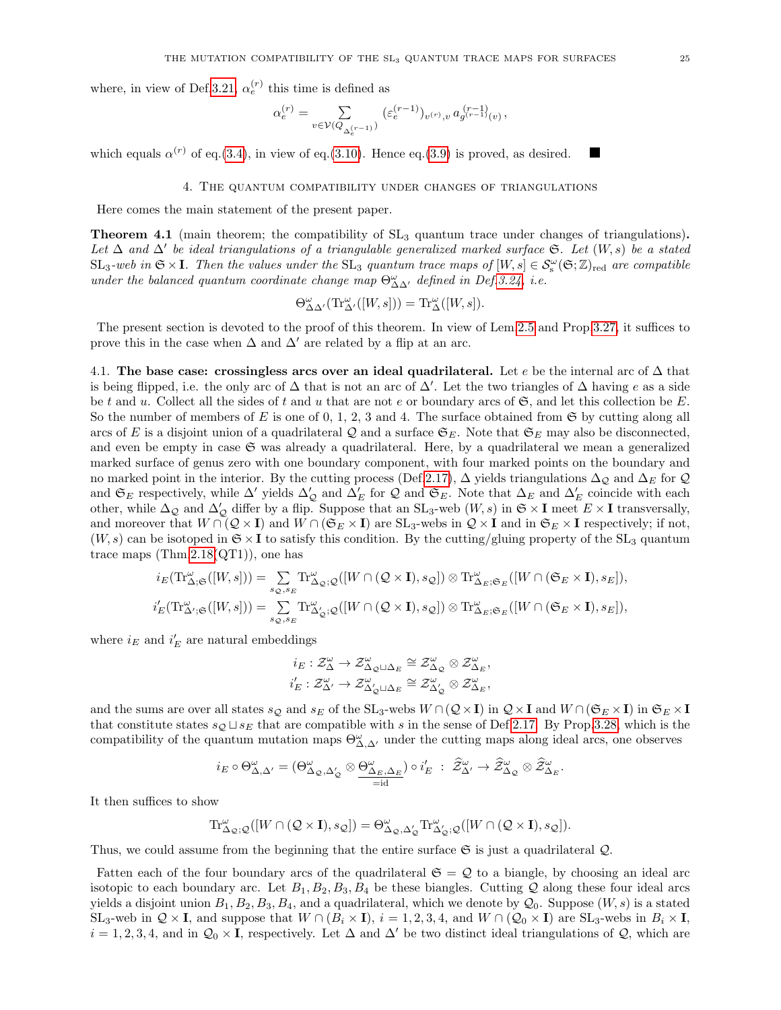where, in view of Def[.3.21,](#page-21-1)  $\alpha_e^{(r)}$  this time is defined as

$$
\alpha_e^{(r)}=\sum_{v\in \mathcal{V}(Q_{\Delta_e^{(r-1)}})}\, (\varepsilon_e^{(r-1)})_{v^{(r)},v}\, a_{g^{(r-1)}(v)}^{(r-1)},
$$

which equals  $\alpha^{(r)}$  of eq.[\(3.4\)](#page-19-1), in view of eq.[\(3.10\)](#page-23-2). Hence eq.[\(3.9\)](#page-23-0) is proved, as desired.

### 4. The quantum compatibility under changes of triangulations

<span id="page-24-0"></span>Here comes the main statement of the present paper.

<span id="page-24-2"></span>**Theorem 4.1** (main theorem; the compatibility of  $SL_3$  quantum trace under changes of triangulations). Let  $\Delta$  and  $\Delta'$  be ideal triangulations of a triangulable generalized marked surface  $\mathfrak{S}$ . Let  $(W, s)$  be a stated  $SL_3$ -web in  $\mathfrak{S} \times I$ . Then the values under the  $SL_3$  quantum trace maps of  $[W, s] \in S_{\rm s}^{\omega}(\mathfrak{S}; \mathbb{Z})_{\rm red}$  are compatible under the balanced quantum coordinate change map  $\Theta_{\Delta\Delta'}^{\omega}$  defined in Def[.3.24,](#page-21-3) i.e.

$$
\Theta_{\Delta\Delta'}^{\omega}(\mathrm{Tr}_{\Delta'}^{\omega}([W,s])) = \mathrm{Tr}_{\Delta}^{\omega}([W,s]).
$$

The present section is devoted to the proof of this theorem. In view of Lem[.2.5](#page-7-1) and Prop[.3.27,](#page-22-0) it suffices to prove this in the case when  $\Delta$  and  $\Delta'$  are related by a flip at an arc.

<span id="page-24-1"></span>4.1. The base case: crossingless arcs over an ideal quadrilateral. Let e be the internal arc of  $\Delta$  that is being flipped, i.e. the only arc of  $\Delta$  that is not an arc of  $\Delta'$ . Let the two triangles of  $\Delta$  having e as a side be t and u. Collect all the sides of t and u that are not e or boundary arcs of  $\mathfrak{S}$ , and let this collection be E. So the number of members of E is one of 0, 1, 2, 3 and 4. The surface obtained from  $\mathfrak{S}$  by cutting along all arcs of E is a disjoint union of a quadrilateral Q and a surface  $\mathfrak{S}_E$ . Note that  $\mathfrak{S}_E$  may also be disconnected, and even be empty in case  $\mathfrak S$  was already a quadrilateral. Here, by a quadrilateral we mean a generalized marked surface of genus zero with one boundary component, with four marked points on the boundary and no marked point in the interior. By the cutting process (Def[.2.17\)](#page-10-1),  $\Delta$  yields triangulations  $\Delta_{\mathcal{Q}}$  and  $\Delta_E$  for  $\mathcal{Q}$ and  $\mathfrak{S}_E$  respectively, while  $\Delta'$  yields  $\Delta'_{\mathcal{Q}}$  and  $\Delta'_E$  for  $\mathcal{Q}$  and  $\mathfrak{S}_E$ . Note that  $\Delta_E$  and  $\Delta'_E$  coincide with each other, while  $\Delta_{\mathcal{Q}}$  and  $\Delta'_{\mathcal{Q}}$  differ by a flip. Suppose that an SL<sub>3</sub>-web  $(W, s)$  in  $\mathfrak{S} \times I$  meet  $E \times I$  transversally, and moreover that  $W \cap (Q \times I)$  and  $W \cap (\mathfrak{S}_E \times I)$  are  $SL_3$ -webs in  $Q \times I$  and in  $\mathfrak{S}_E \times I$  respectively; if not,  $(W, s)$  can be isotoped in  $\mathfrak{S} \times \mathbf{I}$  to satisfy this condition. By the cutting/gluing property of the SL<sub>3</sub> quantum trace maps  $(Thm.2.18(QT1))$  $(Thm.2.18(QT1))$  $(Thm.2.18(QT1))$ , one has

$$
i_E(\operatorname{Tr}^{\omega}_{\Delta;\mathfrak{S}}([W,s]))=\sum\limits_{s_{\mathcal{Q}},s_E}\operatorname{Tr}^{\omega}_{\Delta_{\mathcal{Q}};\mathcal{Q}}([W\cap (\mathcal{Q}\times \mathbf{I}),s_{\mathcal{Q}}])\otimes \operatorname{Tr}^{\omega}_{\Delta_E;\mathfrak{S}_E}([W\cap (\mathfrak{S}_E\times \mathbf{I}),s_E]),\\ i'_E(\operatorname{Tr}^{\omega}_{\Delta';\mathfrak{S}}([W,s]))=\sum\limits_{s_{\mathcal{Q}},s_E}\operatorname{Tr}^{\omega}_{\Delta'_{\mathcal{Q}};\mathcal{Q}}([W\cap (\mathcal{Q}\times \mathbf{I}),s_{\mathcal{Q}}])\otimes \operatorname{Tr}^{\omega}_{\Delta_E;\mathfrak{S}_E}([W\cap (\mathfrak{S}_E\times \mathbf{I}),s_E]),
$$

where  $i_E$  and  $i_E'$  are natural embeddings

$$
\begin{aligned} i_E: \mathcal{Z}^\omega_\Delta &\to \mathcal{Z}^\omega_{\Delta_\mathcal{Q}\sqcup\Delta_E} \cong \mathcal{Z}^\omega_{\Delta_\mathcal{Q}} \otimes \mathcal{Z}^\omega_{\Delta_E}, \\ i_E': \mathcal{Z}^\omega_{\Delta'} &\to \mathcal{Z}^\omega_{\Delta'_\mathcal{Q}\sqcup\Delta_E} \cong \mathcal{Z}^\omega_{\Delta'_\mathcal{Q}} \otimes \mathcal{Z}^\omega_{\Delta_E}, \end{aligned}
$$

and the sums are over all states  $s_Q$  and  $s_E$  of the SL<sub>3</sub>-webs  $W \cap (Q \times I)$  in  $Q \times I$  and  $W \cap (S_E \times I)$  in  $S_E \times I$ that constitute states  $s_{\mathcal{Q}} \sqcup s_{E}$  that are compatible with s in the sense of Def[.2.17.](#page-10-1) By Prop[.3.28,](#page-22-1) which is the compatibility of the quantum mutation maps  $\Theta_{\Delta,\Delta'}^{\omega}$  under the cutting maps along ideal arcs, one observes

$$
i_E\circ\Theta^{\omega}_{\Delta,\Delta'}=(\Theta^{\omega}_{\Delta_\mathcal{Q},\Delta'_\mathcal{Q}}\otimes\underbrace{\Theta^{\omega}_{\Delta_E,\Delta_E}}_{=\mathrm{id}})\circ i_E'\;:\;\widehat{\mathcal{Z}}^{\omega}_{\Delta'}\to\widehat{\mathcal{Z}}^{\omega}_{\Delta_\mathcal{Q}}\otimes\widehat{\mathcal{Z}}^{\omega}_{\Delta_E}.
$$

It then suffices to show

$$
\mathrm{Tr}^{\omega}_{\Delta_{\mathcal{Q}};\mathcal{Q}}([W\cap (\mathcal{Q}\times \mathbf{I}),s_{\mathcal{Q}}])=\Theta^{\omega}_{\Delta_{\mathcal{Q}},\Delta'_{\mathcal{Q}}}\mathrm{Tr}^{\omega}_{\Delta'_{\mathcal{Q}};\mathcal{Q}}([W\cap (\mathcal{Q}\times \mathbf{I}),s_{\mathcal{Q}}]).
$$

Thus, we could assume from the beginning that the entire surface  $\mathfrak{S}$  is just a quadrilateral  $\mathcal{Q}$ .

Fatten each of the four boundary arcs of the quadrilateral  $\mathfrak{S} = \mathcal{Q}$  to a biangle, by choosing an ideal arc isotopic to each boundary arc. Let  $B_1, B_2, B_3, B_4$  be these biangles. Cutting Q along these four ideal arcs yields a disjoint union  $B_1, B_2, B_3, B_4$ , and a quadrilateral, which we denote by  $\mathcal{Q}_0$ . Suppose  $(W, s)$  is a stated SL<sub>3</sub>-web in  $\mathcal{Q} \times I$ , and suppose that  $W \cap (B_i \times I)$ ,  $i = 1, 2, 3, 4$ , and  $W \cap (Q_0 \times I)$  are SL<sub>3</sub>-webs in  $B_i \times I$ ,  $i = 1, 2, 3, 4$ , and in  $\mathcal{Q}_0 \times I$ , respectively. Let  $\Delta$  and  $\Delta'$  be two distinct ideal triangulations of  $\mathcal{Q}$ , which are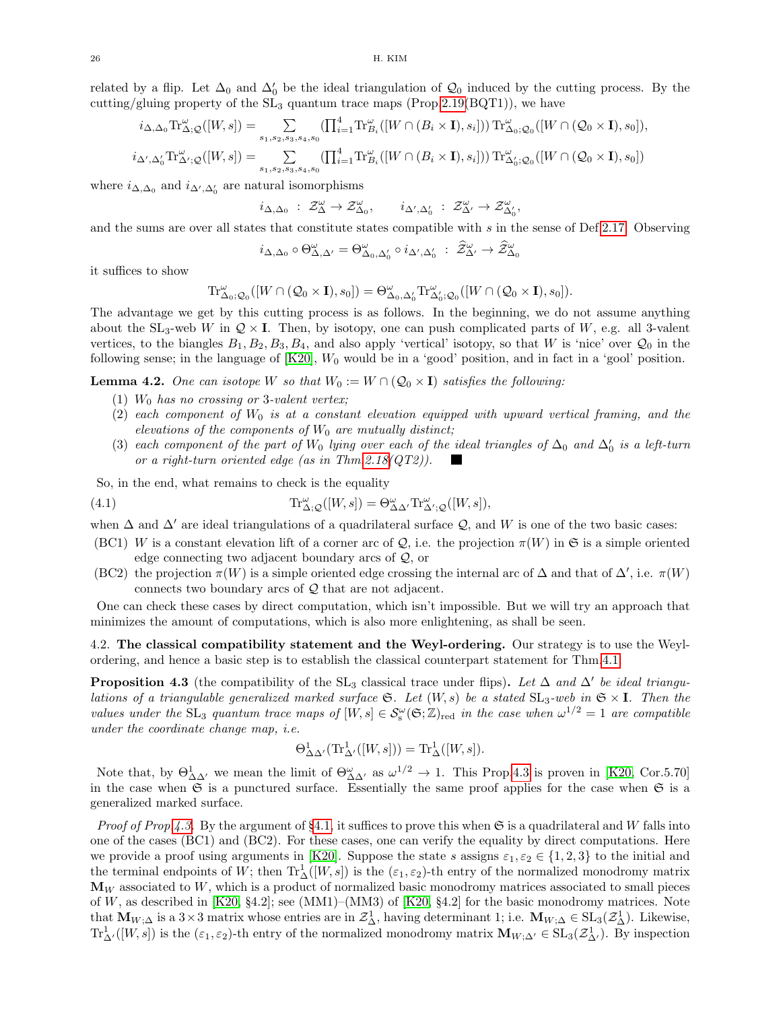related by a flip. Let  $\Delta_0$  and  $\Delta'_0$  be the ideal triangulation of  $\mathcal{Q}_0$  induced by the cutting process. By the cutting/gluing property of the  $SL_3$  quantum trace maps (Prop[.2.19\(](#page-12-1)BQT1)), we have

$$
i_{\Delta,\Delta_0} \text{Tr}_{\Delta;\mathcal{Q}}^{\omega}([W,s]) = \sum_{s_1,s_2,s_3,s_4,s_0} (\prod_{i=1}^4 \text{Tr}_{B_i}^{\omega}([W \cap (B_i \times \mathbf{I}), s_i])) \text{Tr}_{\Delta_0;\mathcal{Q}_0}^{\omega}([W \cap (\mathcal{Q}_0 \times \mathbf{I}), s_0]),
$$
  

$$
i_{\Delta',\Delta_0'} \text{Tr}_{\Delta';\mathcal{Q}}^{\omega}([W,s]) = \sum_{s_1,s_2,s_3,s_4,s_0} (\prod_{i=1}^4 \text{Tr}_{B_i}^{\omega}([W \cap (B_i \times \mathbf{I}), s_i])) \text{Tr}_{\Delta_0';\mathcal{Q}_0}^{\omega}([W \cap (\mathcal{Q}_0 \times \mathbf{I}), s_0])
$$

where  $i_{\Delta,\Delta_0}$  and  $i_{\Delta',\Delta'_0}$  are natural isomorphisms

$$
i_{\Delta,\Delta_0} \; : \; \mathcal{Z}^\omega_\Delta \to \mathcal{Z}^\omega_{\Delta_0}, \qquad i_{\Delta',\Delta_0'} \; : \; \mathcal{Z}^\omega_{\Delta'} \to \mathcal{Z}^\omega_{\Delta_0'},
$$

and the sums are over all states that constitute states compatible with s in the sense of Def[.2.17.](#page-10-1) Observing

$$
i_{\Delta,\Delta_0}\circ\Theta^{\omega}_{\Delta,\Delta'}=\Theta^{\omega}_{\Delta_0,\Delta'_0}\circ i_{\Delta',\Delta'_0}\ :\ \widehat{\mathcal{Z}}^{\omega}_{\Delta'}\to\widehat{\mathcal{Z}}^{\omega}_{\Delta_0}
$$

it suffices to show

$$
\mathrm{Tr}^\omega_{\Delta_0;\mathcal{Q}_0}([W\cap (\mathcal{Q}_0\times {\mathbf I}),s_0])=\Theta^\omega_{\Delta_0,\Delta_0'}\mathrm{Tr}^\omega_{\Delta_0';\mathcal{Q}_0}([W\cap (\mathcal{Q}_0\times {\mathbf I}),s_0]).
$$

The advantage we get by this cutting process is as follows. In the beginning, we do not assume anything about the SL<sub>3</sub>-web W in  $\mathcal{Q} \times I$ . Then, by isotopy, one can push complicated parts of W, e.g. all 3-valent vertices, to the biangles  $B_1, B_2, B_3, B_4$ , and also apply 'vertical' isotopy, so that W is 'nice' over  $\mathcal{Q}_0$  in the following sense; in the language of  $[K20]$ ,  $W_0$  would be in a 'good' position, and in fact in a 'gool' position.

**Lemma 4.2.** One can isotope W so that  $W_0 := W \cap (Q_0 \times I)$  satisfies the following:

- (1)  $W_0$  has no crossing or 3-valent vertex;
- (2) each component of  $W_0$  is at a constant elevation equipped with upward vertical framing, and the elevations of the components of  $W_0$  are mutually distinct;
- (3) each component of the part of  $W_0$  lying over each of the ideal triangles of  $\Delta_0$  and  $\Delta'_0$  is a left-turn or a right-turn oriented edge (as in Thm.  $2.18(QT2)$ ).

So, in the end, what remains to check is the equality

<span id="page-25-2"></span>(4.1) 
$$
\text{Tr}_{\Delta;Q}^{\omega}([W,s]) = \Theta_{\Delta\Delta'}^{\omega}\text{Tr}_{\Delta';Q}^{\omega}([W,s]),
$$

when  $\Delta$  and  $\Delta'$  are ideal triangulations of a quadrilateral surface Q, and W is one of the two basic cases:

- (BC1) W is a constant elevation lift of a corner arc of  $\mathcal{Q}$ , i.e. the projection  $\pi(W)$  in  $\mathfrak{S}$  is a simple oriented edge connecting two adjacent boundary arcs of Q, or
- (BC2) the projection  $\pi(W)$  is a simple oriented edge crossing the internal arc of  $\Delta$  and that of  $\Delta'$ , i.e.  $\pi(W)$ connects two boundary arcs of Q that are not adjacent.

One can check these cases by direct computation, which isn't impossible. But we will try an approach that minimizes the amount of computations, which is also more enlightening, as shall be seen.

<span id="page-25-0"></span>4.2. The classical compatibility statement and the Weyl-ordering. Our strategy is to use the Weylordering, and hence a basic step is to establish the classical counterpart statement for Thm[.4.1:](#page-24-2)

<span id="page-25-1"></span>**Proposition 4.3** (the compatibility of the SL<sub>3</sub> classical trace under flips). Let  $\Delta$  and  $\Delta'$  be ideal triangulations of a triangulable generalized marked surface  $\mathfrak{S}$ . Let  $(W, s)$  be a stated  $SL_3$ -web in  $\mathfrak{S} \times \mathbf{I}$ . Then the values under the SL<sub>3</sub> quantum trace maps of  $[W, s] \in S_{\rm s}^{\omega}(\mathfrak{S}; \mathbb{Z})_{\rm red}$  in the case when  $\omega^{1/2} = 1$  are compatible under the coordinate change map, i.e.

$$
\Theta^1_{\Delta\Delta'}(\operatorname{Tr}^1_{\Delta'}([W,s]))=\operatorname{Tr}^1_{\Delta}([W,s]).
$$

Note that, by  $\Theta_{\Delta\Delta'}^1$  we mean the limit of  $\Theta_{\Delta\Delta'}^\omega$  as  $\omega^{1/2} \to 1$ . This Prop[.4.3](#page-25-1) is proven in [\[K20,](#page-38-5) Cor.5.70] in the case when  $\mathfrak S$  is a punctured surface. Essentially the same proof applies for the case when  $\mathfrak S$  is a generalized marked surface.

*Proof of Prop[.4.3.](#page-25-1)* By the argument of §[4.1,](#page-24-1) it suffices to prove this when  $\mathfrak{S}$  is a quadrilateral and W falls into one of the cases (BC1) and (BC2). For these cases, one can verify the equality by direct computations. Here we provide a proof using arguments in [\[K20\]](#page-38-5). Suppose the state s assigns  $\varepsilon_1, \varepsilon_2 \in \{1, 2, 3\}$  to the initial and the terminal endpoints of W; then  $\text{Tr}^{1}_{\Delta}([W, s])$  is the  $(\varepsilon_1, \varepsilon_2)$ -th entry of the normalized monodromy matrix  $\mathbf{M}_W$  associated to W, which is a product of normalized basic monodromy matrices associated to small pieces of W, as described in [\[K20,](#page-38-5) §4.2]; see (MM1)–(MM3) of [\[K20,](#page-38-5) §4.2] for the basic monodromy matrices. Note that  $\mathbf{M}_{W;\Delta}$  is a 3 × 3 matrix whose entries are in  $\mathcal{Z}_{\Delta}^1$ , having determinant 1; i.e.  $\mathbf{M}_{W;\Delta} \in SL_3(\mathcal{Z}_{\Delta}^1)$ . Likewise,  $\text{Tr}^1_{\Delta'}([W,s])$  is the  $(\varepsilon_1, \varepsilon_2)$ -th entry of the normalized monodromy matrix  $\mathbf{M}_{W;\Delta'} \in SL_3(\mathcal{Z}_{\Delta'}^1)$ . By inspection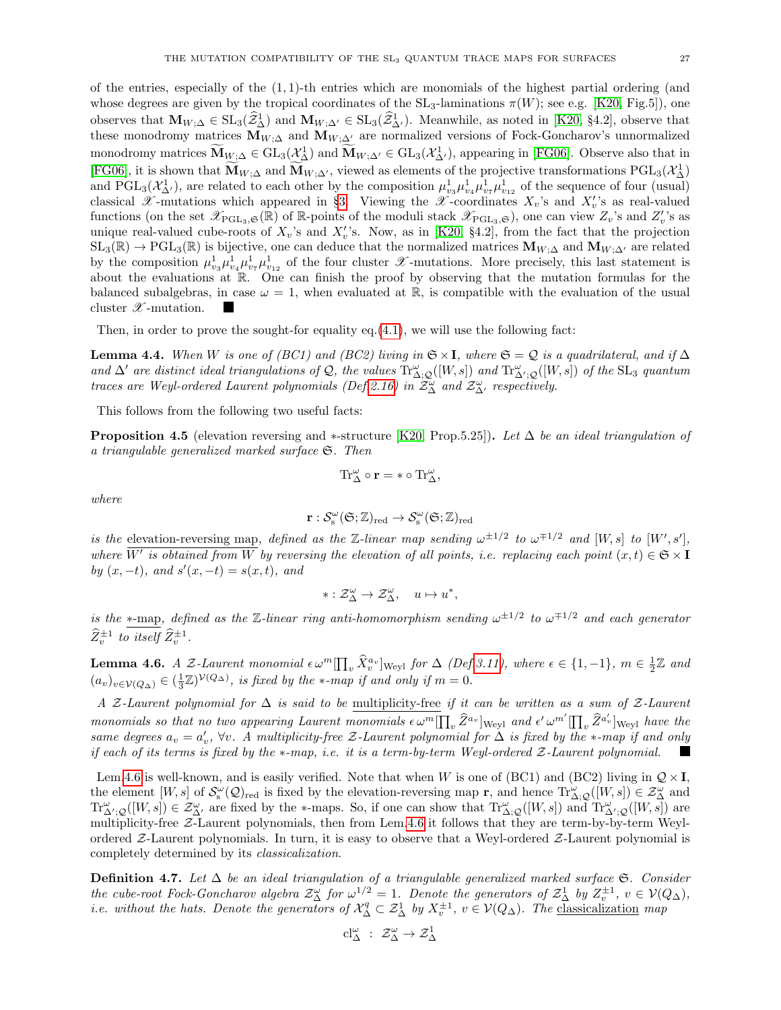of the entries, especially of the  $(1, 1)$ -th entries which are monomials of the highest partial ordering (and whose degrees are given by the tropical coordinates of the  $SL_3$ -laminations  $\pi(W)$ ; see e.g. [\[K20,](#page-38-5) Fig.5]), one observes that  $\mathbf{M}_{W;\Delta} \in SL_3(\widehat{Z}_{\Delta}^1)$  and  $\mathbf{M}_{W;\Delta'} \in SL_3(\widehat{Z}_{\Delta'}^1)$ . Meanwhile, as noted in [\[K20,](#page-38-5) §4.2], observe that these monodromy matrices  $M_{W;\Delta}$  and  $M_{W;\Delta'}$  are normalized versions of Fock-Goncharov's unnormalized monodromy matrices  $\mathbf{\widetilde{M}}_{W;\Delta} \in GL_3(\mathcal{X}_{\Delta}^1)$  and  $\mathbf{\widetilde{M}}_{W;\Delta'} \in GL_3(\mathcal{X}_{\Delta'}^1)$ , appearing in [\[FG06\]](#page-37-2). Observe also that in [\[FG06\]](#page-37-2), it is shown that  $\mathbf{M}_{W;\Delta}$  and  $\mathbf{M}_{W;\Delta'}$ , viewed as elements of the projective transformations  $PGL_3(\mathcal{X}_{\Delta}^1)$ and  $PGL_3(\mathcal{X}_{\Delta'}^1)$ , are related to each other by the composition  $\mu_{v_3}^1\mu_{v_4}^1\mu_{v_7}^1\mu_{v_{12}}^1$  of the sequence of four (usual) classical  $\mathscr X$ -mutations which appeared in §[3.](#page-12-0) Viewing the  $\mathscr X$ -coordinates  $X_v$ 's and  $X_v'$ 's as real-valued functions (on the set  $\mathscr{X}_{\mathrm{PGL}_3,\mathfrak{S}}(\mathbb{R})$  of R-points of the moduli stack  $\mathscr{X}_{\mathrm{PGL}_3,\mathfrak{S}}$ ), one can view  $Z_v$ 's and  $Z_v'$ 's as unique real-valued cube-roots of  $X_v$ 's and  $X_v'$ 's. Now, as in [\[K20,](#page-38-5) §4.2], from the fact that the projection  $SL_3(\mathbb{R}) \to \text{PGL}_3(\mathbb{R})$  is bijective, one can deduce that the normalized matrices  $\mathbf{M}_{W;\Delta}$  and  $\mathbf{M}_{W;\Delta'}$  are related by the composition  $\mu_{v_3}^1\mu_{v_4}^1\mu_{v_7}^1\mu_{v_{12}}^1$  of the four cluster  $\mathscr{X}$ -mutations. More precisely, this last statement is about the evaluations at R. One can finish the proof by observing that the mutation formulas for the balanced subalgebras, in case  $\omega = 1$ , when evaluated at R, is compatible with the evaluation of the usual cluster  $\mathscr X$ -mutation.

Then, in order to prove the sought-for equality eq. $(4.1)$ , we will use the following fact:

**Lemma 4.4.** When W is one of (BC1) and (BC2) living in  $\mathfrak{S} \times I$ , where  $\mathfrak{S} = \mathcal{Q}$  is a quadrilateral, and if  $\Delta$ and  $\Delta'$  are distinct ideal triangulations of Q, the values  $\text{Tr}^{\omega}_{\Delta;\mathcal{Q}}([W,s])$  and  $\text{Tr}^{\omega}_{\Delta';\mathcal{Q}}([W,s])$  of the SL<sub>3</sub> quantum traces are Weyl-ordered Laurent polynomials (Def[.2.16\)](#page-10-4) in  $\mathcal{Z}^{\omega}_{\Delta}$  and  $\mathcal{Z}^{\omega}_{\Delta'}$  respectively.

This follows from the following two useful facts:

**Proposition 4.5** (elevation reversing and ∗-structure [\[K20,](#page-38-5) Prop.5.25]). Let  $\Delta$  be an ideal triangulation of a triangulable generalized marked surface S. Then

$$
\mathrm{Tr}^\omega_\Delta\circ\mathbf{r} = *\circ\mathrm{Tr}^\omega_\Delta,
$$

where

$$
\mathbf{r}: \mathcal{S}_s^\omega(\mathfrak{S};\mathbb{Z})_{\mathrm{red}} \to \mathcal{S}_s^\omega(\mathfrak{S};\mathbb{Z})_{\mathrm{red}}
$$

is the elevation-reversing map, defined as the Z-linear map sending  $\omega^{\pm 1/2}$  to  $\omega^{\mp 1/2}$  and  $[W, s]$  to  $[W', s']$ , where  $\overline{W'}$  is obtained from W by reversing the elevation of all points, i.e. replacing each point  $(x,t) \in \mathfrak{S} \times \mathbf{I}$ by  $(x, -t)$ , and  $s'(x, -t) = s(x, t)$ , and

$$
* : \mathcal{Z}_{\Delta}^{\omega} \to \mathcal{Z}_{\Delta}^{\omega}, \quad u \mapsto u^{*},
$$

is the \*-map, defined as the Z-linear ring anti-homomorphism sending  $\omega^{\pm 1/2}$  to  $\omega^{\mp 1/2}$  and each generator  $\widehat{Z}_{v}^{\pm 1}$  to itself  $\widehat{Z}_{v}^{\pm 1}$ .

<span id="page-26-0"></span>**Lemma 4.6.** A Z-Laurent monomial  $\epsilon \omega^m \prod_v \hat{X}_v^{a_v}$  weyl for  $\Delta$  (Def[.3.11\)](#page-17-1), where  $\epsilon \in \{1, -1\}$ ,  $m \in \frac{1}{2}\mathbb{Z}$  and  $(a_v)_{v \in \mathcal{V}(Q_{\Delta})} \in (\frac{1}{3}\mathbb{Z})^{\mathcal{V}(Q_{\Delta})}$ , is fixed by the \*-map if and only if  $m = 0$ .

A Z-Laurent polynomial for  $\Delta$  is said to be multiplicity-free if it can be written as a sum of Z-Laurent monomials so that no two appearing Laurent monomials  $\epsilon \omega^m [\prod_v \hat{Z}^{a_v}]_{\text{Weyl}}$  and  $\epsilon' \omega^{m'} [\prod_v \hat{Z}^{a_v}]_{\text{Weyl}}$  have the same degrees  $a_v = a'_v$ ,  $\forall v$ . A multiplicity-free Z-Laurent polynomial for  $\Delta$  is fixed by the ∗-map if and only if each of its terms is fixed by the ∗-map, i.e. it is a term-by-term Weyl-ordered Z-Laurent polynomial. **I** 

Lem[.4.6](#page-26-0) is well-known, and is easily verified. Note that when W is one of (BC1) and (BC2) living in  $\mathcal{Q} \times I$ , the element  $[W, s]$  of  $\mathcal{S}_{s}^{\omega}(\mathcal{Q})_{\text{red}}$  is fixed by the elevation-reversing map r, and hence  $\text{Tr}_{\Delta; \mathcal{Q}}^{\omega}([W, s]) \in \mathcal{Z}_{\Delta}^{\omega}$  and  $\mathrm{Tr}^{\omega}_{\Delta';\mathcal{Q}}([W,s]) \in \mathcal{Z}^{\omega}_{\Delta'}$  are fixed by the \*-maps. So, if one can show that  $\mathrm{Tr}^{\omega}_{\Delta;\mathcal{Q}}([W,s])$  and  $\mathrm{Tr}^{\omega}_{\Delta';\mathcal{Q}}([W,s])$  are multiplicity-free Z-Laurent polynomials, then from Lem[.4.6](#page-26-0) it follows that they are term-by-by-term Weylordered Z-Laurent polynomials. In turn, it is easy to observe that a Weyl-ordered Z-Laurent polynomial is completely determined by its classicalization.

<span id="page-26-1"></span>**Definition 4.7.** Let  $\Delta$  be an ideal triangulation of a triangulable generalized marked surface  $\mathfrak{S}$ . Consider the cube-root Fock-Goncharov algebra  $\mathcal{Z}_{\Delta}^{\omega}$  for  $\omega^{1/2} = 1$ . Denote the generators of  $\mathcal{Z}_{\Delta}^{1}$  by  $Z_{v}^{\pm 1}$ ,  $v \in V(Q_{\Delta})$ , *i.e.* without the hats. Denote the generators of  $\mathcal{X}_{\Delta}^q \subset \mathcal{Z}_{\Delta}^1$  by  $X_v^{\pm 1}$ ,  $v \in \mathcal{V}(Q_{\Delta})$ . The classicalization map

$$
cl_\Delta^\omega \; : \; \mathcal{Z}_\Delta^\omega \to \mathcal{Z}_\Delta^1
$$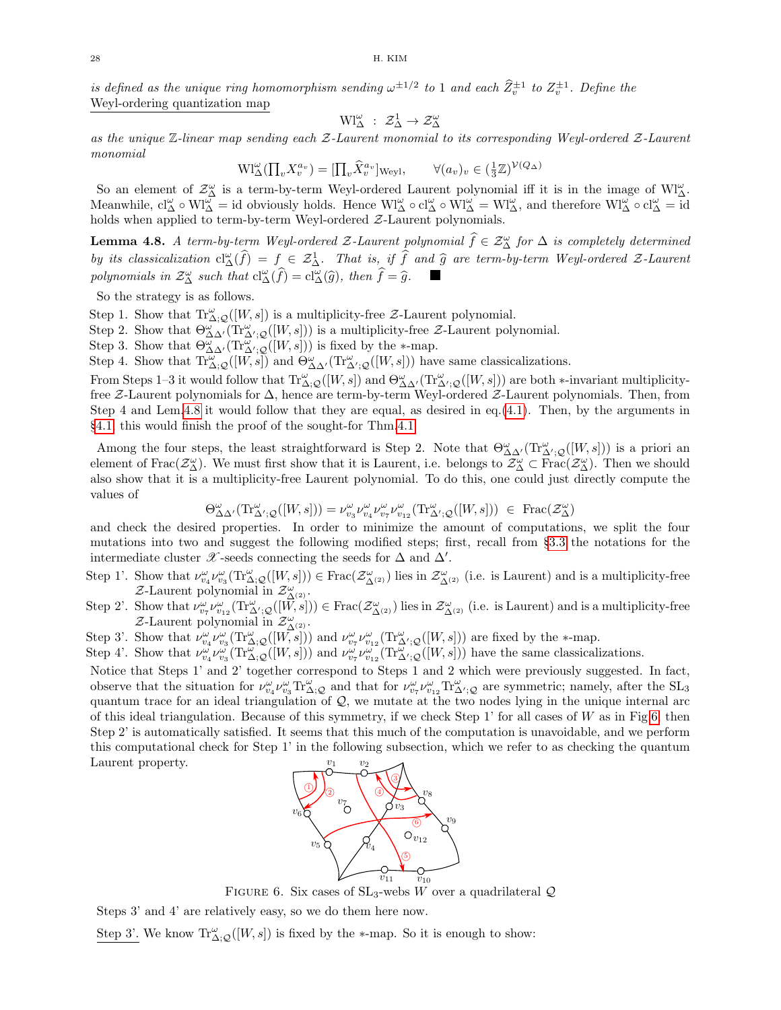is defined as the unique ring homomorphism sending  $\omega^{\pm 1/2}$  to 1 and each  $\widehat{Z}_{v}^{\pm 1}$  to  $Z_{v}^{\pm 1}$ . Define the Weyl-ordering quantization map

$$
W^{\omega}_{\Delta} \; : \; \mathcal{Z}^1_{\Delta} \to \mathcal{Z}^{\omega}_{\Delta}
$$

as the unique  $\mathbb Z$ -linear map sending each  $\mathcal Z$ -Laurent monomial to its corresponding Weyl-ordered  $\mathcal Z$ -Laurent monomial

$$
\mathrm{Wl}_{\Delta}^{\omega}(\prod_{v} X_{v}^{a_{v}}) = [\prod_{v} \hat{X}_{v}^{a_{v}}]_{\text{Weyl}}, \qquad \forall (a_{v})_{v} \in (\frac{1}{3}\mathbb{Z})^{\mathcal{V}(Q_{\Delta})}
$$

So an element of  $\mathcal{Z}^{\omega}_{\Delta}$  is a term-by-term Weyl-ordered Laurent polynomial iff it is in the image of Wl $^{\omega}_{\Delta}$ . Meanwhile,  $cl_\Delta^\omega \circ W_{\Delta}^{\omega} = id$  obviously holds. Hence  $W_{\Delta}^{\omega} \circ cl_\Delta^{\omega} \circ W_{\Delta}^{\omega} = W_{\Delta}^{\omega}$ , and therefore  $W_{\Delta}^{\omega} \circ cl_\Delta^{\omega} = id$ holds when applied to term-by-term Weyl-ordered Z-Laurent polynomials.

<span id="page-27-0"></span>**Lemma 4.8.** A term-by-term Weyl-ordered  $\mathcal{Z}$ -Laurent polynomial  $\widehat{f} \in \mathcal{Z}_{\Delta}^{\omega}$  for  $\Delta$  is completely determined by its classicalization  $cl_{\Delta}^{\omega}(\hat{f}) = f \in \mathcal{Z}_{\Delta}^1$ . That is, if  $\hat{f}$  and  $\hat{g}$  are term-by-term Weyl-ordered Z-Laurent polynomials in  $\mathcal{Z}_{\Delta}^{\omega}$  such that  $cl_{\Delta}^{\omega}(\hat{f}) = cl_{\Delta}^{\omega}(\hat{g})$ , then  $\hat{f} = \hat{g}$ 

So the strategy is as follows.

Step 1. Show that  $\text{Tr}^{\omega}_{\Delta;\mathcal{Q}}([W,s])$  is a multiplicity-free  $\mathcal{Z}\text{-Laurent}$  polynomial.

Step 2. Show that  $\Theta_{\Delta\Delta'}^{\omega}(\text{Tr}_{\Delta',\mathcal{Q}}^{\omega}([W,s]))$  is a multiplicity-free Z-Laurent polynomial.

Step 3. Show that  $\Theta_{\Delta\Delta'}^{\omega}(\text{Tr}_{\Delta',\mathcal{Q}}^{\omega}([W,s]))$  is fixed by the \*-map.

Step 4. Show that  $\text{Tr}_{\Delta;Q}^{\omega}([W,s])$  and  $\Theta_{\Delta\Delta'}^{\omega}(\text{Tr}_{\Delta';Q}^{\omega}([W,s]))$  have same classicalizations.

From Steps 1–3 it would follow that  $Tr_{\Delta;Q}^{\omega}([W,s])$  and  $\Theta_{\Delta\Delta'}^{\omega}(Tr_{\Delta';Q}^{\omega}([W,s]))$  are both \*-invariant multiplicityfree Z-Laurent polynomials for ∆, hence are term-by-term Weyl-ordered Z-Laurent polynomials. Then, from Step 4 and Lem[.4.8](#page-27-0) it would follow that they are equal, as desired in eq.[\(4.1\)](#page-25-2). Then, by the arguments in §[4.1,](#page-24-1) this would finish the proof of the sought-for Thm[.4.1.](#page-24-2)

Among the four steps, the least straightforward is Step 2. Note that  $\Theta_{\Delta\Delta'}^{\omega}(\text{Tr}_{\Delta',\mathcal{Q}}^{\omega}([W,s]))$  is a priori an element of Frac $(\mathcal{Z}_{\Delta}^{\omega})$ . We must first show that it is Laurent, i.e. belongs to  $\mathcal{Z}_{\Delta}^{\omega} \subset \text{Frac}(\mathcal{Z}_{\Delta}^{\omega})$ . Then we should also show that it is a multiplicity-free Laurent polynomial. To do this, one could just directly compute the values of

$$
\Theta_{\Delta\Delta'}^\omega(\text{Tr}^\omega_{\Delta';\mathcal{Q}}([W,s]))=\nu_{v_3}^\omega\nu_{v_4}^\omega\nu_{v_7}^\omega\nu_{v_{12}}^\omega(\text{Tr}^\omega_{\Delta';\mathcal{Q}}([W,s]))\ \in\ \text{Frac}(\mathcal{Z}_\Delta^\omega)
$$

and check the desired properties. In order to minimize the amount of computations, we split the four mutations into two and suggest the following modified steps; first, recall from §[3.3](#page-16-0) the notations for the intermediate cluster  $\mathscr X$ -seeds connecting the seeds for  $\Delta$  and  $\Delta'$ .

- Step 1'. Show that  $\nu_{\nu_4}^{\omega}\nu_{\nu_3}^{\omega}(\text{Tr}\Delta;\mathcal{Q}([W,s])) \in \text{Frac}(\mathcal{Z}_{\Delta^{(\alpha)}}^{\omega})$  lies in  $\mathcal{Z}_{\Delta^{(\alpha)}}^{\omega}$  (i.e. is Laurent) and is a multiplicity-free  $Z$ -Laurent polynomial in  $Z_\Lambda^\omega$  $\overset{\omega}{\Delta}{}^{(2)}$  .
- Step 2'. Show that  $\nu_{v\tau}^{\omega}\nu_{v_{12}}^{\omega}(\text{Tr}_{\Delta'\cdot\mathcal{Q}}^{\omega}([\vec{W},s])) \in \text{Frac}(\mathcal{Z}_{\Delta^{(2)}}^{\omega})$  lies in  $\mathcal{Z}_{\Delta^{(2)}}^{\omega}$  (i.e. is Laurent) and is a multiplicity-free  $\mathcal{Z}\text{-}\text{Laurent polynomial in }\mathcal{Z}^{\omega}_{\Delta^{(2)}}.$

Step 3'. Show that  $\nu_{\nu_4}^{\omega}\nu_{\nu_3}^{\omega}(\text{Tr}_{\Delta;\mathcal{Q}}^{\omega}([W,\tilde{s}]))$  and  $\nu_{\nu_7}^{\omega}\nu_{\nu_{12}}^{\omega}(\text{Tr}_{\Delta';\mathcal{Q}}^{\omega}([W,s]))$  are fixed by the \*-map.

Step 4'. Show that  $\nu_{v_4}^{\omega} \nu_{v_3}^{\omega}(\text{Tr}_{\Delta;Q}^{\overline{\omega}}([W,s]))$  and  $\nu_{v_7}^{\omega} \nu_{v_{12}}^{\omega}(\text{Tr}_{\Delta';Q}^{\overline{\omega}}([W,s]))$  have the same classicalizations.

Notice that Steps 1' and 2' together correspond to Steps 1 and 2 which were previously suggested. In fact, observe that the situation for  $\nu_{v_4}^{\omega} \nu_{v_3}^{\omega} \text{Tr}_{\Delta;Q}^{\omega}$  and that for  $\nu_{v_7}^{\omega} \nu_{v_{12}}^{\omega} \text{Tr}_{\Delta';Q}^{\omega}$  are symmetric; namely, after the SL<sub>3</sub> quantum trace for an ideal triangulation of  $\mathcal{Q}$ , we mutate at the two nodes lying in the unique internal arc of this ideal triangulation. Because of this symmetry, if we check Step 1' for all cases of W as in Fig[.6,](#page-27-1) then Step 2' is automatically satisfied. It seems that this much of the computation is unavoidable, and we perform this computational check for Step 1' in the following subsection, which we refer to as checking the quantum Laurent property.  $v_1$   $v_2$ 



<span id="page-27-1"></span>FIGURE 6. Six cases of  $SL_3$ -webs W over a quadrilateral  $\mathcal{Q}$ 

Steps 3' and 4' are relatively easy, so we do them here now.

Step 3'. We know  $\text{Tr}_{\Delta;Q}^{\omega}([W,s])$  is fixed by the \*-map. So it is enough to show: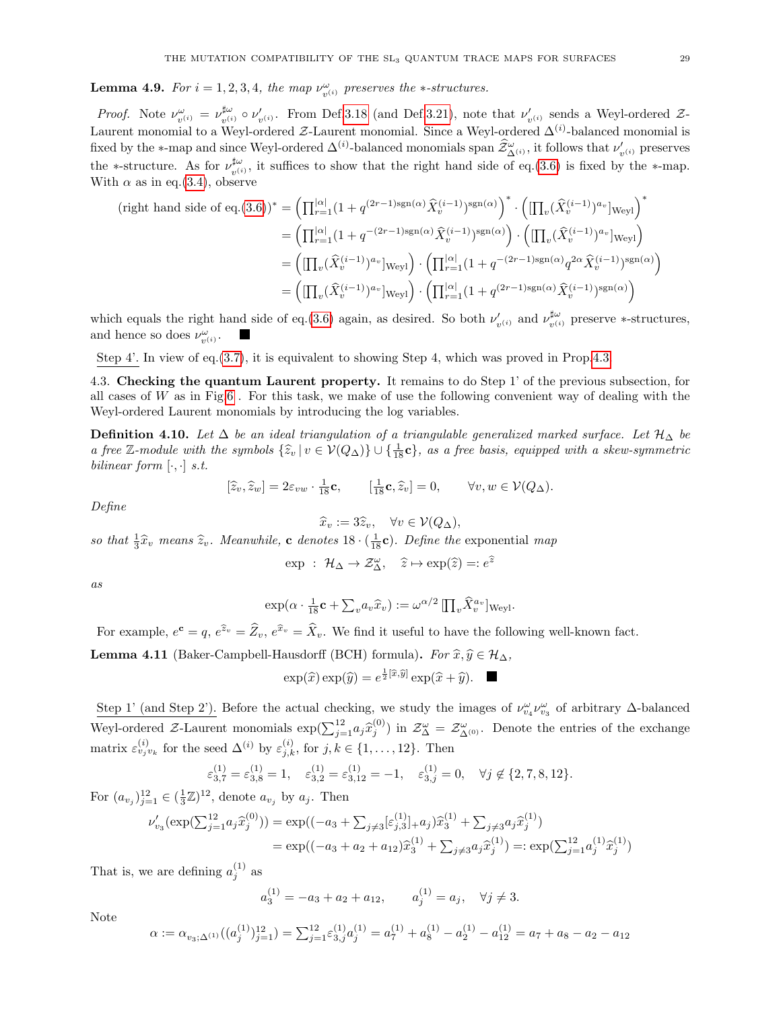**Lemma 4.9.** For  $i = 1, 2, 3, 4$ , the map  $\nu_{v^{(i)}}^{\omega}$  preserves the \*-structures.

*Proof.* Note  $\nu_{v^{(i)}}^{\omega} = \nu_{v^{(i)}}^{\sharp \omega}$  $\sharp^{\omega}_{v^{(i)}} \circ \nu'_{v^{(i)}}$ . From Def[.3.18](#page-18-4) (and Def[.3.21\)](#page-21-1), note that  $\nu'_{v^{(i)}}$  sends a Weyl-ordered Z-Laurent monomial to a Weyl-ordered  $\mathcal{Z}$ -Laurent monomial. Since a Weyl-ordered  $\Delta^{(i)}$ -balanced monomial is fixed by the ∗-map and since Weyl-ordered  $\Delta^{(i)}$ -balanced monomials span  $\hat{\mathcal{Z}}^{\omega}_{\Delta^{(i)}}$ , it follows that  $\nu'_{v^{(i)}}$  preserves the ∗-structure. As for  $\nu_{n(i)}^{\sharp\omega}$ <sup> $\mu^{\omega}_{v^{(i)}}$ </sup>, it suffices to show that the right hand side of eq.[\(3.6\)](#page-21-4) is fixed by the ∗-map. With  $\alpha$  as in eq.[\(3.4\)](#page-19-1), observe

$$
(\text{right hand side of eq.}(3.6))^* = \left(\prod_{r=1}^{|\alpha|} (1 + q^{(2r-1)\text{sgn}(\alpha)} \hat{X}_v^{(i-1)})^{\text{sgn}(\alpha)}\right)^* \cdot \left(\left[\prod_v (\hat{X}_v^{(i-1)})^{a_v}\right]_{\text{Weyl}}\right)^*
$$
  
\n
$$
= \left(\prod_{r=1}^{|\alpha|} (1 + q^{-(2r-1)\text{sgn}(\alpha)} \hat{X}_v^{(i-1)})^{\text{sgn}(\alpha)}\right) \cdot \left(\left[\prod_v (\hat{X}_v^{(i-1)})^{a_v}\right]_{\text{Weyl}}\right)
$$
  
\n
$$
= \left(\left[\prod_v (\hat{X}_v^{(i-1)})^{a_v}\right]_{\text{Weyl}}\right) \cdot \left(\prod_{r=1}^{|\alpha|} (1 + q^{-(2r-1)\text{sgn}(\alpha)} q^{2\alpha} \hat{X}_v^{(i-1)})^{\text{sgn}(\alpha)}\right)
$$
  
\n
$$
= \left(\left[\prod_v (\hat{X}_v^{(i-1)})^{a_v}\right]_{\text{Weyl}}\right) \cdot \left(\prod_{r=1}^{|\alpha|} (1 + q^{(2r-1)\text{sgn}(\alpha)} \hat{X}_v^{(i-1)})^{\text{sgn}(\alpha)}\right)
$$

which equals the right hand side of eq.[\(3.6\)](#page-21-4) again, as desired. So both  $\nu'_{v^{(i)}}$  and  $\nu^{\sharp\omega}_{v^{(i)}}$ <sup> $\mu^{\omega}_{v^{(i)}}$ </sup> preserve \*-structures, and hence so does  $\nu_{v^{(i)}}^{\omega}$ .

Step 4'. In view of eq.[\(3.7\)](#page-22-2), it is equivalent to showing Step 4, which was proved in Prop[.4.3.](#page-25-1)

<span id="page-28-0"></span>4.3. Checking the quantum Laurent property. It remains to do Step 1' of the previous subsection, for all cases of W as in Fig[.6](#page-27-1). For this task, we make of use the following convenient way of dealing with the Weyl-ordered Laurent monomials by introducing the log variables.

**Definition 4.10.** Let  $\Delta$  be an ideal triangulation of a triangulable generalized marked surface. Let  $\mathcal{H}_{\Delta}$  be a free Z-module with the symbols  $\{\hat{z}_v | v \in V(Q_\Delta)\} \cup \{\frac{1}{18}c\}$ , as a free basis, equipped with a skew-symmetric bilinear form  $[$ bilinear form  $[\cdot, \cdot]$  s.t.

$$
[\widehat{z}_v, \widehat{z}_w] = 2\varepsilon_{vw} \cdot \frac{1}{18} \mathbf{c}, \qquad [\frac{1}{18} \mathbf{c}, \widehat{z}_v] = 0, \qquad \forall v, w \in \mathcal{V}(Q_\Delta).
$$

Define

$$
\widehat{x}_v := 3\widehat{z}_v, \quad \forall v \in \mathcal{V}(Q_\Delta)
$$

 $\hat{x}_v := 3\hat{z}_v, \quad \forall v \in \mathcal{V}(Q_\Delta),$ <br>so that  $\frac{1}{3}\hat{x}_v$  means  $\hat{z}_v$ . Meanwhile, **c** denotes  $18 \cdot (\frac{1}{18}$ **c**). Define the exponential map

 $\exp : \mathcal{H}_{\Delta} \to \mathcal{Z}_{\Delta}^{\omega}, \quad \hat{z} \mapsto \exp(\hat{z}) =: e^{\hat{z}}$ 

as

$$
\exp(\alpha \cdot \frac{1}{18} \mathbf{c} + \sum_{v} a_v \widehat{x}_v) := \omega^{\alpha/2} \prod_{v} \widehat{X}_v^{a_v} \big]_{\text{Weyl}}.
$$

For example,  $e^{\mathbf{c}} = q$ ,  $e^{\hat{z}_v} = \hat{Z}_v$ ,  $e^{\hat{x}_v} = \hat{X}_v$ . We find it useful to have the following well-known fact.

<span id="page-28-1"></span>**Lemma 4.11** (Baker-Campbell-Hausdorff (BCH) formula). For  $\hat{x}, \hat{y} \in \mathcal{H}_{\Delta}$ ,

$$
\exp(\widehat{x})\exp(\widehat{y}) = e^{\frac{1}{2}[\widehat{x},\widehat{y}]} \exp(\widehat{x} + \widehat{y}). \quad \blacksquare
$$

Step 1' (and Step 2'). Before the actual checking, we study the images of  $\nu_{v_4}^{\omega} \nu_{v_3}^{\omega}$  of arbitrary  $\Delta$ -balanced Weyl-ordered  $\mathcal{Z}$ -Laurent monomials  $\exp(\sum_{j=1}^{12} a_j \hat{x}_{j}^{(0)})$  in  $\mathcal{Z}_{\Delta}^{\omega} = \mathcal{Z}_{\Delta^{(0)}}^{\omega}$ . Denote the entries of the exchange matrix  $\varepsilon_{v_j v_k}^{(i)}$  for the seed  $\Delta^{(i)}$  by  $\varepsilon_{j,k}^{(i)}$ , for  $j, k \in \{1, \ldots, 12\}$ . Then

$$
\varepsilon_{3,7}^{(1)} = \varepsilon_{3,8}^{(1)} = 1, \quad \varepsilon_{3,2}^{(1)} = \varepsilon_{3,12}^{(1)} = -1, \quad \varepsilon_{3,j}^{(1)} = 0, \quad \forall j \notin \{2,7,8,12\}.
$$

For  $(a_{v_j})_{j=1}^{12} \in (\frac{1}{3}\mathbb{Z})^{12}$ , denote  $a_{v_j}$  by  $a_j$ . Then

$$
\begin{aligned} \n\zeta_{23}(\exp(\sum_{j=1}^{12} a_j \hat{x}_j^{(0)})) &= \exp((-a_3 + \sum_{j \neq 3} [\varepsilon_{j,3}^{(1)}]_{+} a_j) \hat{x}_3^{(1)} + \sum_{j \neq 3} a_j \hat{x}_j^{(1)}) \\ \n&= \exp((-a_3 + a_2 + a_{12}) \hat{x}_3^{(1)} + \sum_{j \neq 3} a_j \hat{x}_j^{(1)}) =: \exp(\sum_{j=1}^{12} a_j^{(1)} \hat{x}_j^{(1)}) \n\end{aligned}
$$

That is, we are defining  $a_j^{(1)}$  as

ν

 $a_3^{(1)} = -a_3 + a_2 + a_{12}, \qquad a_j^{(1)} = a_j, \quad \forall j \neq 3.$ 

Note

$$
\alpha := \alpha_{v_3; \Delta^{(1)}}((a_j^{(1)})_{j=1}^{12}) = \sum_{j=1}^{12} \varepsilon_{3,j}^{(1)} a_j^{(1)} = a_7^{(1)} + a_8^{(1)} - a_2^{(1)} - a_{12}^{(1)} = a_7 + a_8 - a_2 - a_{12}
$$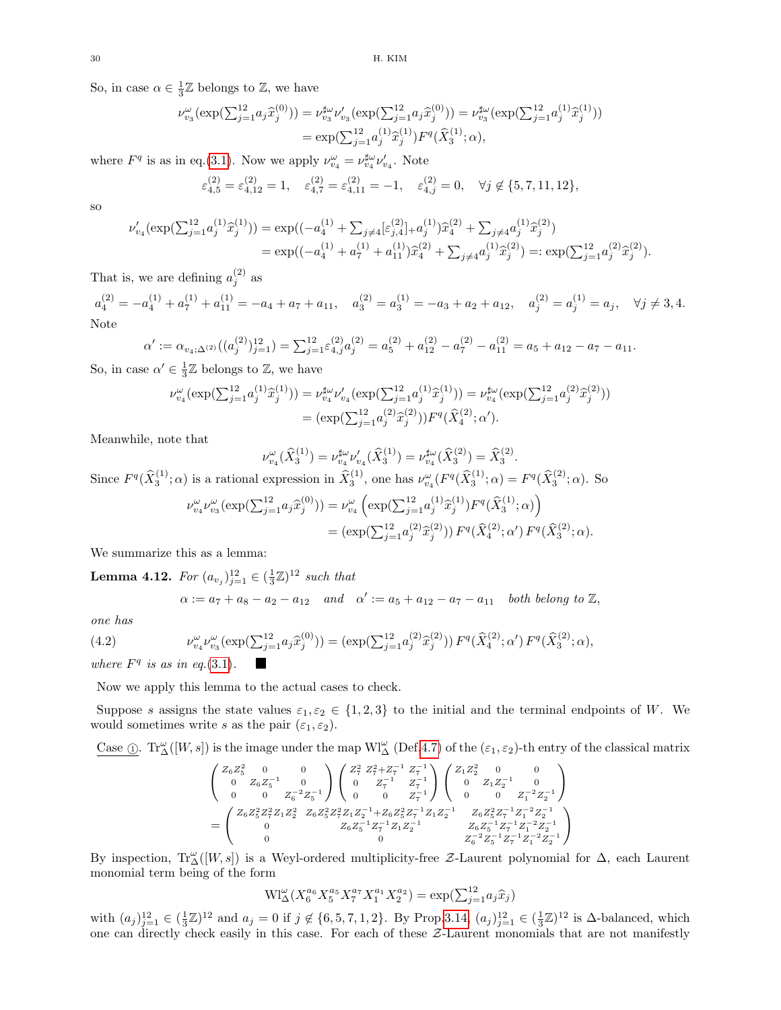So, in case  $\alpha \in \frac{1}{3}\mathbb{Z}$  belongs to  $\mathbb{Z}$ , we have

$$
\nu_{v_3}^{\omega}(\exp(\sum_{j=1}^{12} a_j \hat{x}_j^{(0)})) = \nu_{v_3}^{\sharp \omega} \nu_{v_3}'(\exp(\sum_{j=1}^{12} a_j \hat{x}_j^{(0)})) = \nu_{v_3}^{\sharp \omega}(\exp(\sum_{j=1}^{12} a_j^{(1)} \hat{x}_j^{(1)}))
$$
  
= 
$$
\exp(\sum_{j=1}^{12} a_j^{(1)} \hat{x}_j^{(1)}) F^q(\hat{X}_3^{(1)}; \alpha),
$$

where  $F^q$  is as in eq.[\(3.1\)](#page-15-2). Now we apply  $\nu_{v_4}^{\omega} = \nu_{v_4}^{\sharp \omega} \nu_{v_4}'$ . Note

$$
\varepsilon_{4,5}^{(2)} = \varepsilon_{4,12}^{(2)} = 1, \quad \varepsilon_{4,7}^{(2)} = \varepsilon_{4,11}^{(2)} = -1, \quad \varepsilon_{4,j}^{(2)} = 0, \quad \forall j \notin \{5, 7, 11, 12\},
$$

so

$$
\begin{split} \nu'_{v_4}(\exp(\textstyle\sum_{j=1}^{12}a_{j}^{(1)}\hat{x}_{j}^{(1)}))&=\exp((-a_4^{(1)}+\textstyle\sum_{j\neq 4}[\varepsilon_{j,4}^{(2)}]_{+}a_{j}^{(1)})\hat{x}_{4}^{(2)}+\textstyle\sum_{j\neq 4}a_{j}^{(1)}\hat{x}_{j}^{(2)})\\ &=\exp((-a_4^{(1)}+a_7^{(1)}+a_{11}^{(1)})\hat{x}_{4}^{(2)}+\textstyle\sum_{j\neq 4}a_{j}^{(1)}\hat{x}_{j}^{(2)})=:\exp(\textstyle\sum_{j=1}^{12}a_{j}^{(2)}\hat{x}_{j}^{(2)}).
$$

That is, we are defining  $a_j^{(2)}$  as

 $a_4^{(2)}=-a_4^{(1)}+a_7^{(1)}+a_{11}^{(1)}=-a_4+a_7+a_{11},\quad a_3^{(2)}=a_3^{(1)}=-a_3+a_2+a_{12},\quad a_j^{(2)}=a_j^{(1)}=a_j,\quad \forall j\neq 3,4.$ Note

$$
\alpha' := \alpha_{v_4; \Delta^{(2)}}((a_j^{(2)})_{j=1}^{12}) = \sum_{j=1}^{12} \varepsilon_{4,j}^{(2)} a_j^{(2)} = a_5^{(2)} + a_{12}^{(2)} - a_7^{(2)} - a_{11}^{(2)} = a_5 + a_{12} - a_7 - a_{11}.
$$

So, in case  $\alpha' \in \frac{1}{3}\mathbb{Z}$  belongs to  $\mathbb{Z}$ , we have

$$
\nu_{v_4}^{\omega}(\exp(\sum_{j=1}^{12} a_j^{(1)} \hat{x}_j^{(1)})) = \nu_{v_4}^{\sharp \omega} \nu_{v_4}'(\exp(\sum_{j=1}^{12} a_j^{(1)} \hat{x}_j^{(1)})) = \nu_{v_4}^{\sharp \omega}(\exp(\sum_{j=1}^{12} a_j^{(2)} \hat{x}_j^{(2)}))
$$

$$
= (\exp(\sum_{j=1}^{12} a_j^{(2)} \hat{x}_j^{(2)})) F^q(\hat{X}_4^{(2)}; \alpha').
$$

Meanwhile, note that

$$
\nu_{v_4}^{\omega}(\widehat{X}_3^{(1)}) = \nu_{v_4}^{\sharp \omega} \nu_{v_4}'(\widehat{X}_3^{(1)}) = \nu_{v_4}^{\sharp \omega}(\widehat{X}_3^{(2)}) = \widehat{X}_3^{(2)}.
$$

Since  $F^q(\widehat{X}_3^{(1)}; \alpha)$  is a rational expression in  $\widehat{X}_3^{(1)}$ , one has  $\nu_{v_4}^{\omega}(F^q(\widehat{X}_3^{(1)}; \alpha) = F^q(\widehat{X}_3^{(2)}; \alpha)$ . So

$$
\nu_{v_4}^{\omega} \nu_{v_3}^{\omega} (\exp(\sum_{j=1}^{12} a_j \hat{x}_j^{(0)})) = \nu_{v_4}^{\omega} \left( \exp(\sum_{j=1}^{12} a_j^{(1)} \hat{x}_j^{(1)}) F^q(\hat{X}_3^{(1)}; \alpha) \right)
$$
  
= 
$$
(\exp(\sum_{j=1}^{12} a_j^{(2)} \hat{x}_j^{(2)})) F^q(\hat{X}_4^{(2)}; \alpha') F^q(\hat{X}_3^{(2)}; \alpha).
$$

We summarize this as a lemma:

**Lemma 4.12.** For  $(a_{v_j})_{j=1}^{12} \in (\frac{1}{3}\mathbb{Z})^{12}$  such that

$$
\alpha := a_7 + a_8 - a_2 - a_{12}
$$
 and  $\alpha' := a_5 + a_{12} - a_7 - a_{11}$  both belong to Z,

one has

<span id="page-29-0"></span>(4.2) 
$$
\nu_{v_4}^{\omega} \nu_{v_3}^{\omega} (\exp(\sum_{j=1}^{12} a_j \hat{x}_j^{(0)})) = (\exp(\sum_{j=1}^{12} a_j^{(2)} \hat{x}_j^{(2)})) F^q(\hat{X}_4^{(2)}; \alpha') F^q(\hat{X}_3^{(2)}; \alpha),
$$

where  $F<sup>q</sup>$  is as in eq.[\(3.1\)](#page-15-2).

Now we apply this lemma to the actual cases to check.

Suppose s assigns the state values  $\varepsilon_1, \varepsilon_2 \in \{1, 2, 3\}$  to the initial and the terminal endpoints of W. We would sometimes write s as the pair  $(\varepsilon_1, \varepsilon_2)$ .

Case  $\mathbb{Q}$ .  $Tr_{\Delta}^{\omega}([W,s])$  is the image under the map  $\text{WI}_{\Delta}^{\omega}$  (Def[.4.7\)](#page-26-1) of the  $(\varepsilon_1, \varepsilon_2)$ -th entry of the classical matrix

$$
\begin{pmatrix} Z_6 Z_5^2 & 0 & 0 \ 0 & Z_6 Z_5^{-1} & 0 \ 0 & 0 & Z_6^{-2} Z_5^{-1} \end{pmatrix} \begin{pmatrix} Z_7^2 & Z_7^2 + Z_7^{-1} & Z_7^{-1} \ 0 & Z_7^{-1} & Z_7^{-1} \ 0 & 0 & Z_7^{-1} \end{pmatrix} \begin{pmatrix} Z_1 Z_2^2 & 0 & 0 \ 0 & Z_1 Z_2^{-1} & 0 \ 0 & 0 & Z_1^{-2} Z_2^{-1} \end{pmatrix}
$$
  
= 
$$
\begin{pmatrix} Z_6 Z_5^2 Z_7^2 Z_1 Z_2^2 & Z_6 Z_5^2 Z_7^2 Z_1 Z_2^{-1} + Z_6 Z_5^2 Z_7^{-1} Z_1 Z_2^{-1} & Z_6 Z_5^2 Z_7^{-1} Z_1^{-2} Z_2^{-1} \ 0 & Z_6 Z_5^{-1} Z_7^{-1} Z_1 Z_2^{-1} & Z_6 Z_5^{-1} Z_7^{-1} Z_1^{-2} Z_2^{-1} \ 0 & 0 & Z_6^{-2} Z_5^{-1} Z_7^{-1} Z_1^{-2} Z_2^{-1} \end{pmatrix}
$$

By inspection,  $\text{Tr}_{\Delta}^{\omega}([W,s])$  is a Weyl-ordered multiplicity-free  $\mathcal{Z}\text{-Laurent}$  polynomial for  $\Delta$ , each Laurent monomial term being of the form

$$
\mathrm{Wl}^{\omega}_{\Delta}(X_6^{a_6}X_5^{a_5}X_7^{a_7}X_1^{a_1}X_2^{a_2}) = \exp(\sum_{j=1}^{12} a_j \hat{x}_j)
$$

with  $(a_j)_{j=1}^{12} \in (\frac{1}{3}\mathbb{Z})^{12}$  and  $a_j = 0$  if  $j \notin \{6, 5, 7, 1, 2\}$ . By Prop. 3.14,  $(a_j)_{j=1}^{12} \in (\frac{1}{3}\mathbb{Z})^{12}$  is  $\Delta$ -balanced, which one can directly check easily in this case. For each of these Z-Laurent monomials that are not manifestly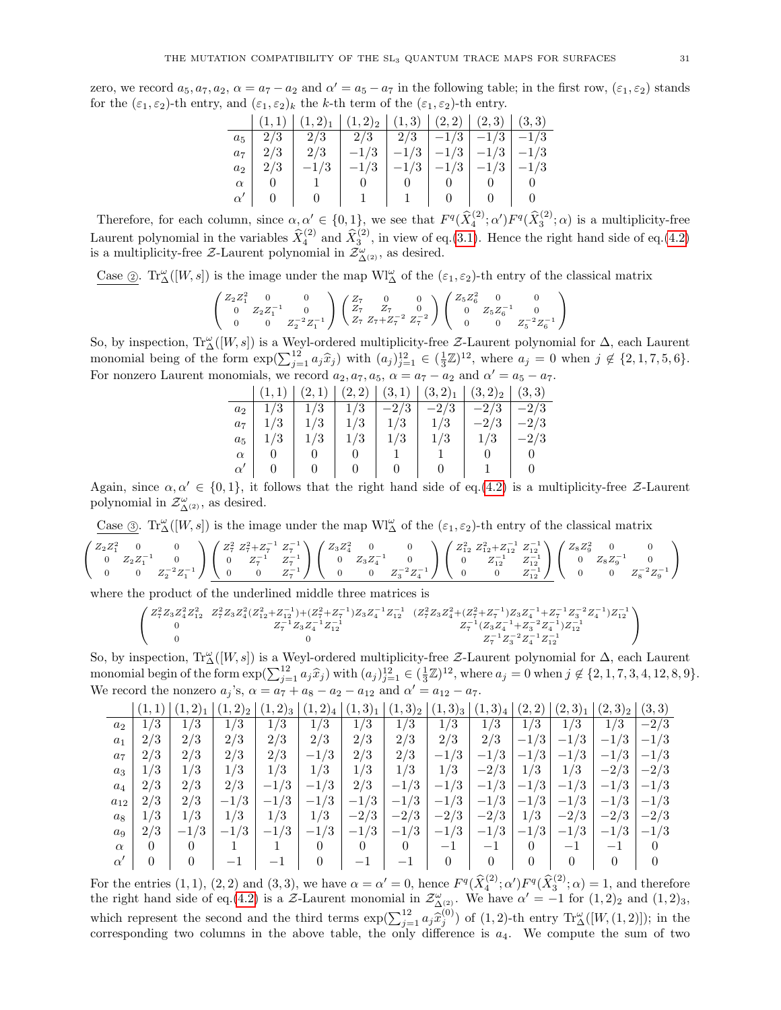zero, we record  $a_5, a_7, a_2, \alpha = a_7 - a_2$  and  $\alpha' = a_5 - a_7$  in the following table; in the first row,  $(\varepsilon_1, \varepsilon_2)$  stands for the  $(\varepsilon_1, \varepsilon_2)$ -th entry, and  $(\varepsilon_1, \varepsilon_2)_k$  the k-th term of the  $(\varepsilon_1, \varepsilon_2)$ -th entry.

|                     | $(1,1)   (1,2)1   (1,2)2   (1,3)   (2,2)   (2,3)   (3,3)$      |                 |                |                                            |  |
|---------------------|----------------------------------------------------------------|-----------------|----------------|--------------------------------------------|--|
| $a_5   2/3$         |                                                                |                 |                |                                            |  |
|                     | $a_7$   2/3   2/3   $-1/3$   $-1/3$   $-1/3$   $-1/3$   $-1/3$ |                 |                |                                            |  |
| $a_2   2/3$         | $-1/3$                                                         |                 |                | $-1/3$   $-1/3$   $-1/3$   $-1/3$   $-1/3$ |  |
| $\alpha$   $\alpha$ |                                                                | $0 \quad \vert$ | $0 \quad \Box$ | 0 <sub>1</sub>                             |  |
|                     | $\alpha'$   0   0   1   1   0   0   0                          |                 |                |                                            |  |

Therefore, for each column, since  $\alpha, \alpha' \in \{0,1\}$ , we see that  $F^q(\widehat{X}_4^{(2)}; \alpha')F^q(\widehat{X}_3^{(2)}; \alpha)$  is a multiplicity-free Laurent polynomial in the variables  $\hat{X}_4^{(2)}$  and  $\hat{X}_3^{(2)}$ , in view of eq.[\(3.1\)](#page-15-2). Hence the right hand side of eq.[\(4.2\)](#page-29-0) is a multiplicity-free  $\mathcal{Z}\text{-}\text{Laurent polynomial in }\mathcal{Z}^{\omega}_{\Delta^{(2)}},$  as desired.

Case  $\circled{2}$ .  $Tr_{\Delta}^{\omega}([W, s])$  is the image under the map  $\text{WI}_{\Delta}^{\omega}$  of the  $(\varepsilon_1, \varepsilon_2)$ -th entry of the classical matrix

$$
\left(\begin{array}{ccc}Z_2Z_1^2 & 0 & 0\\ 0 & Z_2Z_1^{-1} & 0\\ 0 & 0 & Z_2^{-2}Z_1^{-1}\end{array}\right)\left(\begin{array}{ccc}Z_7 & 0 & 0\\ Z_7 & Z_7 & 0\\ Z_7 & Z_7+Z_7^{-2} & Z_7^{-2}\end{array}\right)\left(\begin{array}{ccc}Z_5Z_6^2 & 0 & 0\\ 0 & Z_5Z_6^{-1} & 0\\ 0 & 0 & Z_5^{-2}Z_6^{-1}\end{array}\right)
$$

So, by inspection,  $\text{Tr}_{\Delta}^{\omega}([W,s])$  is a Weyl-ordered multiplicity-free  $\mathcal{Z}\text{-Laurent}$  polynomial for  $\Delta$ , each Laurent monomial being of the form  $\exp(\sum_{j=1}^{12} a_j \hat{x}_j)$  with  $(a_j)_{j=1}^{12} \in (\frac{1}{3}\mathbb{Z})^{12}$ , where  $a_j = 0$  when  $j \notin \{2, 1, 7, 5, 6\}$ . For nonzero Laurent monomials, we record  $a_2, a_7, a_5, \alpha = a_7 - a_2$  and  $\alpha' = a_5 - a_7$ .

|          |                       |             |     | $(1,1)$ $(2,1)$ $(2,2)$ $(3,1)$ $(3,2)_1$ $(3,2)_2$ $(3,3)$ |                |
|----------|-----------------------|-------------|-----|-------------------------------------------------------------|----------------|
|          | $a_2$   $1/3$   $1/3$ |             |     | $ 1/3  -2/3  -2/3  -2/3  -2/3$                              |                |
| $a_7$    | $1/3$   $1/3$         |             |     | 1/3 1/3 1/3 1/3 2/3 2/3                                     |                |
| $a_5$    | 1/3                   | $\vert$ 1/3 | 1/3 | $1/3$   $1/3$                                               | $1/3$   $-2/3$ |
| $\alpha$ |                       |             |     | $\mathbf{1}$                                                |                |
|          |                       |             |     | $\alpha'$   0   0   0   0   0   1   0                       |                |

Again, since  $\alpha, \alpha' \in \{0, 1\}$ , it follows that the right hand side of eq.[\(4.2\)](#page-29-0) is a multiplicity-free Z-Laurent polynomial in  $\mathcal{Z}_{\Delta^{(2)}}^{\omega}$ , as desired.

Case  $\circled{3}$ .  $Tr_{\Delta}^{\omega}([W, s])$  is the image under the map  $\mathcal{W}^{1\omega}_{\Delta}$  of the  $(\varepsilon_1, \varepsilon_2)$ -th entry of the classical matrix

$$
\left(\begin{smallmatrix} Z_2Z_1^2 & 0 & 0 \\ 0 & Z_2Z_1^{-1} & 0 \\ 0 & 0 & Z_2^{-2}Z_1^{-1} \end{smallmatrix}\right) \left(\begin{smallmatrix} Z_7^2 & Z_7^2 + Z_7^{-1} & Z_7^{-1} \\ 0 & Z_7^{-1} & Z_7^{-1} \\ 0 & 0 & Z_7^{-1} \end{smallmatrix}\right) \left(\begin{smallmatrix} Z_3Z_4^2 & 0 & 0 \\ 0 & Z_3Z_4^{-1} & 0 \\ 0 & 0 & Z_3^{-2}Z_4^{-1} \end{smallmatrix}\right) \left(\begin{smallmatrix} Z_{12}^2 & Z_{12}^2 + Z_{12}^{-1} & Z_{12}^{-1} \\ 0 & Z_{12}^{-1} & Z_{12}^{-1} \\ 0 & 0 & Z_{12}^{-1} \end{smallmatrix}\right) \left(\begin{smallmatrix} Z_{8Z_9^2}^2 & 0 & 0 \\ 0 & Z_8Z_9^{-1} & 0 \\ 0 & 0 & Z_8^{-2}Z_9^{-1} \end{smallmatrix}\right)
$$

where the product of the underlined middle three matrices is

$$
\left(\begin{smallmatrix} Z^2_7Z_3Z^2_4Z^2_{12} & Z^2_7Z_3Z^2_4(Z^2_{12}+Z^{-1}_{12})+(Z^2_7+Z^{-1}_7)Z_3Z^{-1}_4Z^{-1}_{12} & (Z^2_7Z_3Z^2_4+(Z^2_7+Z^{-1}_7)Z_3Z^{-1}_4+Z^{-1}_7Z^{-2}_3Z^{-1}_4)Z^{-1}_{12}\\ 0 & Z^{-1}_7Z_3Z^{-1}_4Z^{-1}_{12} & Z^{-1}_7(Z_3Z^{-1}_4+Z^{-2}_3Z^{-1}_4)Z^{-1}_{12}\\ 0 & 0 & Z^{-1}_7Z^{-2}_3Z^{-1}_4Z^{-1}_{12}\\ \end{smallmatrix}\right)
$$

So, by inspection,  $\text{Tr}_{\Delta}^{\omega}([W,s])$  is a Weyl-ordered multiplicity-free  $\mathcal{Z}\text{-Laurent}$  polynomial for  $\Delta$ , each Laurent monomial begin of the form  $\exp(\sum_{j=1}^{12} a_j \hat{x}_j)$  with  $(a_j)_{j=1}^{12} \in (\frac{1}{3}\mathbb{Z})^{12}$ , where  $a_j = 0$  when  $j \notin \{2, 1, 7, 3, 4, 12, 8, 9\}$ . We record the nonzero  $a_j$ 's,  $\alpha = a_7 + a_8 - a_2 - a_{12}$  and  $\alpha' = a_{12} - a_7$ .

|           |     |        |        |        |             |        | $(1,3)_2$ | $(1,3)_{3}$ | $(3)_4$ | 2,     | (2,3) <sub>1</sub> | $(2,3)_2$                | (3,3)  |
|-----------|-----|--------|--------|--------|-------------|--------|-----------|-------------|---------|--------|--------------------|--------------------------|--------|
| $a_2$     | 1/3 | 1/3    | 1/3    | 1/3    | 1/3         | 1/3    | 1/3       | 1/3         | 1/3     | 1/3    | 1/3                | 1/3                      | $-2/3$ |
| $a_1$     | 2/3 | 2/3    | 2/3    | 2/3    | 2/3         | 2/3    | 2/3       | 2/3         | 2/3     | $-1/3$ | $-1/3$             | $-1/3$                   | $-1/3$ |
| $a_7$     | 2/3 | 2/3    | 2/3    | 2/3    | $-1/3$      | 2/3    | 2/3       | $-1/3$      | $-1/3$  | $-1/3$ | $-1/3$             | $-1/3$                   | $-1/3$ |
| $a_3$     | 1/3 | 1/3    | 1/3    | 1/3    | 1/3         | 1/3    | 1/3       | 1/3         | $-2/3$  | 1/3    | 1/3                | $-2/3$                   | $-2/3$ |
| $a_4$     | 2/3 | 2/3    | 2/3    | $-1/3$ | $-1/3$      | 2/3    | $-1/3$    | $-1/3$      | $-1/3$  | $-1/3$ | $-1/3$             | $-1/3$                   | $-1/3$ |
| $a_{12}$  | 2/3 | 2/3    | $-1/3$ | $-1/3$ | $-1/3$      | $-1/3$ | $-1/3$    | $-1/3$      | $-1/3$  | $-1/3$ | $-1/3$             | $-1/3$                   | $-1/3$ |
| $a_8$     | 1/3 | 1/3    | 1/3    | 1/3    | 1/3         | $-2/3$ | $-2/3$    | $-2/3$      | $-2/3$  | 1/3    | $-2/3$             | $-2/3$                   | $-2/3$ |
| $a_9$     | 2/3 | $-1/3$ | $-1/3$ | $-1/3$ | /3<br>$-1/$ | $-1/3$ | $-1/3$    | $-1/3$      | $-1/3$  | $-1/3$ | $-1/3$             | $-1/3$                   | $-1/3$ |
| $\alpha$  |     |        |        |        |             |        |           | $-$         | — I     |        | $-1$               | $\overline{\phantom{0}}$ |        |
| $\alpha'$ |     |        |        |        |             | $-1$   |           |             |         | 0      |                    |                          |        |

For the entries  $(1,1), (2,2)$  and  $(3,3)$ , we have  $\alpha = \alpha' = 0$ , hence  $F^q(\widehat{X}_4^{(2)}; \alpha')F^q(\widehat{X}_3^{(2)}; \alpha) = 1$ , and therefore the right hand side of eq.[\(4.2\)](#page-29-0) is a Z-Laurent monomial in  $\mathcal{Z}^{\omega}_{\Delta^{(2)}}$ . We have  $\alpha' = -1$  for  $(1,2)_2$  and  $(1,2)_3$ , which represent the second and the third terms  $\exp(\sum_{j=1}^{12} a_j \hat{x}_j^{(0)})$  of (1, 2)-th entry  $\text{Tr}^{\omega}_{\mathcal{A}}([W,(1,2)]);$  in the corresponding two columns in the above table, the only difference is  $a_4$ . We compute the sum of two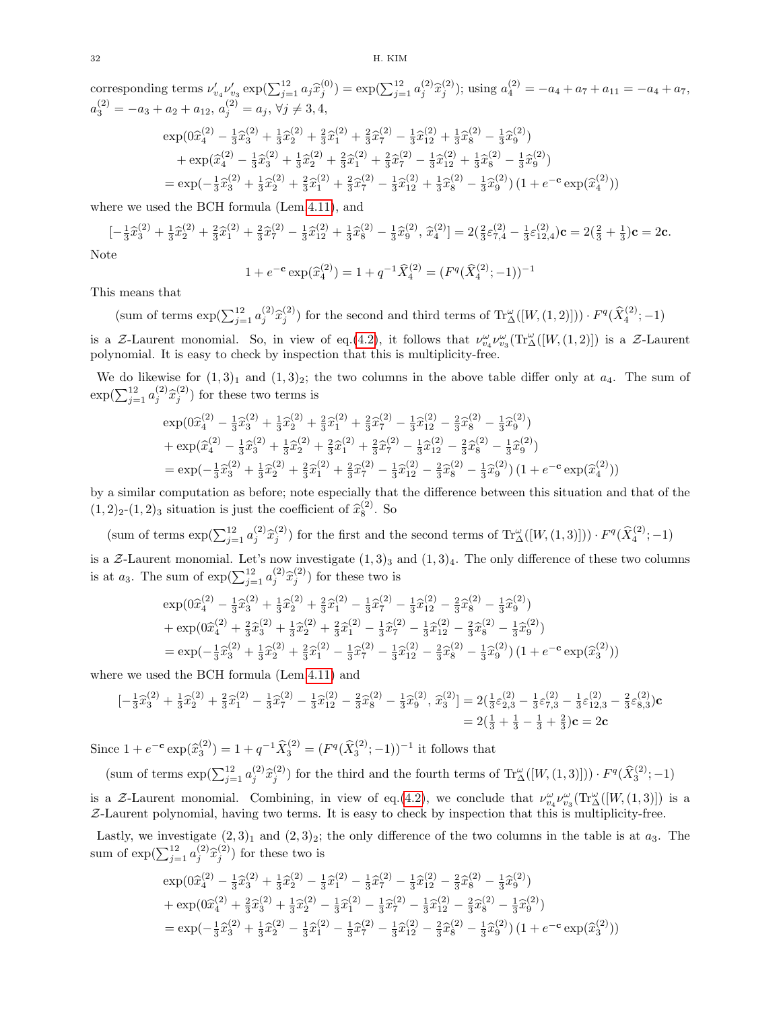corresponding terms  $\nu'_{v_4} \nu'_{v_3} \exp(\sum_{j=1}^{12} a_j \hat{x}_j^{(0)}) = \exp(\sum_{j=1}^{12} a_j^{(2)} \hat{x}_j^{(2)})$ ; using  $a_4^{(2)} = -a_4 + a_7 + a_{11} = -a_4 + a_7$ ,  $a_3^{(2)} = -a_3 + a_2 + a_{12}, a_j^{(2)} = a_j, \forall j \neq 3, 4,$  $\exp(0\hat{x}_4^{(2)} - \frac{1}{3}\hat{x}_3^{(2)} + \frac{1}{3}\hat{x}_2^{(2)} + \frac{2}{3}\hat{x}_1^{(2)} + \frac{2}{3}\hat{x}_7^{(2)} - \frac{1}{3}\hat{x}_1^{(2)} + \frac{1}{3}\hat{x}_8^{(2)} - \frac{1}{3}\hat{x}_9^{(2)}$  $+\exp(\hat{x}_4^{(2)} - \frac{1}{3}\hat{x}_3^{(2)} + \frac{1}{3}\hat{x}_2^{(2)} + \frac{2}{3}\hat{x}_1^{(2)} + \frac{2}{3}\hat{x}_7^{(2)} - \frac{1}{3}\hat{x}_1^{(2)} + \frac{1}{3}\hat{x}_8^{(2)} - \frac{1}{3}\hat{x}_9^{(2)})$  $=\exp(-\frac{1}{3}\hat{x}_3^{(2)} + \frac{1}{3}\hat{x}_2^{(2)} + \frac{2}{3}\hat{x}_1^{(2)} + \frac{2}{3}\hat{x}_7^{(2)} - \frac{1}{3}\hat{x}_{12}^{(2)} + \frac{1}{3}\hat{x}_8^{(2)} - \frac{1}{3}\hat{x}_9^{(2)})(1 + e^{-c}\exp(\hat{x}_4^{(2)}))$ 

where we used the BCH formula (Lem[.4.11\)](#page-28-1), and

 $\mathbf 1$ 

$$
[-\frac{1}{3}\hat{x}_3^{(2)} + \frac{1}{3}\hat{x}_2^{(2)} + \frac{2}{3}\hat{x}_1^{(2)} + \frac{2}{3}\hat{x}_7^{(2)} - \frac{1}{3}\hat{x}_{12}^{(2)} + \frac{1}{3}\hat{x}_8^{(2)} - \frac{1}{3}\hat{x}_9^{(2)}, \hat{x}_4^{(2)}] = 2(\frac{2}{3}\varepsilon_{7,4}^{(2)} - \frac{1}{3}\varepsilon_{12,4}^{(2)})\mathbf{c} = 2(\frac{2}{3} + \frac{1}{3})\mathbf{c} = 2\mathbf{c}.
$$

Note

+ 
$$
e^{-c}
$$
 exp( $\hat{x}_4^{(2)}$ ) = 1 +  $q^{-1}\hat{X}_4^{(2)}$  = ( $F^q(\hat{X}_4^{(2)}; -1))^{-1}$ 

This means that

(sum of terms  $\exp(\sum_{j=1}^{12} a_j^{(2)} \hat{x}_j^{(2)})$  for the second and third terms of  $\text{Tr}^{\omega}_{\Delta}([W,(1,2)])) \cdot F^q(\hat{X}_4^{(2)};-1)$ is a Z-Laurent monomial. So, in view of eq.[\(4.2\)](#page-29-0), it follows that  $\nu_{v_4}^{\omega} \nu_{v_3}^{\omega}(\text{Tr}_\Delta^{\omega}([W,(1,2)])$  is a Z-Laurent polynomial. It is easy to check by inspection that this is multiplicity-free.

We do likewise for  $(1, 3)_1$  and  $(1, 3)_2$ ; the two columns in the above table differ only at  $a_4$ . The sum of  $\exp(\sum_{j=1}^{12} a_j^{(2)} \hat{x}_j^{(2)})$  for these two terms is

$$
\exp(0\hat{x}_4^{(2)} - \frac{1}{3}\hat{x}_3^{(2)} + \frac{1}{3}\hat{x}_2^{(2)} + \frac{2}{3}\hat{x}_1^{(2)} + \frac{2}{3}\hat{x}_7^{(2)} - \frac{1}{3}\hat{x}_1^{(2)} - \frac{2}{3}\hat{x}_8^{(2)} - \frac{1}{3}\hat{x}_9^{(2)})
$$
  
+ 
$$
\exp(\hat{x}_4^{(2)} - \frac{1}{3}\hat{x}_3^{(2)} + \frac{1}{3}\hat{x}_2^{(2)} + \frac{2}{3}\hat{x}_1^{(2)} + \frac{2}{3}\hat{x}_7^{(2)} - \frac{1}{3}\hat{x}_{12}^{(2)} - \frac{2}{3}\hat{x}_8^{(2)} - \frac{1}{3}\hat{x}_9^{(2)})
$$
  
= 
$$
\exp(-\frac{1}{3}\hat{x}_3^{(2)} + \frac{1}{3}\hat{x}_2^{(2)} + \frac{2}{3}\hat{x}_1^{(2)} + \frac{2}{3}\hat{x}_7^{(2)} - \frac{1}{3}\hat{x}_{12}^{(2)} - \frac{2}{3}\hat{x}_8^{(2)} - \frac{1}{3}\hat{x}_9^{(2)}) (1 + e^{-c}\exp(\hat{x}_4^{(2)}))
$$

by a similar computation as before; note especially that the difference between this situation and that of the  $(1, 2)_2$ - $(1, 2)_3$  situation is just the coefficient of  $\hat{x}_8^{(2)}$ . So

(sum of terms  $\exp(\sum_{j=1}^{12} a_j^{(2)} \hat{x}_j^{(2)})$  for the first and the second terms of  $\text{Tr}^{\omega}_{\Delta}([W,(1,3)])) \cdot F^q(\hat{X}_4^{(2)};-1)$ 

is a Z-Laurent monomial. Let's now investigate  $(1,3)_3$  and  $(1,3)_4$ . The only difference of these two columns is at  $a_3$ . The sum of  $\exp(\sum_{j=1}^{12} a_j^{(2)} \hat{x}_j^{(2)})$  for these two is

$$
\exp(0\hat{x}_4^{(2)} - \frac{1}{3}\hat{x}_3^{(2)} + \frac{1}{3}\hat{x}_2^{(2)} + \frac{2}{3}\hat{x}_1^{(2)} - \frac{1}{3}\hat{x}_7^{(2)} - \frac{1}{3}\hat{x}_1^{(2)} - \frac{2}{3}\hat{x}_8^{(2)} - \frac{1}{3}\hat{x}_9^{(2)})
$$
  
+ 
$$
\exp(0\hat{x}_4^{(2)} + \frac{2}{3}\hat{x}_3^{(2)} + \frac{1}{3}\hat{x}_2^{(2)} + \frac{2}{3}\hat{x}_1^{(2)} - \frac{1}{3}\hat{x}_7^{(2)} - \frac{1}{3}\hat{x}_1^{(2)} - \frac{2}{3}\hat{x}_8^{(2)} - \frac{1}{3}\hat{x}_9^{(2)})
$$
  
= 
$$
\exp(-\frac{1}{3}\hat{x}_3^{(2)} + \frac{1}{3}\hat{x}_2^{(2)} + \frac{2}{3}\hat{x}_1^{(2)} - \frac{1}{3}\hat{x}_7^{(2)} - \frac{1}{3}\hat{x}_{12}^{(2)} - \frac{2}{3}\hat{x}_8^{(2)} - \frac{1}{3}\hat{x}_9^{(2)}) (1 + e^{-c}\exp(\hat{x}_3^{(2)}))
$$

where we used the BCH formula (Lem[.4.11\)](#page-28-1) and

$$
\begin{aligned} \left[ -\frac{1}{3}\hat{x}_3^{(2)} + \frac{1}{3}\hat{x}_2^{(2)} + \frac{2}{3}\hat{x}_1^{(2)} - \frac{1}{3}\hat{x}_7^{(2)} - \frac{1}{3}\hat{x}_{12}^{(2)} - \frac{2}{3}\hat{x}_8^{(2)} - \frac{1}{3}\hat{x}_9^{(2)}, \ \hat{x}_3^{(2)} \right] &= 2(\frac{1}{3}\varepsilon_{2,3}^{(2)} - \frac{1}{3}\varepsilon_{7,3}^{(2)} - \frac{1}{3}\varepsilon_{12,3}^{(2)} - \frac{2}{3}\varepsilon_{8,3}^{(2)})\mathbf{c} \\ &= 2(\frac{1}{3} + \frac{1}{3} - \frac{1}{3} + \frac{2}{3})\mathbf{c} = 2\mathbf{c} \end{aligned}
$$

Since  $1 + e^{-c} \exp(\hat{x}_3^{(2)}) = 1 + q^{-1} \hat{X}_3^{(2)} = (F^q(\hat{X}_3^{(2)}; -1))^{-1}$  it follows that

(sum of terms  $\exp(\sum_{j=1}^{12} a_j^{(2)} \hat{x}_j^{(2)})$  for the third and the fourth terms of  $\text{Tr}^{\omega}_{\Delta}([W,(1,3)])) \cdot F^q(\hat{X}_3^{(2)};-1)$ is a Z-Laurent monomial. Combining, in view of eq.[\(4.2\)](#page-29-0), we conclude that  $\nu_{\nu_4}^{\omega} \nu_{\nu_3}^{\omega}(\text{Tr}_{\Delta}^{\omega}([W,(1,3)])$  is a Z-Laurent polynomial, having two terms. It is easy to check by inspection that this is multiplicity-free.

Lastly, we investigate  $(2,3)_1$  and  $(2,3)_2$ ; the only difference of the two columns in the table is at  $a_3$ . The sum of  $\exp(\sum_{j=1}^{12} a_j^{(2)} \hat{x}_j^{(2)})$  for these two is

$$
\begin{split} &\exp(0\widehat{x}_4^{(2)}-\tfrac{1}{3}\widehat{x}_3^{(2)}+\tfrac{1}{3}\widehat{x}_2^{(2)}-\tfrac{1}{3}\widehat{x}_1^{(2)}-\tfrac{1}{3}\widehat{x}_7^{(2)}-\tfrac{1}{3}\widehat{x}_1^{(2)}-\tfrac{2}{3}\widehat{x}_8^{(2)}-\tfrac{1}{3}\widehat{x}_9^{(2)}) \\ &+\exp(0\widehat{x}_4^{(2)}+\tfrac{2}{3}\widehat{x}_3^{(2)}+\tfrac{1}{3}\widehat{x}_2^{(2)}-\tfrac{1}{3}\widehat{x}_1^{(2)}-\tfrac{1}{3}\widehat{x}_7^{(2)}-\tfrac{1}{3}\widehat{x}_{12}^{(2)}-\tfrac{2}{3}\widehat{x}_8^{(2)}-\tfrac{1}{3}\widehat{x}_9^{(2)}) \\ & =\exp(-\tfrac{1}{3}\widehat{x}_3^{(2)}+\tfrac{1}{3}\widehat{x}_2^{(2)}-\tfrac{1}{3}\widehat{x}_1^{(2)}-\tfrac{1}{3}\widehat{x}_7^{(2)}-\tfrac{1}{3}\widehat{x}_{12}^{(2)}-\tfrac{2}{3}\widehat{x}_8^{(2)}-\tfrac{1}{3}\widehat{x}_9^{(2)})\left(1+e^{-\mathbf{c}}\exp(\widehat{x}_3^{(2)})\right) \end{split}
$$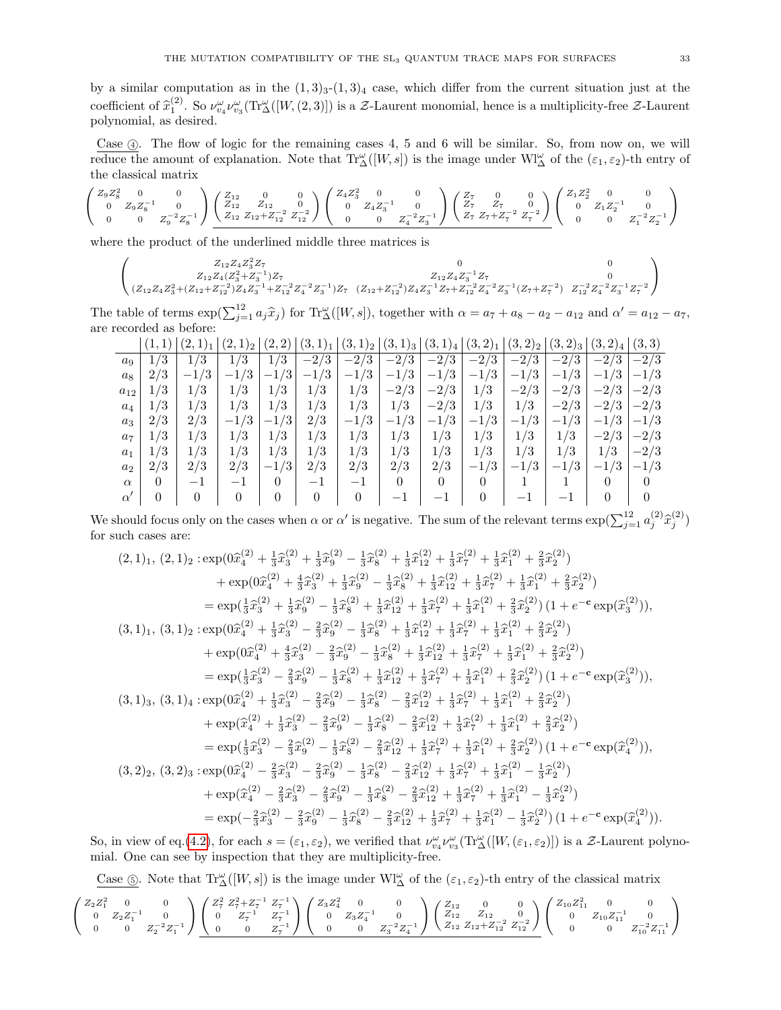by a similar computation as in the  $(1, 3)_3$ - $(1, 3)_4$  case, which differ from the current situation just at the coefficient of  $\hat{x}_1^{(2)}$ . So  $\nu_{\omega_4}^{\omega} \nu_{\omega_3}^{\omega}(\text{Tr}\Delta([W,(2,3)])$  is a Z-Laurent monomial, hence is a multiplicity-free Z-Laurent polynomial, as desired.

Case  $\alpha$ . The flow of logic for the remaining cases 4, 5 and 6 will be similar. So, from now on, we will reduce the amount of explanation. Note that  $\text{Tr}^{\omega}_{\Delta}([W,s])$  is the image under  $\text{WI}^{\omega}_{\Delta}$  of the  $(\varepsilon_1, \varepsilon_2)$ -th entry of the classical matrix

$$
\left(\begin{array}{ccc}Z_9Z_8^2&0&0\\0&Z_9Z_8^{-1}&0\\0&0&Z_9^{-2}Z_8^{-1}\end{array}\right)\underbrace{\left(\begin{array}{cccc}Z_{12}&0&0\\Z_{12}&Z_{12}&0\\Z_{12}\ Z_{12}+Z_{12}^{-2}&Z_{12}^{-2}\end{array}\right)}_{\begin{array}{ccc}Z_1Z_3^2&0&0\\0&Z_4Z_3^{-1}&0\\0&0&Z_4^{-2}Z_3^{-1}\end{array}\right)}\left(\begin{array}{ccc}Z_7&0&0\\Z_7&Z_7&0\\Z_7&Z_7+Z_7^{-2}&Z_7^{-2}\end{array}\right)\left(\begin{array}{ccc}Z_1Z_2^2&0&0\\0&Z_1Z_2^{-1}&0\\0&0&Z_1^{-2}Z_2^{-1}\end{array}\right)
$$

where the product of the underlined middle three matrices is

$$
\left(\begin{matrix}Z_{12}Z_4Z_3^2Z_7&0&0\\Z_{12}Z_4(Z_3^2+Z_3^{-1})Z_7&Z_{12}Z_4Z_3^{-1}Z_7&0\\(Z_{12}Z_4Z_3^2+(Z_{12}+Z_{12}^{-2})Z_4Z_3^{-1}+Z_{12}^{-2}Z_4^{-2}Z_3^{-1})Z_7&(Z_{12}+Z_{12}^{-2})Z_4Z_3^{-1}Z_7+Z_{12}^{-2}Z_4^{-2}Z_3^{-1}(Z_7+Z_7^{-2})&Z_{12}^{-2}Z_4^{-2}Z_3^{-1}Z_7^{-2}\end{matrix}\right)
$$

The table of terms  $\exp(\sum_{j=1}^{12} a_j \hat{x}_j)$  for  $\text{Tr}^{\omega}_{\Delta}([W, s])$ , together with  $\alpha = a_7 + a_8 - a_2 - a_{12}$  and  $\alpha' = a_{12} - a_7$ , are recorded as before:

|           |     | $\mathcal{L}$ | (2,<br>$1)_2$            | $^{\prime}2,$<br>2) | $(3,1)_1$ | $(3,1)_2$ | $(3,1)_{3}$ | (3,1)<br>14                    | (3,2) <sub>1</sub> | $(3,2)_2$ | $(3,2)_{3}$ | (3,2) <sub>4</sub>  | (3, 3) |
|-----------|-----|---------------|--------------------------|---------------------|-----------|-----------|-------------|--------------------------------|--------------------|-----------|-------------|---------------------|--------|
| $a_9$     | 1/3 | /3<br>1.      | 1/3                      | /3<br>1.            | $-2/3$    | $-2/3$    | $-2/3$      | $-2/3$                         | $-2/3$             | $-2/3$    | $-2/3$      | $\sqrt{3}$<br>$-2l$ | $-2/3$ |
| $a_8$     | 2/3 | $-1/3$        | $-1/3$                   | /3<br>$-1$          | $-1/3$    | $-1/3$    | $-1/3$      | $-1/3$                         | /3<br>$-1$         | $-1/3$    | $-1/3$      | $-1/3$              | $-1/3$ |
| $a_{12}$  | 1/3 | 1/3           | 1/3                      | /3<br>1             | 1/3       | 1/3       | $-2/3$      | $-2/3$                         | 1/3                | $-2/3$    | $-2/3$      | /3<br>$-2/$         | $-2/3$ |
| $a_4$     | 1/3 | /3<br>1,      | 1/3                      | /3<br>1,            | 1/3       | 1/3       | 1/3         | $-2/3$                         | 1/3                | 1/3       | $-2/3$      | $-2/3$              | $-2/3$ |
| $a_3$     | 2/3 | 2/3           | $-1/3$                   | $-1/3$              | 2/3       | $-1/3$    | $-1/3$      | $-1/3$                         | /3<br>$-1$         | $-1/3$    | $-1/3$      | $-1/3$              | $-1/3$ |
| $a_7$     | 1/3 | 1/3           | 1/3                      | /3<br>1/            | 1/3       | 1/3       | 1/3         | 1/3                            | 1/3                | 1/3       | 1/3         | /3<br>$-2/$         | $-2/3$ |
| $a_1$     | 1/3 | 1/3           | 1/3                      | $^{\prime}3$<br>1.  | 1/3       | 1/3       | 1/3         | 1/3                            | 1/3                | 1/3       | 1/3         | 1/3                 | $-2/3$ |
| $a_2$     | 2/3 | 2/3           | 2/3                      | $-1/3$              | 2/3       | 2/3       | 2/3         | 2/3                            | /3<br>$-1$         | $-1/3$    | $-1/3$      | /3<br>$-1l$         | $-1/3$ |
| $\alpha$  | 0   | $-1$          | $\overline{\phantom{0}}$ | 0                   | $-1$      | — 1       | 0           | $\theta$                       |                    |           |             |                     |        |
| $\alpha'$ | 0   | 0             |                          | 0                   |           |           |             | $\qquad \qquad \longleftarrow$ |                    |           |             |                     |        |

We should focus only on the cases when  $\alpha$  or  $\alpha'$  is negative. The sum of the relevant terms  $\exp(\sum_{j=1}^{12} a_j^{(2)} \hat{x}_j^{(2)})$ for such cases are:

$$
(2,1)_1, (2,1)_2 : \exp(0\hat{x}_4^{(2)} + \frac{1}{3}\hat{x}_3^{(2)} + \frac{1}{3}\hat{x}_9^{(2)} - \frac{1}{3}\hat{x}_8^{(2)} + \frac{1}{3}\hat{x}_1^{(2)} + \frac{1}{3}\hat{x}_7^{(2)} + \frac{1}{3}\hat{x}_1^{(2)} + \frac{2}{3}\hat{x}_2^{(2)}) + \exp(0\hat{x}_4^{(2)} + \frac{4}{3}\hat{x}_3^{(2)} + \frac{1}{3}\hat{x}_9^{(2)} - \frac{1}{3}\hat{x}_8^{(2)} + \frac{1}{3}\hat{x}_{12}^{(2)} + \frac{1}{3}\hat{x}_7^{(2)} + \frac{1}{3}\hat{x}_1^{(2)} + \frac{2}{3}\hat{x}_2^{(2)}) = \exp(\frac{1}{3}\hat{x}_3^{(2)} + \frac{1}{3}\hat{x}_9^{(2)} - \frac{1}{3}\hat{x}_8^{(2)} + \frac{1}{3}\hat{x}_{12}^{(2)} + \frac{1}{3}\hat{x}_1^{(2)} + \frac{2}{3}\hat{x}_2^{(2)}) (1 + e^{-c} \exp(\hat{x}_3^{(2)})),
$$
  

$$
(3,1)_1, (3,1)_2 : \exp(0\hat{x}_4^{(2)} + \frac{1}{3}\hat{x}_3^{(2)} - \frac{2}{3}\hat{x}_9^{(2)} - \frac{1}{3}\hat{x}_8^{(2)} + \frac{1}{3}\hat{x}_{12}^{(2)} + \frac{1}{3}\hat{x}_7^{(2)} + \frac{1}{3}\hat{x}_1^{(2)} + \frac{2}{3}\hat{x}_2^{(2)}) + \exp(0\hat{x}_4^{(2)} + \frac{4}{3}\hat{x}_3^{(2)} - \frac{2}{3}\hat{x}_9^{(2)} - \frac{1}{3}\hat{x}_8^{(2)} + \frac{1}{3}\hat{x}_{12}^{(2)} + \frac{1}{3}\hat{x}_1^{(2)} + \frac{1}{3}\hat{x}_1^{(2)} + \frac{2}{3}\hat{x}_2^{(2)}) = \exp(\frac{1}{3}\hat{x}_3^{(2)} - \frac{2}{3}\hat{x}_9^{(2)} - \frac{1}{3}\hat{x}_8^{(2)} + \frac{1}{3}\hat{x}_1^{(2)} + \frac{1}{3}\hat{x}_1^{(2)} + \frac{1}{
$$

So, in view of eq.[\(4.2\)](#page-29-0), for each  $s = (\varepsilon_1, \varepsilon_2)$ , we verified that  $\nu_{v_4}^{\omega} \nu_{v_3}^{\omega}(\text{Tr}^{\omega}_{\Delta}([W, (\varepsilon_1, \varepsilon_2)])$  is a Z-Laurent polynomial. One can see by inspection that they are multiplicity-free.

Case  $\circledS$ . Note that  $\text{Tr}^{\omega}_{\Delta}([W, s])$  is the image under  $\text{WI}^{\omega}_{\Delta}$  of the  $(\varepsilon_1, \varepsilon_2)$ -th entry of the classical matrix

$$
\left(\begin{array}{ccc}Z_2Z_1^2&0&0\\0&Z_2Z_1^{-1}&0\\0&0&Z_2^{-2}Z_1^{-1}\end{array}\right)\underbrace{\left(\begin{array}{ccc}Z_7^2&Z_7^2+Z_7^{-1}&Z_7^{-1}\\0&Z_7^{-1}&Z_7^{-1}\\0&0&Z_7^{-1}\end{array}\right)}_{\hskip-0.2cm0}\left(\begin{array}{ccc}Z_3Z_4^2&0&0\\0&Z_3Z_4^{-1}&0\\0&0&Z_3^{-2}Z_4^{-1}\end{array}\right)\left(\begin{array}{ccc}Z_{12}&0&0\\Z_{12}&Z_{12}&0\\Z_{12}&Z_{12}+Z_{12}^{-2}&Z_{12}^{-2}\end{array}\right)}_{\hskip-0.2cm0}\left(\begin{array}{ccc}Z_{10}Z_{11}^2&0&0\\0&Z_{10}Z_{11}^{-1}&0\\0&0&Z_{10}^{-2}Z_{11}^{-1}\end{array}\right)
$$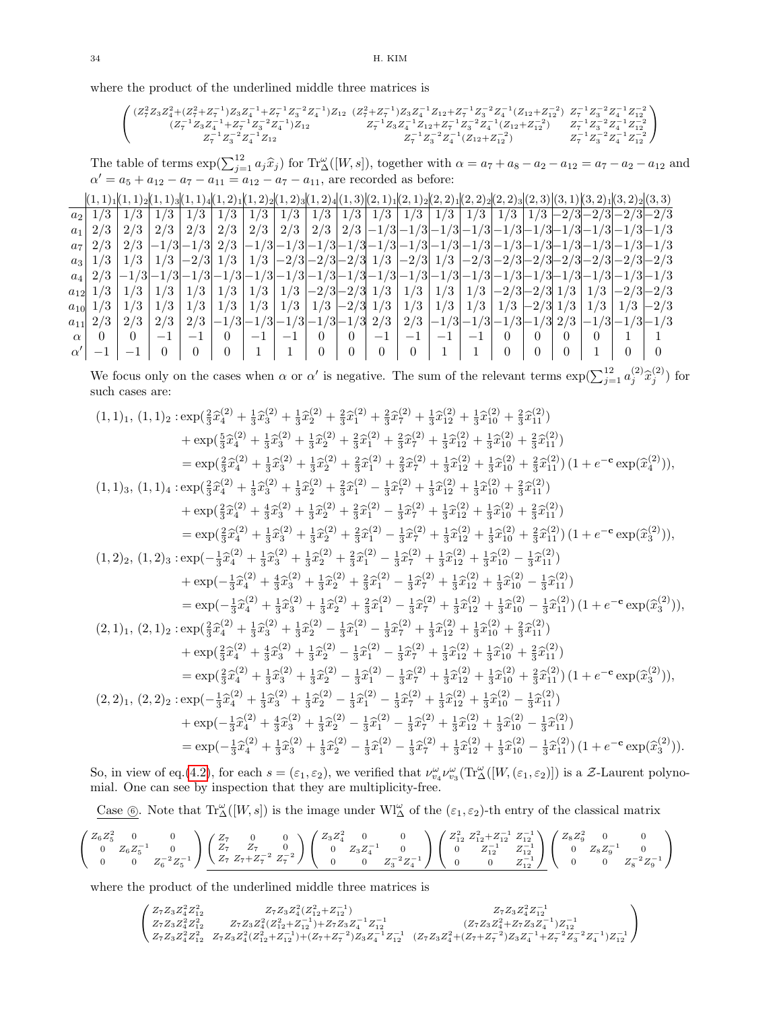where the product of the underlined middle three matrices is

$$
\left(\begin{matrix} (Z^2_7Z_3Z^2_4+(Z^2_7+Z^{-1}_7)Z_3Z^{-1}_4+Z^{-1}_7Z^{-2}_3Z^{-1}_4)Z_{12}&(Z^2_7+Z^{-1}_7)Z_3Z^{-1}_4Z_{12}+Z^{-1}_7Z^{-2}_3Z^{-1}_4(Z_{12}+Z^{-2}_1) &Z^{-1}_7Z^{-2}_3Z^{-1}_4Z^{-2}_1\\ (Z^{-1}_7Z_3Z^{-1}_4+Z^{-1}_7Z^{-2}_3Z^{-1}_4)Z_{12}&Z^{-1}_7Z_3Z^{-1}_4Z_{12}+Z^{-1}_7Z^{-2}_3Z^{-1}_4(Z_{12}+Z^{-2}_1) &Z^{-1}_7Z^{-2}_3Z^{-1}_4Z^{-2}_1\\ &Z^{-1}_7Z^{-2}_3Z^{-1}_4Z_{12}&Z^{-1}_7Z^{-2}_3Z^{-1}_4(Z_{12}+Z^{-2}_1) &Z^{-1}_7Z^{-2}_3Z^{-1}_4Z^{-2}_1\\ &Z^{-1}_7Z^{-2}_3Z^{-1}_4Z_{12}&Z^{-1}_7Z^{-2}_3Z^{-1}_4(Z_{12}+Z^{-2}_1) &Z^{-1}_7Z^{-2}_3Z^{-1}_4Z^{-2}_1\\ \end{matrix}\right)
$$

The table of terms  $\exp(\sum_{j=1}^{12} a_j \hat{x}_j)$  for  $\text{Tr}^{\omega}_{\Delta}([W, s])$ , together with  $\alpha = a_7 + a_8 - a_2 - a_{12} = a_7 - a_2 - a_{12}$  and  $\alpha' = a_5 + a_{12} - a_7 - a_{11} = a_{12} - a_7 - a_{11}$ , are recorded as before:

|                |              |          |      |      |               |                          |        |                |          |                | $(1,1)_{1}(1,1)_{2}(1,1)_{3}(1,1)_{4}(1,2)_{1}(1,2)_{2}(1,2)_{3}(1,2)_{4}(1,3)(2,1)_{1}(2,1)_{2}(2,2)_{1}(2,2)_{2}(2,2)_{3}(2,3)(3,1)(3,2)_{1}(3,2)_{2}(3,3)$                                                                |  |                  |          |          |  |  |
|----------------|--------------|----------|------|------|---------------|--------------------------|--------|----------------|----------|----------------|------------------------------------------------------------------------------------------------------------------------------------------------------------------------------------------------------------------------------|--|------------------|----------|----------|--|--|
| a <sub>2</sub> |              |          |      |      | 1/3           | 1/3                      | 1/3    |                |          |                | $1/3$ $1/3$ $1/3$ $1/3$ $1/3$ $1/3$ $1/3$ $1/3$ $1/3$ $-2/3$ $-2/3$ $-2/3$                                                                                                                                                   |  |                  |          |          |  |  |
| a <sub>1</sub> |              | 2/3      | 2/3  |      | $2/3$   $2/3$ |                          |        |                |          |                | $\mid 2/3 \mid 2/3 \mid 2/3 \mid 2/3 \mid -1/3 \mid -1/3 \mid -1/3 \mid -1/3 \mid -1/3 \mid -1/3 \mid -1/3 \mid -1/3 \mid -1/3$                                                                                              |  |                  |          |          |  |  |
| a <sub>7</sub> |              |          |      |      |               |                          |        |                |          |                |                                                                                                                                                                                                                              |  |                  |          |          |  |  |
|                |              |          |      |      |               |                          |        |                |          |                | $a_3$   1/3   1/3   1/3   $-2/3$   1/3   1/3   $-2/3$   $-2/3$   $-2/3$   1/3   $-2/3$   $1/3$   $-2/3$   $-2/3$   $-2/3$   $-2/3$   $-2/3$   $-2/3$   $-2/3$   $-2/3$   $-2/3$   $-2/3$   $-2/3$   $-2/3$   $-2/3$   $-2/3$ |  |                  |          |          |  |  |
| $a_4$          |              |          |      |      |               |                          |        |                |          |                | $1/3$ $-1/3$ $-1/3$ $-1/3$ $-1/3$ $-1/3$ $-1/3$ $-1/3$ $-1/3$ $-1/3$ $-1/3$ $-1/3$ $-1/3$ $-1/3$ $-1/3$ $-1/3$ $-1/3$ $-1/3$                                                                                                 |  |                  |          |          |  |  |
|                | $a_{12}$ 1/3 |          |      |      |               |                          |        |                |          |                | $1/3$   $1/3$   $1/3$   $1/3$   $1/3$   $1/3$   $-2/3$ $-2/3$ $1/3$   $1/3$   $1/3$   $1/3$   $-2/3$ $-2/3$ $1/3$   $1/3$   $-2/3$ $-2/3$                                                                                    |  |                  |          |          |  |  |
| $a_{10}$       | 1/3          | 1/3      | 1/3  |      |               |                          |        |                |          |                | $1/3$   $1/3$   $1/3$   $1/3$   $1/3$   $-2/3$ $1/3$   $1/3$   $1/3$   $1/3$   $1/3$   $-2/3$ $1/3$   $1/3$   $1/3$   $-2/3$                                                                                                 |  |                  |          |          |  |  |
| $a_{11}$       |              | 2/3      | 2/3  |      |               |                          |        |                |          |                | $2/3$ $ -1/3 -1/3 -1/3 -1/3 -1/3$ $2/3$ $ 2/3$ $ -1/3 -1/3 -1/3 -1/3 -1/3 -1/3 -1/3$                                                                                                                                         |  |                  |          |          |  |  |
| $\alpha$       | $\Omega$     | $\theta$ | $-1$ | $-1$ | $\theta$      | $\bar{\phantom{a}}=-1$ . | $+1$ + | $\overline{0}$ | $0-1$    | $-1$           | $ -1 -1 -1 $                                                                                                                                                                                                                 |  | $\left( \right)$ | $\theta$ | $\theta$ |  |  |
|                |              |          |      |      |               |                          |        | $\theta$       | $\Omega$ | $\overline{0}$ | $\overline{0}$                                                                                                                                                                                                               |  |                  |          |          |  |  |

We focus only on the cases when  $\alpha$  or  $\alpha'$  is negative. The sum of the relevant terms  $\exp(\sum_{j=1}^{12} a_j^{(2)} \hat{x}_j^{(2)})$  for such cases are:

$$
(1,1)_1,(1,1)_2: \n\begin{align*}\n\text{exp}(\frac{2}{3}\hat{x}_4^{(2)} + \frac{1}{3}\hat{x}_3^{(2)} + \frac{1}{3}\hat{x}_2^{(2)} + \frac{2}{3}\hat{x}_1^{(2)} + \frac{2}{3}\hat{x}_7^{(2)} + \frac{1}{3}\hat{x}_{12}^{(2)} + \frac{1}{3}\hat{x}_{10}^{(2)} + \frac{2}{3}\hat{x}_{11}^{(2)} \\
& + \exp(\frac{5}{3}\hat{x}_4^{(2)} + \frac{1}{3}\hat{x}_3^{(2)} + \frac{1}{3}\hat{x}_2^{(2)} + \frac{2}{3}\hat{x}_1^{(2)} + \frac{2}{3}\hat{x}_1^{(2)} + \frac{1}{3}\hat{x}_{10}^{(2)} + \frac{2}{3}\hat{x}_{11}^{(2)}) \\
& = \exp(\frac{2}{3}\hat{x}_4^{(2)} + \frac{1}{3}\hat{x}_3^{(2)} + \frac{1}{3}\hat{x}_2^{(2)} + \frac{2}{3}\hat{x}_1^{(2)} + \frac{2}{3}\hat{x}_1^{(2)} + \frac{1}{3}\hat{x}_{12}^{(2)} + \frac{1}{3}\hat{x}_{10}^{(2)} + \frac{2}{3}\hat{x}_{11}^{(2)})\n\end{align*}
$$
\n
$$
(1,1)_3,(1,1)_4: \n\begin{align*}\n\text{exp}(\frac{2}{3}\hat{x}_4^{(2)} + \frac{1}{3}\hat{x}_3^{(2)} + \frac{1}{3}\hat{x}_2^{(2)} + \frac{2}{3}\hat{x}_1^{(2)} - \frac{1}{3}\hat{x}_7^{(2)} + \frac{1}{3}\hat{x}_{12}^{(2)} + \frac{1}{3}\hat{x}_{10}^{(2)} + \frac{2}{3}\hat{x}_{11}^{(2)}) \\
& + \exp(\frac{2}{3}\hat{x}_4^{(2)} + \frac{4}{3}\hat{x}_3^{(2)} + \frac{1}{3}\hat{x}_2^{(2)} + \frac{2}{3}\hat{x}_1^{(2)} - \frac{1}{3}\hat{x}_7^{(2)} + \frac{1}{3}\hat{x}_{12}^{(2)} + \frac{1}{3}\hat{x}_{10}^{(2)} + \frac{2}{3}\hat{x}_{11}^{(2)})\n\end{align*}
$$
\n
$$
(1,2)_2,(1,
$$

So, in view of eq.[\(4.2\)](#page-29-0), for each  $s = (\varepsilon_1, \varepsilon_2)$ , we verified that  $\nu_{v_4}^{\omega} \nu_{v_3}^{\omega}(\text{Tr}^{\omega}_{\Delta}([W, (\varepsilon_1, \varepsilon_2)])$  is a Z-Laurent polynomial. One can see by inspection that they are multiplicity-free.

Case  $\circledS$ . Note that  $\text{Tr}^{\omega}_{\Delta}([W, s])$  is the image under  $\text{WI}^{\omega}_{\Delta}$  of the  $(\varepsilon_1, \varepsilon_2)$ -th entry of the classical matrix

$$
\left(\begin{array}{ccc}Z_6Z_5^2&0&0\\0&Z_6Z_5^{-1}&0\\0&0&Z_6^{-2}Z_5^{-1}\end{array}\right)\underbrace{\left(\begin{array}{cccc}Z_7&0&0\\Z_7&Z_7&0\\Z_7&Z_7+Z_7^{-2}&Z_7^{-2}\end{array}\right)}_{\hskip 4cm\left(\begin{array}{cccc}Z_3Z_4^2&0&0\\0&Z_3Z_4^{-1}&0\\0&0&Z_3^{-2}Z_4^{-1}\end{array}\right)}_{\hskip 4cm\left(\begin{array}{cccc}Z_{12}^2&Z_{12}^2+Z_{12}^{-1}&Z_{12}^{-1}\\0&Z_{12}^{-1}&Z_{12}^{-1}\\0&0&Z_{12}^{-1}\end{array}\right)}\left(\begin{array}{cccc}Z_8Z_9^2&0&0\\0&Z_8Z_9^{-1}&0\\0&0&Z_8^{-2}Z_9^{-1}\end{array}\right)
$$

where the product of the underlined middle three matrices is

 $\left( \begin{matrix} Z_7 Z_3 Z_4^2 Z_{12}^2 & Z_7 Z_3 Z_4^2 (Z_{12}^2 + Z_{12}^{-1}) & Z_7 Z_3 Z_4^2 Z_{12}^{-1} \\ Z_7 Z_3 Z_4^2 Z_{12}^2 & Z_7 Z_3 Z_4^2 (Z_{12}^2 + Z_{12}^{-1}) + Z_7 Z_3 Z_4^{-1} Z_{12}^{-1} & (Z_7 Z_3 Z_4^2 + Z_7 Z_3 Z_4^{-1}) Z_{12}^{-1} \\ Z_7 Z_3 Z_4^2 Z_{12}^2 & Z_7 Z_3 Z_4^2 (Z_{12}^2 + Z_{$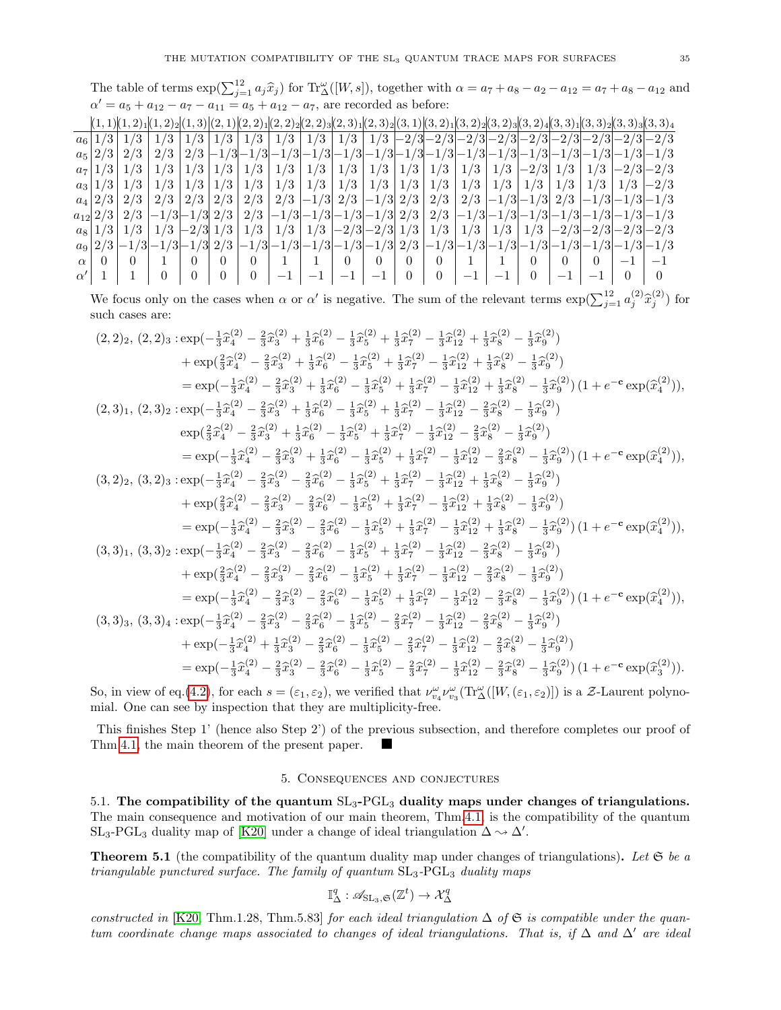The table of terms  $\exp(\sum_{j=1}^{12} a_j \hat{x}_j)$  for  $\text{Tr}^{\omega}_{\Delta}([W, s])$ , together with  $\alpha = a_7 + a_8 - a_2 - a_{12} = a_7 + a_8 - a_{12}$  and  $\alpha' = a_5 + a_{12} - a_7 - a_{11} = a_5 + a_{12} - a_7$ , are recorded as before:

|          |                   |     |  |  |  |     | $ (1,1) (1,2)_1 (1,2)_2 (1,3) (2,1) (2,2)_1 (2,2)_2 (2,2)_3 (2,3)_1 (2,3)_2 (3,1) (3,2)_1 (3,2)_2 (3,2)_3 (3,2)_4 (3,3)_1 (3,3)_2 (3,3)_3 (3,3)_4$                                                                                                             |  |  |          |  |
|----------|-------------------|-----|--|--|--|-----|----------------------------------------------------------------------------------------------------------------------------------------------------------------------------------------------------------------------------------------------------------------|--|--|----------|--|
|          | $a_6$   1/3   1/3 | 1/3 |  |  |  |     | $1/3$   $1/3$   $1/3$   $1/3$   $1/3$   $1/3$   $\overline{1/3}$   $\overline{2/3}$   $\overline{2/3}$   $\overline{2/3}$   $\overline{2/3}$   $\overline{2/3}$   $\overline{2/3}$   $\overline{2/3}$   $\overline{2/3}$   $\overline{2/3}$   $\overline{2/3}$ |  |  |          |  |
|          | $a_5$  2/3 2/3    | 2/3 |  |  |  |     |                                                                                                                                                                                                                                                                |  |  |          |  |
|          |                   |     |  |  |  |     |                                                                                                                                                                                                                                                                |  |  |          |  |
|          |                   |     |  |  |  |     |                                                                                                                                                                                                                                                                |  |  |          |  |
|          | $a_4$  2/3 2/3    |     |  |  |  |     | $2/3$ $2/3$ $2/3$ $2/3$ $2/3$ $-1/3$ $2/3$ $-1/3$ $2/3$ $2/3$ $2/3$ $-1/3$ $-1/3$ $-1/3$ $-1/3$ $-1/3$                                                                                                                                                         |  |  |          |  |
|          |                   |     |  |  |  |     |                                                                                                                                                                                                                                                                |  |  |          |  |
|          |                   |     |  |  |  |     | $a_8$  1/3 1/3 1/3 -2/3 -2/3 1/3 1/3 1/3 1/3 -2/3 -2/3 1/3 1/3 1/3 1/3 1/3 2/3 -2/3 -2/3 -2/3 -2/3                                                                                                                                                             |  |  |          |  |
|          |                   |     |  |  |  |     |                                                                                                                                                                                                                                                                |  |  |          |  |
| $\alpha$ |                   |     |  |  |  |     | $\theta$                                                                                                                                                                                                                                                       |  |  | $\theta$ |  |
|          |                   |     |  |  |  | — I |                                                                                                                                                                                                                                                                |  |  |          |  |

We focus only on the cases when  $\alpha$  or  $\alpha'$  is negative. The sum of the relevant terms  $\exp(\sum_{j=1}^{12} a_j^{(2)} \hat{x}_j^{(2)})$  for such cases are:

$$
(2,2)_2,(2,2)_3: \exp(-\frac{1}{3}\hat{x}_4^{(2)}-\frac{2}{3}\hat{x}_3^{(2)}+\frac{1}{3}\hat{x}_6^{(2)}-\frac{1}{3}\hat{x}_5^{(2)}+\frac{1}{3}\hat{x}_7^{(2)}-\frac{1}{3}\hat{x}_{12}^{(2)}+\frac{1}{3}\hat{x}_8^{(2)}-\frac{1}{3}\hat{x}_9^{(2)})
$$
  
\n
$$
+ \exp(\frac{2}{3}\hat{x}_4^{(2)}-\frac{2}{3}\hat{x}_3^{(2)}+\frac{1}{3}\hat{x}_6^{(2)}-\frac{1}{3}\hat{x}_5^{(2)}+\frac{1}{3}\hat{x}_7^{(2)}-\frac{1}{3}\hat{x}_{12}^{(2)}+\frac{1}{3}\hat{x}_8^{(2)}-\frac{1}{3}\hat{x}_9^{(2)})
$$
  
\n
$$
= \exp(-\frac{1}{3}\hat{x}_4^{(2)}-\frac{2}{3}\hat{x}_3^{(2)}+\frac{1}{3}\hat{x}_6^{(2)}-\frac{1}{3}\hat{x}_5^{(2)}+\frac{1}{3}\hat{x}_7^{(2)}-\frac{1}{3}\hat{x}_{12}^{(2)}+\frac{1}{3}\hat{x}_8^{(2)}-\frac{1}{3}\hat{x}_9^{(2)})
$$
  
\n
$$
(2,3)_1,(2,3)_2: \exp(-\frac{1}{3}\hat{x}_4^{(2)}-\frac{2}{3}\hat{x}_3^{(2)}+\frac{1}{3}\hat{x}_6^{(2)}-\frac{1}{3}\hat{x}_5^{(2)}+\frac{1}{3}\hat{x}_7^{(2)}-\frac{1}{3}\hat{x}_{12}^{(2)}-\frac{2}{3}\hat{x}_8^{(2)}-\frac{1}{3}\hat{x}_9^{(2)})
$$
  
\n
$$
\exp(\frac{2}{3}\hat{x}_4^{(2)}-\frac{2}{3}\hat{x}_3^{(2)}+\frac{1}{3}\hat{x}_6^{(2)}-\frac{1}{3}\hat{x}_5^{(2)}+\frac{1}{3}\hat{x}_7^{(2)}-\frac{1}{3}\hat{x}_{12}^{(2)}-\frac{2}{3}\hat{x}_8^{(2)}-\frac{1}{3}\hat{x}_9^{(2)})
$$
  
\n
$$
= \exp(-\frac{1}{3}\hat{x}_4^{(2)}-\frac{2}{3}\hat{x}_3^{(2)}+\frac{1}{3}\hat{x}_6^{(2)}-\frac
$$

So, in view of eq.[\(4.2\)](#page-29-0), for each  $s = (\varepsilon_1, \varepsilon_2)$ , we verified that  $\nu_{v_4}^{\omega} \nu_{v_3}^{\omega}(\text{Tr}^{\omega}_{\Delta}([W, (\varepsilon_1, \varepsilon_2)])$  is a Z-Laurent polynomial. One can see by inspection that they are multiplicity-free.

This finishes Step 1' (hence also Step 2') of the previous subsection, and therefore completes our proof of Thm[.4.1,](#page-24-2) the main theorem of the present paper. Г

## 5. Consequences and conjectures

<span id="page-34-1"></span><span id="page-34-0"></span>5.1. The compatibility of the quantum  $SL_3$ -PGL<sub>3</sub> duality maps under changes of triangulations. The main consequence and motivation of our main theorem, Thm[.4.1,](#page-24-2) is the compatibility of the quantum SL<sub>3</sub>-PGL<sub>3</sub> duality map of [\[K20\]](#page-38-5) under a change of ideal triangulation  $\Delta \sim \Delta'$ .

<span id="page-34-2"></span>**Theorem 5.1** (the compatibility of the quantum duality map under changes of triangulations). Let  $\mathfrak{S}$  be a triangulable punctured surface. The family of quantum  $SL_3$ -PG $L_3$  duality maps

$$
\mathbb{I}^q_\Delta:\mathscr{A}_{\mathrm{SL}_3,\mathfrak{S}}(\mathbb{Z}^t)\rightarrow \mathcal{X}^q_\Delta
$$

constructed in [\[K20,](#page-38-5) Thm.1.28, Thm.5.83] for each ideal triangulation  $\Delta$  of  $\mathfrak S$  is compatible under the quantum coordinate change maps associated to changes of ideal triangulations. That is, if  $\Delta$  and  $\Delta'$  are ideal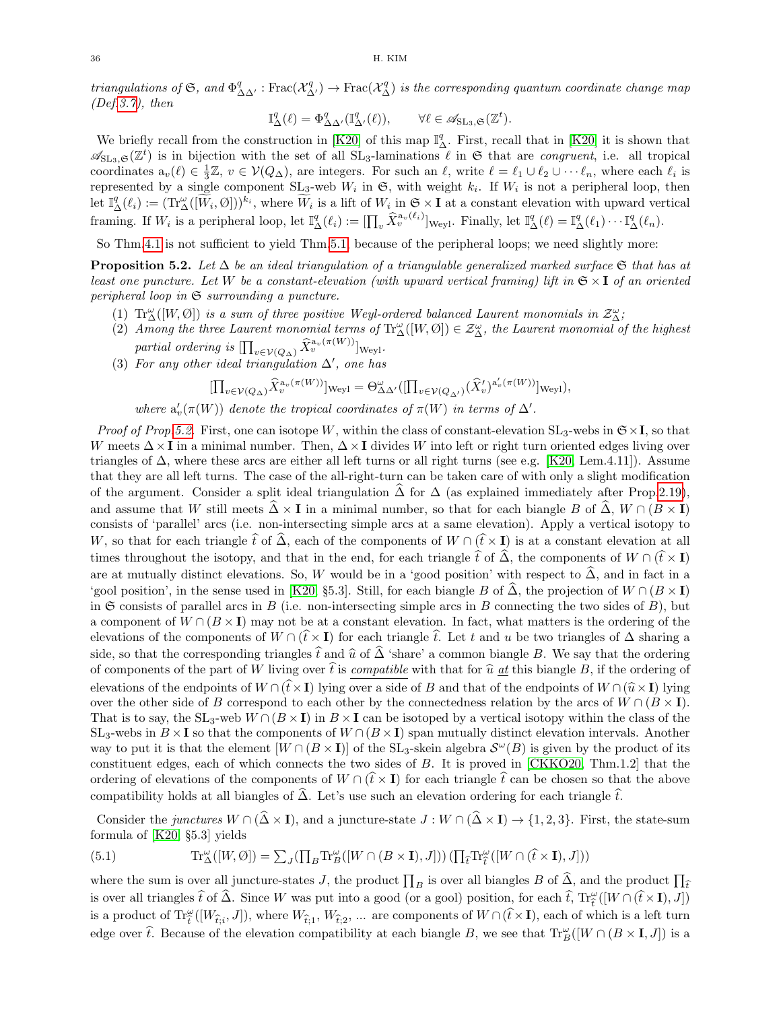triangulations of G, and  $\Phi^q_{\Delta\Delta'}$ : Frac $(\mathcal{X}^q_{\Delta'})\to$  Frac $(\mathcal{X}^q_{\Delta})$  is the corresponding quantum coordinate change map  $(Def.3.7), then$  $(Def.3.7), then$  $(Def.3.7), then$ 

$$
\mathbb{I}^q_\Delta(\ell) = \Phi^q_{\Delta \Delta'}(\mathbb{I}^q_{\Delta'}(\ell)), \qquad \forall \ell \in \mathscr{A}_{\mathrm{SL}_3, \mathfrak{S}}(\mathbb{Z}^t).
$$

We briefly recall from the construction in [\[K20\]](#page-38-5) of this map  $\mathbb{I}_{\Delta}^q$ . First, recall that in [K20] it is shown that  $\mathscr{A}_{\mathrm{SL}_3,\mathfrak{S}}(\mathbb{Z}^t)$  is in bijection with the set of all  $SL_3$ -laminations  $\ell$  in  $\mathfrak{S}$  that are *congruent*, i.e. all tropical coordinates  $a_v(\ell) \in \frac{1}{3}\mathbb{Z}, v \in \mathcal{V}(Q_\Delta)$ , are integers. For such an  $\ell$ , write  $\ell = \ell_1 \cup \ell_2 \cup \cdots \ell_n$ , where each  $\ell_i$  is represented by a single component  $SL_3$ -web  $W_i$  in  $\mathfrak{S}$ , with weight  $k_i$ . If  $W_i$  is not a peripheral loop, then  $\text{let } \mathbb{I}_{\Delta}^{q}(\ell_{i}) := (\text{Tr}_{\Delta}^{w}([\widetilde{W}_{i}, \emptyset]))^{k_{i}}, \text{ where } \widetilde{W}_{i} \text{ is a lift of } W_{i} \text{ in } \mathfrak{S} \times I \text{ at a constant elevation with upward vertical.}$ framing. If  $W_i$  is a peripheral loop, let  $\mathbb{I}_{\Delta}^q(\ell_i) := \left[\prod_v \widehat{X}_v^{a_v(\ell_i)}\right]_{\text{Weyl}}$ . Finally, let  $\mathbb{I}_{\Delta}^q(\ell) = \mathbb{I}_{\Delta}^q(\ell_1) \cdots \mathbb{I}_{\Delta}^q(\ell_n)$ .

So Thm[.4.1](#page-24-2) is not sufficient to yield Thm[.5.1,](#page-34-2) because of the peripheral loops; we need slightly more:

<span id="page-35-0"></span>**Proposition 5.2.** Let  $\Delta$  be an ideal triangulation of a triangulable generalized marked surface  $\mathfrak{S}$  that has at least one puncture. Let W be a constant-elevation (with upward vertical framing) lift in  $\mathfrak{S} \times I$  of an oriented peripheral loop in  $\mathfrak S$  surrounding a puncture.

- (1)  $\text{Tr}_{\Delta}^{\omega}([W, \emptyset])$  is a sum of three positive Weyl-ordered balanced Laurent monomials in  $\mathcal{Z}_{\Delta}^{\omega}$ ;
- (2) Among the three Laurent monomial terms of  $\text{Tr}_{\Delta}^{\omega}([W, \emptyset]) \in \mathcal{Z}_{\Delta}^{\omega}$ , the Laurent monomial of the highest partial ordering is  $\prod_{v \in \mathcal{V}(Q_{\Delta})} \widehat{X}_v^{a_v(\pi(W))}$  weyl.
- (3) For any other ideal triangulation  $\Delta'$ , one has

$$
[\prod_{v \in \mathcal{V}(Q_{\Delta})} \widehat{X}_v^{\mathbf{a}_v(\pi(W))}]_{\text{Weyl}} = \Theta_{\Delta \Delta'}^{\omega}([\prod_{v \in \mathcal{V}(Q_{\Delta'})} (\widehat{X}_v')^{\mathbf{a}_v'(\pi(W))}]_{\text{Weyl}}),
$$

where  $a'_v(\pi(W))$  denote the tropical coordinates of  $\pi(W)$  in terms of  $\Delta'$ .

*Proof of Prop[.5.2.](#page-35-0)* First, one can isotope W, within the class of constant-elevation  $SL_3$ -webs in  $\mathfrak{S} \times I$ , so that W meets  $\Delta \times I$  in a minimal number. Then,  $\Delta \times I$  divides W into left or right turn oriented edges living over triangles of  $\Delta$ , where these arcs are either all left turns or all right turns (see e.g. [\[K20,](#page-38-5) Lem.4.11]). Assume that they are all left turns. The case of the all-right-turn can be taken care of with only a slight modification of the argument. Consider a split ideal triangulation  $\Delta$  for  $\Delta$  (as explained immediately after Prop[.2.19\)](#page-12-1), and assume that W still meets  $\hat{\Delta} \times I$  in a minimal number, so that for each biangle B of  $\hat{\Delta}$ ,  $W \cap (B \times I)$ consists of 'parallel' arcs (i.e. non-intersecting simple arcs at a same elevation). Apply a vertical isotopy to W, so that for each triangle  $\hat{t}$  of  $\hat{\Delta}$ , each of the components of  $W \cap (\hat{t} \times I)$  is at a constant elevation at all times throughout the isotopy, and that in the end, for each triangle  $\hat{t}$  of  $\hat{\Delta}$ , the components of  $W \cap (\hat{t} \times I)$ are at mutually distinct elevations. So, W would be in a 'good position' with respect to  $\widehat{\Delta}$ , and in fact in a 'gool position', in the sense used in [\[K20,](#page-38-5) §5.3]. Still, for each biangle B of  $\widehat{\Delta}$ , the projection of  $W \cap (B \times I)$ in  $\mathfrak S$  consists of parallel arcs in B (i.e. non-intersecting simple arcs in B connecting the two sides of B), but a component of  $W \cap (B \times I)$  may not be at a constant elevation. In fact, what matters is the ordering of the elevations of the components of  $W \cap (\hat{t} \times I)$  for each triangle  $\hat{t}$ . Let t and u be two triangles of  $\Delta$  sharing a side, so that the corresponding triangles  $\hat{t}$  and  $\hat{u}$  of  $\hat{\Delta}$  'share' a common biangle B. We say that the ordering of components of the part of W living over  $\hat{t}$  is *compatible* with that for  $\hat{u}$  at this biangle B, if the ordering of elevations of the endpoints of  $W \cap (\hat{t} \times I)$  lying over a side of B and that of the endpoints of  $W \cap (\hat{u} \times I)$  lying over the other side of B correspond to each other by the connectedness relation by the arcs of  $W \cap (B \times I)$ . That is to say, the SL<sub>3</sub>-web  $W \cap (B \times I)$  in  $B \times I$  can be isotoped by a vertical isotopy within the class of the SL<sub>3</sub>-webs in  $B \times I$  so that the components of  $W \cap (B \times I)$  span mutually distinct elevation intervals. Another way to put it is that the element  $[W \cap (B \times I)]$  of the SL<sub>3</sub>-skein algebra  $\mathcal{S}^{\omega}(B)$  is given by the product of its constituent edges, each of which connects the two sides of B. It is proved in [\[CKKO20,](#page-37-8) Thm.1.2] that the ordering of elevations of the components of  $W \cap (\hat{t} \times I)$  for each triangle  $\hat{t}$  can be chosen so that the above compatibility holds at all biangles of  $\hat{\Delta}$ . Let's use such an elevation ordering for each triangle  $\hat{t}$ .

Consider the *junctures*  $W \cap (\hat{\Delta} \times I)$ , and a juncture-state  $J : W \cap (\hat{\Delta} \times I) \rightarrow \{1, 2, 3\}$ . First, the state-sum formula of [\[K20,](#page-38-5) §5.3] yields

<span id="page-35-1"></span>(5.1) 
$$
\operatorname{Tr}_{\Delta}^{\omega}([W, \emptyset]) = \sum_{J} (\prod_{B} \operatorname{Tr}_{B}^{\omega}([W \cap (B \times I), J])) (\prod_{\hat{t}} \operatorname{Tr}_{\hat{t}}^{\omega}([W \cap (\hat{t} \times I), J]))
$$

where the sum is over all juncture-states J, the product  $\prod_B$  is over all biangles B of  $\Delta$ , and the product  $\prod_{\hat{\ell}}$ is over all triangles  $\hat{t}$  of  $\hat{\Delta}$ . Since W was put into a good (or a gool) position, for each  $\hat{t}$ ,  $Tr_{\hat{t}}^{\omega}([W \cap (\hat{t} \times I), J])$ is a product of  $\text{Tr}_{\tilde{t}}^{\omega}([W_{\hat{t},i},J])$ , where  $W_{\hat{t},1}, W_{\hat{t},2}, ...$  are components of  $W \cap (\hat{t} \times I)$ , each of which is a left turn edge over  $\hat{t}$ . Because of the elevation compatibility at each biangle B, we see that  $\text{Tr}_{B}^{\omega}([W \cap (B \times I, J])$  is a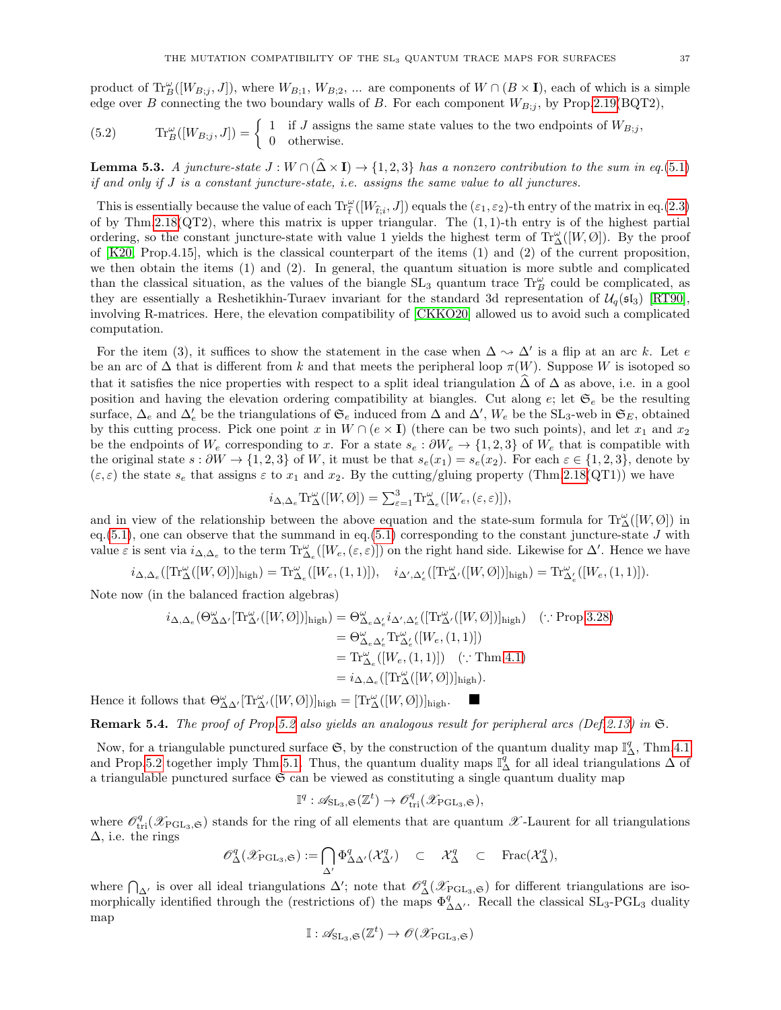product of  $\text{Tr}_{B}^{\omega}([W_{B,j},J])$ , where  $W_{B,1}$ ,  $W_{B,2}$ , ... are components of  $W \cap (B \times I)$ , each of which is a simple edge over B connecting the two boundary walls of B. For each component  $W_{B,i}$ , by Prop[.2.19\(](#page-12-1)BQT2),

(5.2) 
$$
\text{Tr}_{B}^{\omega}([W_{B;j},J]) = \begin{cases} 1 & \text{if } J \text{ assigns the same state values to the two endpoints of } W_{B;j}, \\ 0 & \text{otherwise.} \end{cases}
$$

**Lemma 5.3.** A juncture-state  $J: W \cap (\widehat{\Delta} \times I) \rightarrow \{1, 2, 3\}$  has a nonzero contribution to the sum in eq.[\(5.1\)](#page-35-1) if and only if J is a constant juncture-state, i.e. assigns the same value to all junctures.

This is essentially because the value of each  $\text{Tr}_{\tilde{t}}^{\omega}([W_{\tilde{t},i},J])$  equals the  $(\varepsilon_1,\varepsilon_2)$ -th entry of the matrix in eq.[\(2.3\)](#page-11-1)<br>files Thus 2.19(OT9), where this weathing way with results. The (1.1) the value is of by Thm[.2.18\(](#page-11-0) $QT2$ ), where this matrix is upper triangular. The  $(1, 1)$ -th entry is of the highest partial ordering, so the constant juncture-state with value 1 yields the highest term of  $\text{Tr}^{\omega}_{\Delta}([W, \emptyset])$ . By the proof of [\[K20,](#page-38-5) Prop.4.15], which is the classical counterpart of the items (1) and (2) of the current proposition, we then obtain the items (1) and (2). In general, the quantum situation is more subtle and complicated than the classical situation, as the values of the biangle  $SL_3$  quantum trace  $\text{Tr}_B^{\omega}$  could be complicated, as they are essentially a Reshetikhin-Turaev invariant for the standard 3d representation of  $U_q(\mathfrak{sl}_3)$  [\[RT90\]](#page-38-10), involving R-matrices. Here, the elevation compatibility of [\[CKKO20\]](#page-37-8) allowed us to avoid such a complicated computation.

For the item (3), it suffices to show the statement in the case when  $\Delta \leadsto \Delta'$  is a flip at an arc k. Let e be an arc of  $\Delta$  that is different from k and that meets the peripheral loop  $\pi(W)$ . Suppose W is isotoped so that it satisfies the nice properties with respect to a split ideal triangulation  $\widehat{\Delta}$  of  $\Delta$  as above, i.e. in a gool position and having the elevation ordering compatibility at biangles. Cut along  $e$ ; let  $\mathfrak{S}_e$  be the resulting surface,  $\Delta_e$  and  $\Delta'_e$  be the triangulations of  $\mathfrak{S}_e$  induced from  $\Delta$  and  $\Delta'$ ,  $W_e$  be the SL<sub>3</sub>-web in  $\mathfrak{S}_E$ , obtained by this cutting process. Pick one point x in  $W \cap (e \times I)$  (there can be two such points), and let  $x_1$  and  $x_2$ be the endpoints of  $W_e$  corresponding to x. For a state  $s_e : \partial W_e \to \{1, 2, 3\}$  of  $W_e$  that is compatible with the original state  $s : \partial W \to \{1,2,3\}$  of W, it must be that  $s_e(x_1) = s_e(x_2)$ . For each  $\varepsilon \in \{1,2,3\}$ , denote by  $(\varepsilon, \varepsilon)$  the state  $s_e$  that assigns  $\varepsilon$  to  $x_1$  and  $x_2$ . By the cutting/gluing property (Thm[.2.18\(](#page-11-0)QT1)) we have

$$
i_{\Delta,\Delta_e} \text{Tr}^{\omega}_{\Delta}([W,\emptyset]) = \sum_{\varepsilon=1}^{3} \text{Tr}^{\omega}_{\Delta_e}([W_e,(\varepsilon,\varepsilon)]),
$$

and in view of the relationship between the above equation and the state-sum formula for  $\text{Tr}^{\omega}_{\Delta}([W, \emptyset])$  in eq.  $(5.1)$ , one can observe that the summand in eq.  $(5.1)$  corresponding to the constant juncture-state J with value  $\varepsilon$  is sent via  $i_{\Delta,\Delta_e}$  to the term  $\text{Tr}^{\omega}_{\Delta_e}([W_e,(\varepsilon,\varepsilon)])$  on the right hand side. Likewise for  $\Delta'$ . Hence we have

$$
i_{\Delta,\Delta_e}([\mathrm{Tr}^{\omega}_{\Delta}([W, \emptyset)])_{\mathrm{high}}) = \mathrm{Tr}^{\omega}_{\Delta_e}([W_e, (1, 1)]), \quad i_{\Delta',\Delta'_e}([\mathrm{Tr}^{\omega}_{\Delta'}([W, \emptyset])]_{\mathrm{high}}) = \mathrm{Tr}^{\omega}_{\Delta'_e}([W_e, (1, 1)]).
$$

Note now (in the balanced fraction algebras)

$$
i_{\Delta,\Delta_e}(\Theta_{\Delta\Delta'}^{\omega}[\text{Tr}_{\Delta'}^{\omega}([W,\emptyset])]_{\text{high}}) = \Theta_{\Delta_e\Delta'_e}^{\omega} i_{\Delta',\Delta'_e}([\text{Tr}_{\Delta'}^{\omega}([W,\emptyset])]_{\text{high}}) \quad (\because \text{Prop.3.28})
$$
  
\n
$$
= \Theta_{\Delta_e\Delta'_e}^{\omega} \text{Tr}_{\Delta'_e}^{\omega}([W_e,(1,1)])
$$
  
\n
$$
= \text{Tr}_{\Delta_e}^{\omega}([W_e,(1,1)]) \quad (\because \text{Thm.4.1})
$$
  
\n
$$
= i_{\Delta,\Delta_e}([\text{Tr}_{\Delta}^{\omega}([W,\emptyset])]_{\text{high}}).
$$

Hence it follows that  $\Theta_{\Delta\Delta'}^{\omega}[\text{Tr}_{\Delta'}^{\omega}([W,\emptyset])]_{\text{high}} = [\text{Tr}_{\Delta}^{\omega}([W,\emptyset])]_{\text{high}}.$ 

**Remark 5.4.** The proof of Prop[.5.2](#page-35-0) also yields an analogous result for peripheral arcs (Def[.2.13\)](#page-9-2) in  $\mathfrak{S}$ .

Now, for a triangulable punctured surface  $\mathfrak{S}$ , by the construction of the quantum duality map  $\mathbb{I}_{\Delta}^q$ , Thm[.4.1](#page-24-2) and Prop[.5.2](#page-35-0) together imply Thm[.5.1.](#page-34-2) Thus, the quantum duality maps  $\mathbb{I}_{\Delta}^q$  for all ideal triangulations  $\Delta$  of a triangulable punctured surface  $\mathfrak S$  can be viewed as constituting a single quantum duality map

$$
\mathbb{I}^q: \mathscr{A}_{\mathrm{SL}_3, \mathfrak{S}}(\mathbb{Z}^t) \to \mathscr{O}_{\mathrm{tri}}^q(\mathscr{X}_{\mathrm{PGL}_3, \mathfrak{S}}),
$$

where  $\mathcal{O}_{tri}^q(\mathscr{X}_{PGL_3,\mathfrak{S}})$  stands for the ring of all elements that are quantum  $\mathscr{X}$ -Laurent for all triangulations  $\Delta$ , i.e. the rings

$$
\mathscr{O}^q_{\Delta}(\mathscr{X}_{\mathrm{PGL}_3,\mathfrak{S}}) := \bigcap_{\Delta'} \Phi^q_{\Delta \Delta'}(\mathcal{X}_{\Delta'}^q) \quad \subset \quad \mathcal{X}_{\Delta}^q \quad \subset \quad \mathrm{Frac}(\mathcal{X}_{\Delta}^q),
$$

where  $\bigcap_{\Delta'}$  is over all ideal triangulations  $\Delta'$ ; note that  $\mathscr{O}_{\Delta}^q(\mathscr{X}_{\mathrm{PGL}_3,\mathfrak{S}})$  for different triangulations are isomorphically identified through the (restrictions of) the maps  $\Phi_{\Delta\Delta}^q$ . Recall the classical  $SL_3$ -PGL<sub>3</sub> duality map

$$
\mathbb{I}: \mathscr{A}_{\operatorname{SL}_3,\mathfrak{S}}(\mathbb{Z}^t) \to \mathscr{O}(\mathscr{X}_{\operatorname{PGL}_3,\mathfrak{S}})
$$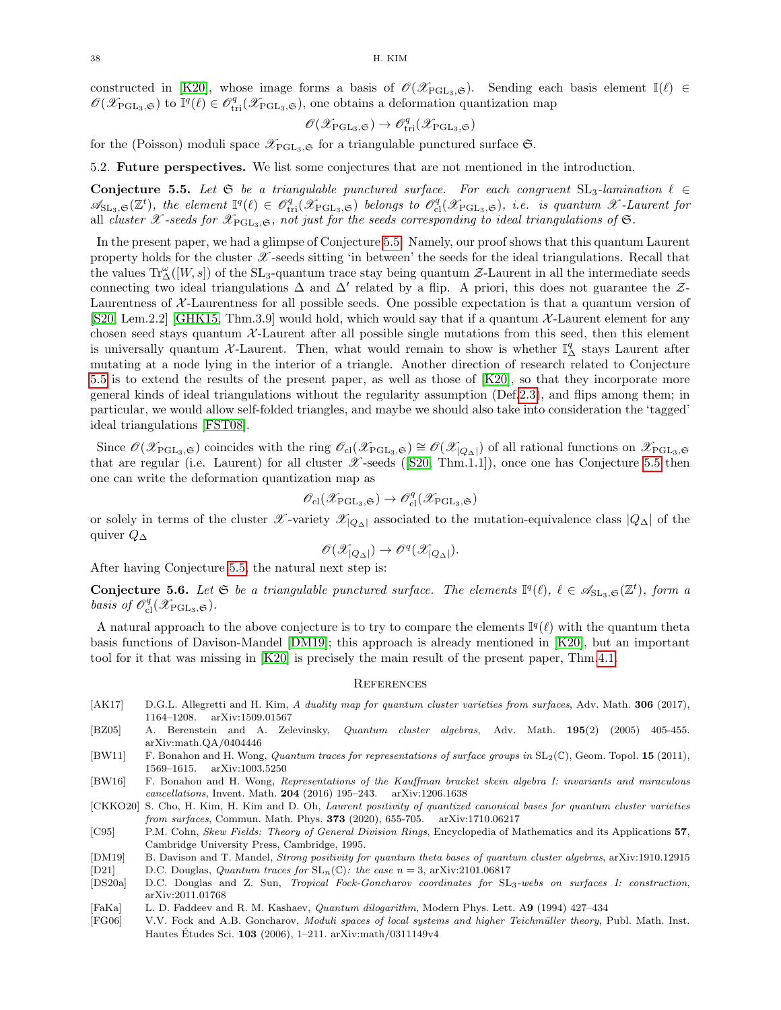constructed in [\[K20\]](#page-38-5), whose image forms a basis of  $\mathcal{O}(\mathcal{X}_{PGL_3,\mathfrak{S}})$ . Sending each basis element I( $\ell$ ) ∈  $\mathscr{O}(\mathscr{X}_{\mathrm{PGL}_3,\mathfrak{S}})$  to  $\mathbb{I}^q(\ell) \in \mathscr{O}_{\mathrm{tri}}^q(\mathscr{X}_{\mathrm{PGL}_3,\mathfrak{S}})$ , one obtains a deformation quantization map

$$
\mathscr{O}(\mathscr{X}_{\mathrm{PGL}_3,\mathfrak{S}})\to \mathscr{O}^q_{\mathrm{tri}}(\mathscr{X}_{\mathrm{PGL}_3,\mathfrak{S}})
$$

for the (Poisson) moduli space  $\mathscr{L}_{PGL_3,\mathfrak{S}}$  for a triangulable punctured surface  $\mathfrak{S}$ .

<span id="page-37-0"></span>5.2. Future perspectives. We list some conjectures that are not mentioned in the introduction.

<span id="page-37-13"></span>Conjecture 5.5. Let  $\mathfrak{S}$  be a triangulable punctured surface. For each congruent  $SL_3$ -lamination  $\ell \in$  $\mathscr{A}_{\mathrm{SL}_3,\mathfrak{S}}(\mathbb{Z}^t)$ , the element  $\mathbb{I}^q(\ell) \in \mathscr{O}_{\mathrm{tri}}^q(\mathscr{X}_{\mathrm{PGL}_3,\mathfrak{S}})$  belongs to  $\mathscr{O}_{\mathrm{cl}}^q(\mathscr{X}_{\mathrm{PGL}_3,\mathfrak{S}})$ , i.e. is quantum X-Laurent for all cluster X-seeds for  $\mathscr{X}_{\mathrm{PGL}_3,\mathfrak{S}}$ , not just for the seeds corresponding to ideal triangulations of  $\mathfrak{S}$ .

In the present paper, we had a glimpse of Conjecture [5.5.](#page-37-13) Namely, our proof shows that this quantum Laurent property holds for the cluster  $\mathscr X$ -seeds sitting 'in between' the seeds for the ideal triangulations. Recall that the values  $\text{Tr}^{\omega}_{\Delta}([W,s])$  of the SL<sub>3</sub>-quantum trace stay being quantum  $\mathcal{Z}\text{-}\text{Laurent in all the intermediate seeds}$ connecting two ideal triangulations  $\Delta$  and  $\Delta'$  related by a flip. A priori, this does not guarantee the Z-Laurentness of  $\mathcal{X}$ -Laurentness for all possible seeds. One possible expectation is that a quantum version of [\[S20,](#page-38-1) Lem.2.2] [\[GHK15,](#page-38-24) Thm.3.9] would hold, which would say that if a quantum  $\mathcal{X}$ -Laurent element for any chosen seed stays quantum  $X$ -Laurent after all possible single mutations from this seed, then this element is universally quantum X-Laurent. Then, what would remain to show is whether  $\mathbb{I}^q_\Delta$  stays Laurent after mutating at a node lying in the interior of a triangle. Another direction of research related to Conjecture [5.5](#page-37-13) is to extend the results of the present paper, as well as those of [\[K20\]](#page-38-5), so that they incorporate more general kinds of ideal triangulations without the regularity assumption (Def[.2.3\)](#page-6-3), and flips among them; in particular, we would allow self-folded triangles, and maybe we should also take into consideration the 'tagged' ideal triangulations [\[FST08\]](#page-38-13).

Since  $\mathscr{O}(\mathscr{X}_{\mathrm{PGL}_3,\mathfrak{S}})$  coincides with the ring  $\mathscr{O}_{\mathrm{cl}}(\mathscr{X}_{\mathrm{PGL}_3,\mathfrak{S}}) \cong \mathscr{O}(\mathscr{X}_{\vert Q_{\Delta}\vert})$  of all rational functions on  $\mathscr{X}_{\mathrm{PGL}_3,\mathfrak{S}}$ thatare regular (i.e. Laurent) for all cluster  $\mathscr{X}$ -seeds ([\[S20,](#page-38-1) Thm.1.1]), once one has Conjecture [5.5](#page-37-13) then one can write the deformation quantization map as

$$
\mathscr{O}_{\mathrm{cl}}(\mathscr{X}_{\mathrm{PGL}_3,\mathfrak{S}})\rightarrow\mathscr{O}_{\mathrm{cl}}^q(\mathscr{X}_{\mathrm{PGL}_3,\mathfrak{S}})
$$

or solely in terms of the cluster  $\mathscr{X}$ -variety  $\mathscr{X}_{|Q\Delta|}$  associated to the mutation-equivalence class  $|Q\Delta|$  of the quiver  $Q_{\Delta}$ 

$$
\mathscr{O}(\mathscr{X}_{|Q_\Delta|}) \to \mathscr{O}^q(\mathscr{X}_{|Q_\Delta|}).
$$

After having Conjecture [5.5,](#page-37-13) the natural next step is:

**Conjecture 5.6.** Let  $\mathfrak{S}$  be a triangulable punctured surface. The elements  $\mathbb{I}^q(\ell)$ ,  $\ell \in \mathscr{A}_{\mathrm{SL}_3,\mathfrak{S}}(\mathbb{Z}^t)$ , form a basis of  $\mathscr{O}^q_{\text{cl}}(\mathscr{X}_{\text{PGL}_3,\mathfrak{S}})$ .

A natural approach to the above conjecture is to try to compare the elements  $\mathbb{I}^q(\ell)$  with the quantum theta basis functions of Davison-Mandel [\[DM19\]](#page-37-5); this approach is already mentioned in [\[K20\]](#page-38-5), but an important tool for it that was missing in [\[K20\]](#page-38-5) is precisely the main result of the present paper, Thm[.4.1.](#page-24-2)

#### <span id="page-37-1"></span>**REFERENCES**

- <span id="page-37-3"></span>[AK17] D.G.L. Allegretti and H. Kim, A duality map for quantum cluster varieties from surfaces, Adv. Math. 306 (2017), 1164–1208. arXiv:1509.01567
- <span id="page-37-10"></span>[BZ05] A. Berenstein and A. Zelevinsky, Quantum cluster algebras, Adv. Math. 195(2) (2005) 405-455. arXiv:math.QA/0404446
- <span id="page-37-4"></span>[BW11] F. Bonahon and H. Wong, Quantum traces for representations of surface groups in  $SL_2(\mathbb{C})$ , Geom. Topol. 15 (2011), 1569–1615. arXiv:1003.5250
- <span id="page-37-9"></span>[BW16] F. Bonahon and H. Wong, Representations of the Kauffman bracket skein algebra I: invariants and miraculous cancellations, Invent. Math. 204 (2016) 195–243. arXiv:1206.1638

<span id="page-37-8"></span>[CKKO20] S. Cho, H. Kim, H. Kim and D. Oh, Laurent positivity of quantized canonical bases for quantum cluster varieties from surfaces, Commun. Math. Phys. 373 (2020), 655-705. arXiv:1710.06217

<span id="page-37-11"></span>[C95] P.M. Cohn, Skew Fields: Theory of General Division Rings, Encyclopedia of Mathematics and its Applications 57, Cambridge University Press, Cambridge, 1995.

<span id="page-37-5"></span>[DM19] B. Davison and T. Mandel, Strong positivity for quantum theta bases of quantum cluster algebras, arXiv:1910.12915

<span id="page-37-7"></span>[D21] D.C. Douglas, Quantum traces for  $SL_n(\mathbb{C})$ : the case  $n = 3$ , arXiv:2101.06817

<span id="page-37-6"></span>[DS20a] D.C. Douglas and Z. Sun, Tropical Fock-Goncharov coordinates for SL3-webs on surfaces I: construction, arXiv:2011.01768

<span id="page-37-12"></span>[FaKa] L. D. Faddeev and R. M. Kashaev, Quantum dilogarithm, Modern Phys. Lett. A9 (1994) 427–434

<span id="page-37-2"></span>[FG06] V.V. Fock and A.B. Goncharov, Moduli spaces of local systems and higher Teichmüller theory, Publ. Math. Inst. Hautes Études Sci.  $103$  (2006), 1–211. arXiv:math/0311149v4